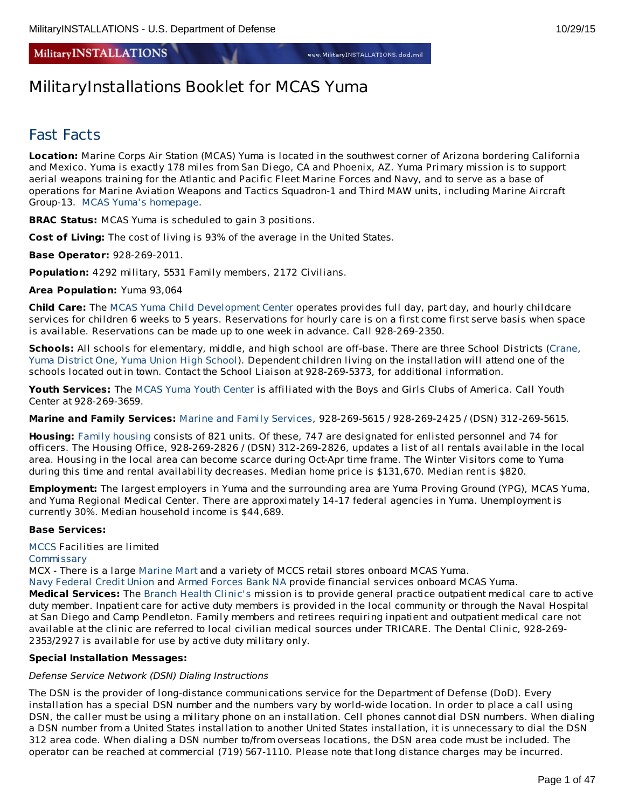**MilitaryINSTALLATIONS** 

# MilitaryInstallations Booklet for MCAS Yuma

# Fast Facts

**Location:** Marine Corps Air Station (MCAS) Yuma is located in the southwest corner of Arizona bordering California and Mexico. Yuma is exactly 178 miles from San Diego, CA and Phoenix, AZ. Yuma Primary mission is to support aerial weapons training for the Atlantic and Pacific Fleet Marine Forces and Navy, and to serve as a base of operations for Marine Aviation Weapons and Tactics Squadron-1 and Third MAW units, including Marine Aircraft Group-13. MCAS Yuma's [homepage](http://www.mcasyuma.marines.mil/).

**BRAC Status:** MCAS Yuma is scheduled to gain 3 positions.

**Cost of Living:** The cost of living is 93% of the average in the United States.

**Base Operator:** 928-269-2011.

**Population:** 4292 military, 5531 Family members, 2172 Civilians.

**Area Population:** Yuma 93,064

**Child Care:** The MCAS Yuma Child [Development](http://www.yuma.usmc-mccs.org/index.cfm/military-family/child-youth-teen-programs/child-development/) Center operates provides full day, part day, and hourly childcare services for children 6 weeks to 5 years. Reservations for hourly care is on a first come first serve basis when space is available. Reservations can be made up to one week in advance. Call 928-269-2350.

**Schools:** All schools for elementary, middle, and high school are off-base. There are three School Districts [\(Crane](http://www.craneschools.org/), Yuma [District](http://www.yuma.org/) One, Yuma Union High [School](http://yumaunion.org/)). Dependent children living on the installation will attend one of the schools located out in town. Contact the School Liaison at 928-269-5373, for additional information.

**Youth Services:** The MCAS Yuma Youth [Center](http://www.mccsyuma.org/index.cfm/military-family/child-youth-teen-programs/youth-center/) is affiliated with the Boys and Girls Clubs of America. Call Youth Center at 928-269-3659.

**Marine and Family Services:** Marine and Family [Services](http://www.yuma.usmc-mccs.org/), 928-269-5615 / 928-269-2425 / (DSN) 312-269-5615.

**Housing:** Family [housing](http://www.housing.navy.mil/onestop/housingoffices.aspx?bid=716&tab=mil) consists of 821 units. Of these, 747 are designated for enlisted personnel and 74 for officers. The Housing Office, 928-269-2826 / (DSN) 312-269-2826, updates a list of all rentals available in the local area. Housing in the local area can become scarce during Oct-Apr time frame. The Winter Visitors come to Yuma during this time and rental availability decreases. Median home price is \$131,670. Median rent is \$820.

**Employment:** The largest employers in Yuma and the surrounding area are Yuma Proving Ground (YPG), MCAS Yuma, and Yuma Regional Medical Center. There are approximately 14-17 federal agencies in Yuma. Unemployment is currently 30%. Median household income is \$44,689.

# **Base Services:**

[MCCS](http://www.yuma.usmc-mccs.org/) Facilities are limited

[Commissary](http://www.commissaries.com/stores/html/store.cfm?dodaac=HQCKM5&page=news)

MCX - There is a large [Marine](http://www.mccsyuma.org/2009web.mccs/2010MCCShtml/store-mainXchange_new.html) Mart and a variety of MCCS retail stores onboard MCAS Yuma.

Navy [Federal](http://www.navyfcu.org/about/locations.html) Credit Union and Armed [Forces](http://www.afbank.com/locations/) Bank NA provide financial services onboard MCAS Yuma. **Medical Services:** The Branch Health [Clinic's](https://cpen.med.navy.mil/nhcp.cfm?xid=wap&f=bmc&p=x7214954E546CA0EFDF67D73E491D8E52) mission is to provide general practice outpatient medical care to active duty member. Inpatient care for active duty members is provided in the local community or through the Naval Hospital at San Diego and Camp Pendleton. Family members and retirees requiring inpatient and outpatient medical care not available at the clinic are referred to local civilian medical sources under TRICARE. The Dental Clinic, 928-269- 2353/2927 is available for use by active duty military only.

# **Special Installation Messages:**

# Defense Service Network (DSN) Dialing Instructions

The DSN is the provider of long-distance communications service for the Department of Defense (DoD). Every installation has a special DSN number and the numbers vary by world-wide location. In order to place a call using DSN, the caller must be using a military phone on an installation. Cell phones cannot dial DSN numbers. When dialing a DSN number from a United States installation to another United States installation, it is unnecessary to dial the DSN 312 area code. When dialing a DSN number to/from overseas locations, the DSN area code must be included. The operator can be reached at commercial (719) 567-1110. Please note that long distance charges may be incurred.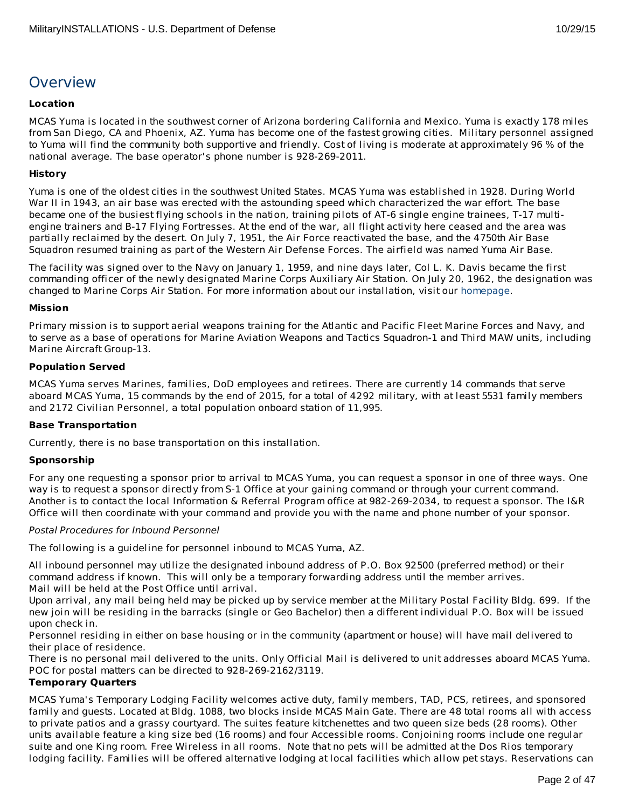# **Overview**

# **Location**

MCAS Yuma is located in the southwest corner of Arizona bordering California and Mexico. Yuma is exactly 178 miles from San Diego, CA and Phoenix, AZ. Yuma has become one of the fastest growing cities. Military personnel assigned to Yuma will find the community both supportive and friendly. Cost of living is moderate at approximately 96 % of the national average. The base operator's phone number is 928-269-2011.

# **History**

Yuma is one of the oldest cities in the southwest United States. MCAS Yuma was established in 1928. During World War II in 1943, an air base was erected with the astounding speed which characterized the war effort. The base became one of the busiest flying schools in the nation, training pilots of AT-6 single engine trainees, T-17 multiengine trainers and B-17 Flying Fortresses. At the end of the war, all flight activity here ceased and the area was partially reclaimed by the desert. On July 7, 1951, the Air Force reactivated the base, and the 4750th Air Base Squadron resumed training as part of the Western Air Defense Forces. The airfield was named Yuma Air Base.

The facility was signed over to the Navy on January 1, 1959, and nine days later, Col L. K. Davis became the first commanding officer of the newly designated Marine Corps Auxiliary Air Station. On July 20, 1962, the designation was changed to Marine Corps Air Station. For more information about our installation, visit our [homepage](http://www.yuma.usmc.mil/).

# **Mission**

Primary mission is to support aerial weapons training for the Atlantic and Pacific Fleet Marine Forces and Navy, and to serve as a base of operations for Marine Aviation Weapons and Tactics Squadron-1 and Third MAW units, including Marine Aircraft Group-13.

# **Population Served**

MCAS Yuma serves Marines, families, DoD employees and retirees. There are currently 14 commands that serve aboard MCAS Yuma, 15 commands by the end of 2015, for a total of 4292 military, with at least 5531 family members and 2172 Civilian Personnel, a total population onboard station of 11,995.

# **Base Transportation**

Currently, there is no base transportation on this installation.

# **Sponsorship**

For any one requesting a sponsor prior to arrival to MCAS Yuma, you can request a sponsor in one of three ways. One way is to request a sponsor directly from S-1 Office at your gaining command or through your current command. Another is to contact the local Information & Referral Program office at 982-269-2034, to request a sponsor. The I&R Office will then coordinate with your command and provide you with the name and phone number of your sponsor.

# Postal Procedures for Inbound Personnel

The following is a guideline for personnel inbound to MCAS Yuma, AZ.

All inbound personnel may utilize the designated inbound address of P.O. Box 92500 (preferred method) or their command address if known. This will only be a temporary forwarding address until the member arrives. Mail will be held at the Post Office until arrival.

Upon arrival, any mail being held may be picked up by service member at the Military Postal Facility Bldg. 699. If the new join will be residing in the barracks (single or Geo Bachelor) then a different individual P.O. Box will be issued upon check in.

Personnel residing in either on base housing or in the community (apartment or house) will have mail delivered to their place of residence.

There is no personal mail delivered to the units. Only Official Mail is delivered to unit addresses aboard MCAS Yuma. POC for postal matters can be directed to 928-269-2162/3119.

# **Temporary Quarters**

MCAS Yuma's Temporary Lodging Facility welcomes active duty, family members, TAD, PCS, retirees, and sponsored family and guests. Located at Bldg. 1088, two blocks inside MCAS Main Gate. There are 48 total rooms all with access to private patios and a grassy courtyard. The suites feature kitchenettes and two queen size beds (28 rooms). Other units available feature a king size bed (16 rooms) and four Accessible rooms. Conjoining rooms include one regular suite and one King room. Free Wireless in all rooms. Note that no pets will be admitted at the Dos Rios temporary lodging facility. Families will be offered alternative lodging at local facilities which allow pet stays. Reservations can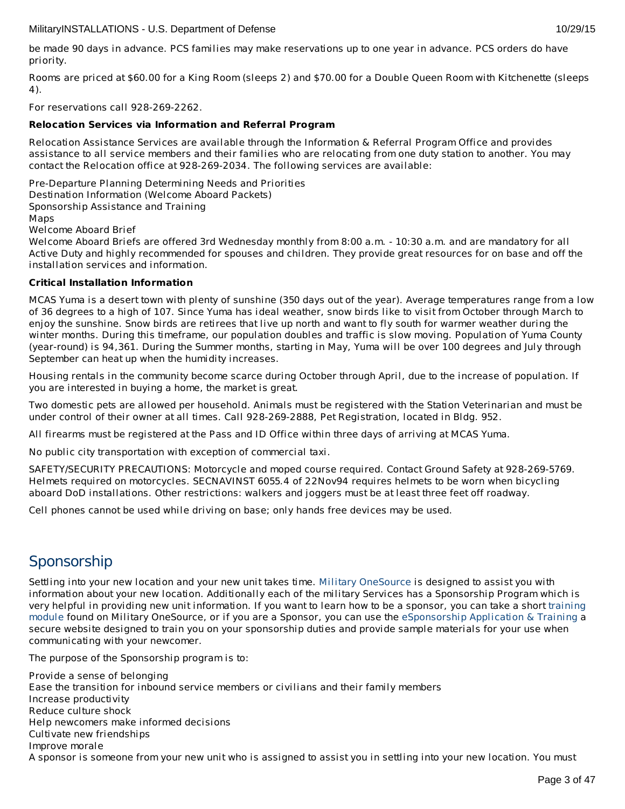be made 90 days in advance. PCS families may make reservations up to one year in advance. PCS orders do have priority.

Rooms are priced at \$60.00 for a King Room (sleeps 2) and \$70.00 for a Double Queen Room with Kitchenette (sleeps 4).

For reservations call 928-269-2262.

# **Relocation Services via Information and Referral Program**

Relocation Assistance Services are available through the Information & Referral Program Office and provides assistance to all service members and their families who are relocating from one duty station to another. You may contact the Relocation office at 928-269-2034. The following services are available:

Pre-Departure Planning Determining Needs and Priorities Destination Information (Welcome Aboard Packets) Sponsorship Assistance and Training Maps

Welcome Aboard Brief

Welcome Aboard Briefs are offered 3rd Wednesday monthly from 8:00 a.m. - 10:30 a.m. and are mandatory for all Active Duty and highly recommended for spouses and children. They provide great resources for on base and off the installation services and information.

# **Critical Installation Information**

MCAS Yuma is a desert town with plenty of sunshine (350 days out of the year). Average temperatures range from a low of 36 degrees to a high of 107. Since Yuma has ideal weather, snow birds like to visit from October through March to enjoy the sunshine. Snow birds are retirees that live up north and want to fly south for warmer weather during the winter months. During this timeframe, our population doubles and traffic is slow moving. Population of Yuma County (year-round) is 94,361. During the Summer months, starting in May, Yuma will be over 100 degrees and July through September can heat up when the humidity increases.

Housing rentals in the community become scarce during October through April, due to the increase of population. If you are interested in buying a home, the market is great.

Two domestic pets are allowed per household. Animals must be registered with the Station Veterinarian and must be under control of their owner at all times. Call 928-269-2888, Pet Registration, located in Bldg. 952.

All firearms must be registered at the Pass and ID Office within three days of arriving at MCAS Yuma.

No public city transportation with exception of commercial taxi.

SAFETY/SECURITY PRECAUTIONS: Motorcycle and moped course required. Contact Ground Safety at 928-269-5769. Helmets required on motorcycles. SECNAVINST 6055.4 of 22Nov94 requires helmets to be worn when bicycling aboard DoD installations. Other restrictions: walkers and joggers must be at least three feet off roadway.

Cell phones cannot be used while driving on base; only hands free devices may be used.

# **Sponsorship**

Settling into your new location and your new unit takes time. Military [OneSource](http://www.militaryonesource.mil/) is designed to assist you with information about your new location. Additionally each of the military Services has a Sponsorship Program which is very helpful in providing new unit [information.](http://apps.militaryonesource.mil/MOS/f?p=ESAT:WELCOMEP) If you want to learn how to be a sponsor, you can take a short training module found on Military OneSource, or if you are a Sponsor, you can use the [eSponsorship](http://apps.militaryonesource.mil/esat) Application & Training a secure website designed to train you on your sponsorship duties and provide sample materials for your use when communicating with your newcomer.

The purpose of the Sponsorship program is to:

Provide a sense of belonging Ease the transition for inbound service members or civilians and their family members Increase productivity Reduce culture shock Help newcomers make informed decisions Cultivate new friendships Improve morale A sponsor is someone from your new unit who is assigned to assist you in settling into your new location. You must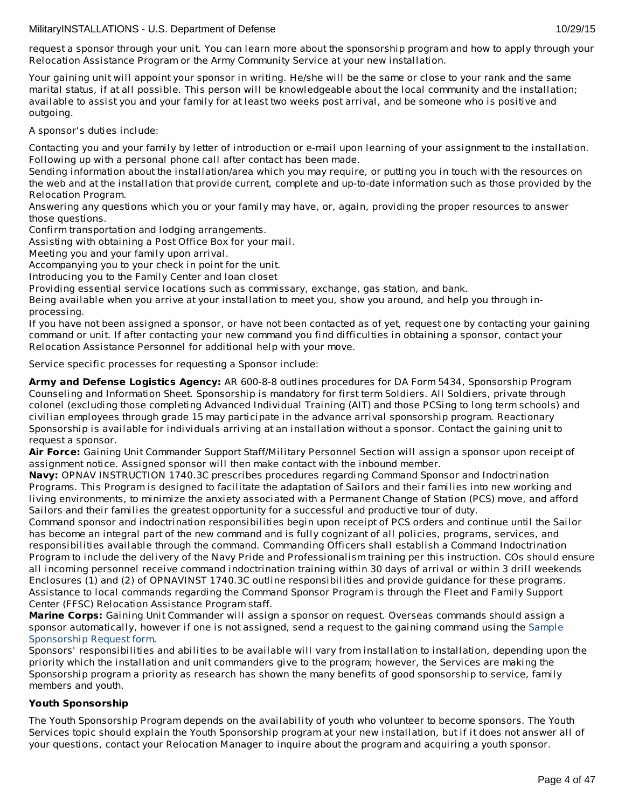Your gaining unit will appoint your sponsor in writing. He/she will be the same or close to your rank and the same marital status, if at all possible. This person will be knowledgeable about the local community and the installation; available to assist you and your family for at least two weeks post arrival, and be someone who is positive and outgoing.

A sponsor's duties include:

Contacting you and your family by letter of introduction or e-mail upon learning of your assignment to the installation. Following up with a personal phone call after contact has been made.

Sending information about the installation/area which you may require, or putting you in touch with the resources on the web and at the installation that provide current, complete and up-to-date information such as those provided by the Relocation Program.

Answering any questions which you or your family may have, or, again, providing the proper resources to answer those questions.

Confirm transportation and lodging arrangements.

Assisting with obtaining a Post Office Box for your mail.

Meeting you and your family upon arrival.

Accompanying you to your check in point for the unit.

Introducing you to the Family Center and loan closet

Providing essential service locations such as commissary, exchange, gas station, and bank.

Being available when you arrive at your installation to meet you, show you around, and help you through inprocessing.

If you have not been assigned a sponsor, or have not been contacted as of yet, request one by contacting your gaining command or unit. If after contacting your new command you find difficulties in obtaining a sponsor, contact your Relocation Assistance Personnel for additional help with your move.

Service specific processes for requesting a Sponsor include:

**Army and Defense Logistics Agency:** AR 600-8-8 outlines procedures for DA Form 5434, Sponsorship Program Counseling and Information Sheet. Sponsorship is mandatory for first term Soldiers. All Soldiers, private through colonel (excluding those completing Advanced Individual Training (AIT) and those PCSing to long term schools) and civilian employees through grade 15 may participate in the advance arrival sponsorship program. Reactionary Sponsorship is available for individuals arriving at an installation without a sponsor. Contact the gaining unit to request a sponsor.

**Air Force:** Gaining Unit Commander Support Staff/Military Personnel Section will assign a sponsor upon receipt of assignment notice. Assigned sponsor will then make contact with the inbound member.

**Navy:** OPNAV INSTRUCTION 1740.3C prescribes procedures regarding Command Sponsor and Indoctrination Programs. This Program is designed to facilitate the adaptation of Sailors and their families into new working and living environments, to minimize the anxiety associated with a Permanent Change of Station (PCS) move, and afford Sailors and their families the greatest opportunity for a successful and productive tour of duty.

Command sponsor and indoctrination responsibilities begin upon receipt of PCS orders and continue until the Sailor has become an integral part of the new command and is fully cognizant of all policies, programs, services, and responsibilities available through the command. Commanding Officers shall establish a Command Indoctrination Program to include the delivery of the Navy Pride and Professionalism training per this instruction. COs should ensure all incoming personnel receive command indoctrination training within 30 days of arrival or within 3 drill weekends Enclosures (1) and (2) of OPNAVINST 1740.3C outline responsibilities and provide guidance for these programs. Assistance to local commands regarding the Command Sponsor Program is through the Fleet and Family Support Center (FFSC) Relocation Assistance Program staff.

**Marine Corps:** Gaining Unit Commander will assign a sponsor on request. Overseas commands should assign a sponsor [automatically,](http://www.militaryonesource.mil/12038/MyDoD/Spons Request Form.doc) however if one is not assigned, send a request to the gaining command using the Sample Sponsorship Request form.

Sponsors' responsibilities and abilities to be available will vary from installation to installation, depending upon the priority which the installation and unit commanders give to the program; however, the Services are making the Sponsorship program a priority as research has shown the many benefits of good sponsorship to service, family members and youth.

# **Youth Sponsorship**

The Youth Sponsorship Program depends on the availability of youth who volunteer to become sponsors. The Youth Services topic should explain the Youth Sponsorship program at your new installation, but if it does not answer all of your questions, contact your Relocation Manager to inquire about the program and acquiring a youth sponsor.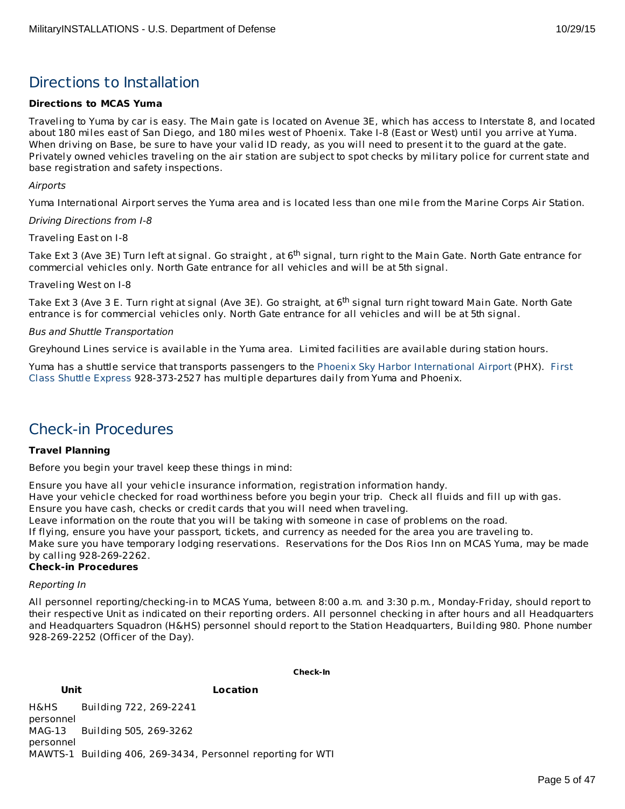# Directions to Installation

# **Directions to MCAS Yuma**

Traveling to Yuma by car is easy. The Main gate is located on Avenue 3E, which has access to Interstate 8, and located about 180 miles east of San Diego, and 180 miles west of Phoenix. Take I-8 (East or West) until you arrive at Yuma. When driving on Base, be sure to have your valid ID ready, as you will need to present it to the guard at the gate. Privately owned vehicles traveling on the air station are subject to spot checks by military police for current state and base registration and safety inspections.

Airports

Yuma International Airport serves the Yuma area and is located less than one mile from the Marine Corps Air Station.

Driving Directions from I-8

Traveling East on I-8

Take Ext 3 (Ave 3E) Turn left at signal. Go straight , at 6<sup>th</sup> signal, turn right to the Main Gate. North Gate entrance for commercial vehicles only. North Gate entrance for all vehicles and will be at 5th signal.

Traveling West on I-8

Take Ext 3 (Ave 3 E. Turn right at signal (Ave 3E). Go straight, at 6<sup>th</sup> signal turn right toward Main Gate. North Gate entrance is for commercial vehicles only. North Gate entrance for all vehicles and will be at 5th signal.

# Bus and Shuttle Transportation

Greyhound Lines service is available in the Yuma area. Limited facilities are available during station hours.

Yuma has a shuttle service that transports passengers to the Phoenix Sky Harbor [International](http://skyharbor.com/) Airport (PHX). First Class Shuttle Express [928-373-2527](http://www.yuma1stclass.com/) has multiple departures daily from Yuma and Phoenix.

# Check-in Procedures

# **Travel Planning**

Before you begin your travel keep these things in mind:

Ensure you have all your vehicle insurance information, registration information handy.

Have your vehicle checked for road worthiness before you begin your trip. Check all fluids and fill up with gas.

Ensure you have cash, checks or credit cards that you will need when traveling.

Leave information on the route that you will be taking with someone in case of problems on the road.

If flying, ensure you have your passport, tickets, and currency as needed for the area you are traveling to.

Make sure you have temporary lodging reservations. Reservations for the Dos Rios Inn on MCAS Yuma, may be made by calling 928-269-2262.

# **Check-in Procedures**

#### Reporting In

All personnel reporting/checking-in to MCAS Yuma, between 8:00 a.m. and 3:30 p.m., Monday-Friday, should report to their respective Unit as indicated on their reporting orders. All personnel checking in after hours and all Headquarters and Headquarters Squadron (H&HS) personnel should report to the Station Headquarters, Building 980. Phone number 928-269-2252 (Officer of the Day).

#### **Check-In**

**Unit Location** H&HS Building 722, 269-2241

personnel MAG-13 personnel Building 505, 269-3262 MAWTS-1 Building 406, 269-3434, Personnel reporting for WTI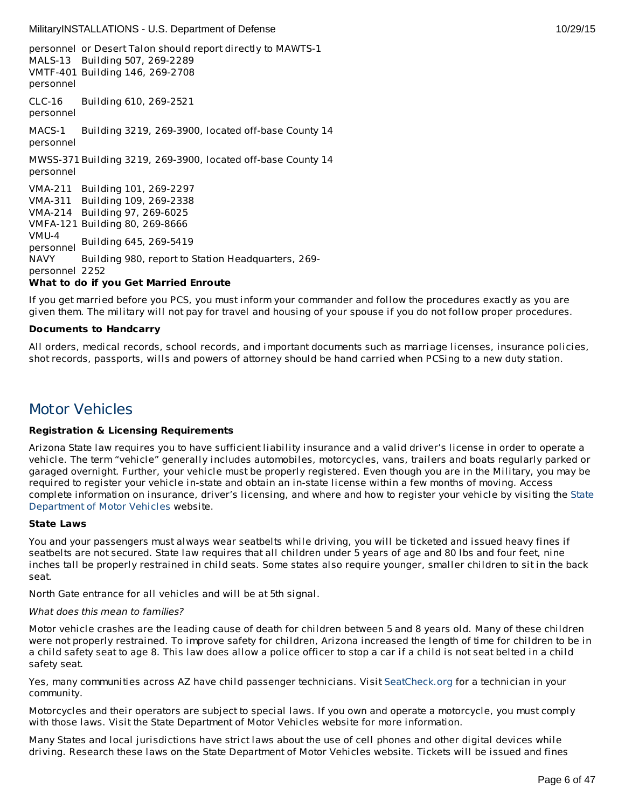personnel or Desert Talon should report directly to MAWTS-1 MALS-13 Building 507, 269-2289 VMTF-401 Building 146, 269-2708 personnel CLC-16 personnel Building 610, 269-2521 MACS-1 personnel Building 3219, 269-3900, located off-base County 14 MWSS-371 Building 3219, 269-3900, located off-base County 14 personnel VMA-211 Building 101, 269-2297 VMA-311 Building 109, 269-2338 VMA-214 Building 97, 269-6025 VMFA-121 Building 80, 269-8666 VMU-4 personnel Building 645, 269-5419 NAVY personnel 2252 Building 980, report to Station Headquarters, 269- **What to do if you Get Married Enroute**

If you get married before you PCS, you must inform your commander and follow the procedures exactly as you are given them. The military will not pay for travel and housing of your spouse if you do not follow proper procedures.

# **Documents to Handcarry**

All orders, medical records, school records, and important documents such as marriage licenses, insurance policies, shot records, passports, wills and powers of attorney should be hand carried when PCSing to a new duty station.

# Motor Vehicles

# **Registration & Licensing Requirements**

Arizona State law requires you to have sufficient liability insurance and a valid driver's license in order to operate a vehicle. The term "vehicle" generally includes automobiles, motorcycles, vans, trailers and boats regularly parked or garaged overnight. Further, your vehicle must be properly registered. Even though you are in the Military, you may be required to register your vehicle in-state and obtain an in-state license within a few months of moving. Access complete [information](http://www.azdot.gov/mvd/index.asp) on insurance, driver's licensing, and where and how to register your vehicle by visiting the State Department of Motor Vehicles website.

# **State Laws**

You and your passengers must always wear seatbelts while driving, you will be ticketed and issued heavy fines if seatbelts are not secured. State law requires that all children under 5 years of age and 80 lbs and four feet, nine inches tall be properly restrained in child seats. Some states also require younger, smaller children to sit in the back seat.

North Gate entrance for all vehicles and will be at 5th signal.

#### What does this mean to families?

Motor vehicle crashes are the leading cause of death for children between 5 and 8 years old. Many of these children were not properly restrained. To improve safety for children, Arizona increased the length of time for children to be in a child safety seat to age 8. This law does allow a police officer to stop a car if a child is not seat belted in a child safety seat.

Yes, many communities across AZ have child passenger technicians. Visit [SeatCheck.org](http://www.seatcheck.org/) for a technician in your community.

Motorcycles and their operators are subject to special laws. If you own and operate a motorcycle, you must comply with those laws. Visit the State Department of Motor Vehicles website for more information.

Many States and local jurisdictions have strict laws about the use of cell phones and other digital devices while driving. Research these laws on the State Department of Motor Vehicles website. Tickets will be issued and fines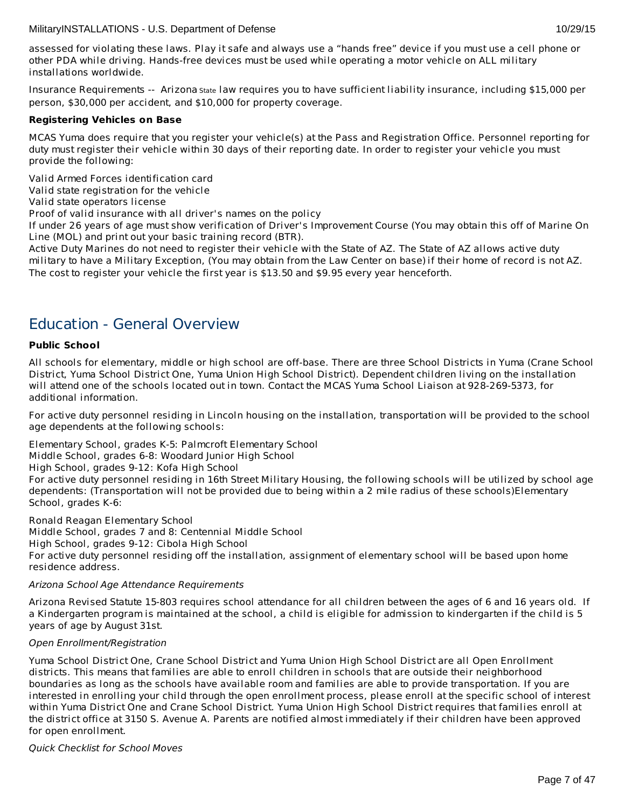assessed for violating these laws. Play it safe and always use a "hands free" device if you must use a cell phone or other PDA while driving. Hands-free devices must be used while operating a motor vehicle on ALL military installations worldwide.

Insurance Requirements -- Arizona State law requires you to have sufficient liability insurance, including \$15,000 per person, \$30,000 per accident, and \$10,000 for property coverage.

# **Registering Vehicles on Base**

MCAS Yuma does require that you register your vehicle(s) at the Pass and Registration Office. Personnel reporting for duty must register their vehicle within 30 days of their reporting date. In order to register your vehicle you must provide the following:

Valid Armed Forces identification card

Valid state registration for the vehicle

Valid state operators license

Proof of valid insurance with all driver's names on the policy

If under 26 years of age must show verification of Driver's Improvement Course (You may obtain this off of Marine On Line (MOL) and print out your basic training record (BTR).

Active Duty Marines do not need to register their vehicle with the State of AZ. The State of AZ allows active duty military to have a Military Exception, (You may obtain from the Law Center on base)if their home of record is not AZ. The cost to register your vehicle the first year is \$13.50 and \$9.95 every year henceforth.

# Education - General Overview

# **Public School**

All schools for elementary, middle or high school are off-base. There are three School Districts in Yuma (Crane School District, Yuma School District One, Yuma Union High School District). Dependent children living on the installation will attend one of the schools located out in town. Contact the MCAS Yuma School Liaison at 928-269-5373, for additional information.

For active duty personnel residing in Lincoln housing on the installation, transportation will be provided to the school age dependents at the following schools:

Elementary School, grades K-5: Palmcroft Elementary School

Middle School, grades 6-8: Woodard Junior High School

High School, grades 9-12: Kofa High School

For active duty personnel residing in 16th Street Military Housing, the following schools will be utilized by school age dependents: (Transportation will not be provided due to being within a 2 mile radius of these schools)Elementary School, grades K-6:

Ronald Reagan Elementary School Middle School, grades 7 and 8: Centennial Middle School High School, grades 9-12: Cibola High School For active duty personnel residing off the installation, assignment of elementary school will be based upon home residence address.

# Arizona School Age Attendance Requirements

Arizona Revised Statute 15-803 requires school attendance for all children between the ages of 6 and 16 years old. If a Kindergarten program is maintained at the school, a child is eligible for admission to kindergarten if the child is 5 years of age by August 31st.

# Open Enrollment/Registration

Yuma School District One, Crane School District and Yuma Union High School District are all Open Enrollment districts. This means that families are able to enroll children in schools that are outside their neighborhood boundaries as long as the schools have available room and families are able to provide transportation. If you are interested in enrolling your child through the open enrollment process, please enroll at the specific school of interest within Yuma District One and Crane School District. Yuma Union High School District requires that families enroll at the district office at 3150 S. Avenue A. Parents are notified almost immediately if their children have been approved for open enrollment.

Quick Checklist for School Moves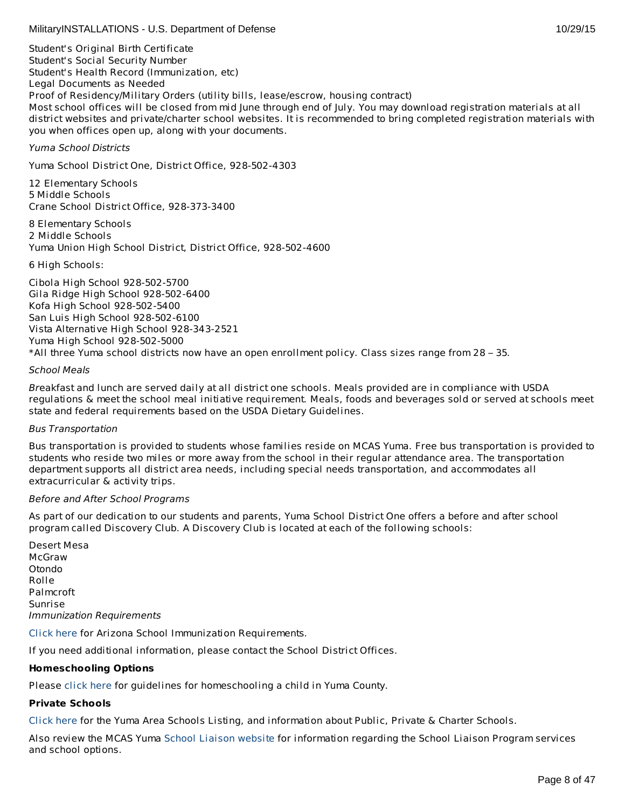Student's Original Birth Certificate Student's Social Security Number Student's Health Record (Immunization, etc) Legal Documents as Needed Proof of Residency/Military Orders (utility bills, lease/escrow, housing contract) Most school offices will be closed from mid June through end of July. You may download registration materials at all district websites and private/charter school websites. It is recommended to bring completed registration materials with you when offices open up, along with your documents.

Yuma School Districts

Yuma School District One, District Office, 928-502-4303

12 Elementary Schools 5 Middle Schools Crane School District Office, 928-373-3400

8 Elementary Schools 2 Middle Schools Yuma Union High School District, District Office, 928-502-4600

6 High Schools:

Cibola High School 928-502-5700 Gila Ridge High School 928-502-6400 Kofa High School 928-502-5400 San Luis High School 928-502-6100 Vista Alternative High School 928-343-2521 Yuma High School 928-502-5000 \*All three Yuma school districts now have an open enrollment policy. Class sizes range from 28 – 35.

# School Meals

Breakfast and lunch are served daily at all district one schools. Meals provided are in compliance with USDA regulations & meet the school meal initiative requirement. Meals, foods and beverages sold or served at schools meet state and federal requirements based on the USDA Dietary Guidelines.

# Bus Transportation

Bus transportation is provided to students whose families reside on MCAS Yuma. Free bus transportation is provided to students who reside two miles or more away from the school in their regular attendance area. The transportation department supports all district area needs, including special needs transportation, and accommodates all extracurricular & activity trips.

# Before and After School Programs

As part of our dedication to our students and parents, Yuma School District One offers a before and after school program called Discovery Club. A Discovery Club is located at each of the following schools:

Desert Mesa McGraw Otondo Rolle Palmcroft Sunrise Immunization Requirements

[Click](http://www.azdhs.gov/phs/immun/back2school.htm) here for Arizona School Immunization Requirements.

If you need additional information, please contact the School District Offices.

# **Homeschooling Options**

Please [click](http://www.yumacountyaz.gov/index.aspx?page=331) here for guidelines for homeschooling a child in Yuma County.

# **Private Schools**

[Click](http://www.yuma.usmc-mccs.org/index.cfm/family-life1/school-liaison/yuma-schools/) here for the Yuma Area Schools Listing, and information about Public, Private & Charter Schools.

Also review the MCAS Yuma School [Liaison](http://www.yuma.usmc-mccs.org/index.cfm/military-family/school-liaison/) website for information regarding the School Liaison Program services and school options.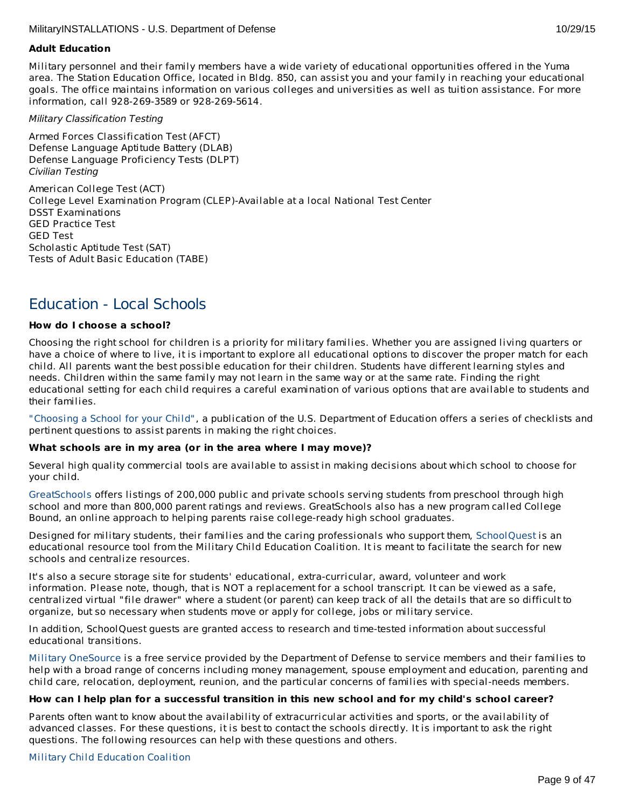# **Adult Education**

Military personnel and their family members have a wide variety of educational opportunities offered in the Yuma area. The Station Education Office, located in Bldg. 850, can assist you and your family in reaching your educational goals. The office maintains information on various colleges and universities as well as tuition assistance. For more information, call 928-269-3589 or 928-269-5614.

Military Classification Testing

Armed Forces Classification Test (AFCT) Defense Language Aptitude Battery (DLAB) Defense Language Proficiency Tests (DLPT) Civilian Testing

American College Test (ACT) College Level Examination Program (CLEP)-Available at a local National Test Center DSST Examinations GED Practice Test GED Test Scholastic Aptitude Test (SAT) Tests of Adult Basic Education (TABE)

# Education - Local Schools

# **How do I choose a school?**

Choosing the right school for children is a priority for military families. Whether you are assigned living quarters or have a choice of where to live, it is important to explore all educational options to discover the proper match for each child. All parents want the best possible education for their children. Students have different learning styles and needs. Children within the same family may not learn in the same way or at the same rate. Finding the right educational setting for each child requires a careful examination of various options that are available to students and their families.

["Choosing](http://www2.ed.gov/parents/schools/find/choose/index.html) a School for your Child", a publication of the U.S. Department of Education offers a series of checklists and pertinent questions to assist parents in making the right choices.

# **What schools are in my area (or in the area where I may move)?**

Several high quality commercial tools are available to assist in making decisions about which school to choose for your child.

[GreatSchools](http://www.greatschools.org/) offers listings of 200,000 public and private schools serving students from preschool through high school and more than 800,000 parent ratings and reviews. GreatSchools also has a new program called College Bound, an online approach to helping parents raise college-ready high school graduates.

Designed for military students, their families and the caring professionals who support them, [SchoolQuest](http://www.schoolquest.org/) is an educational resource tool from the Military Child Education Coalition. It is meant to facilitate the search for new schools and centralize resources.

It's also a secure storage site for students' educational, extra-curricular, award, volunteer and work information. Please note, though, that is NOT a replacement for a school transcript. It can be viewed as a safe, centralized virtual "file drawer" where a student (or parent) can keep track of all the details that are so difficult to organize, but so necessary when students move or apply for college, jobs or military service.

In addition, SchoolQuest guests are granted access to research and time-tested information about successful educational transitions.

Military [OneSource](http://www.militaryonesource.mil/) is a free service provided by the Department of Defense to service members and their families to help with a broad range of concerns including money management, spouse employment and education, parenting and child care, relocation, deployment, reunion, and the particular concerns of families with special-needs members.

# How can I help plan for a successful transition in this new school and for my child's school career?

Parents often want to know about the availability of extracurricular activities and sports, or the availability of advanced classes. For these questions, it is best to contact the schools directly. It is important to ask the right questions. The following resources can help with these questions and others.

# Military Child [Education](http://www.militarychild.org/) Coalition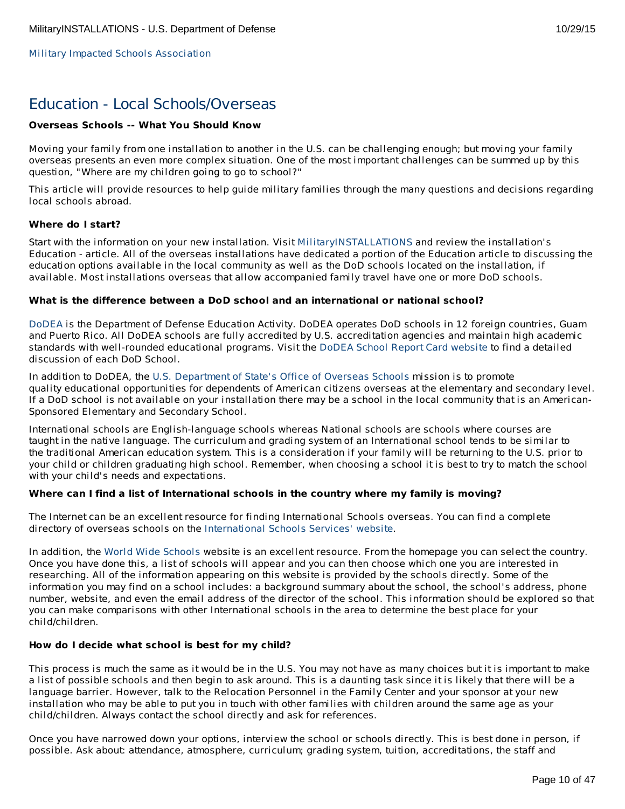Military Impacted Schools [Association](http://militaryimpactedschoolsassociation.org/)

# Education - Local Schools/Overseas

# **Overseas Schools -- What You Should Know**

Moving your family from one installation to another in the U.S. can be challenging enough; but moving your family overseas presents an even more complex situation. One of the most important challenges can be summed up by this question, "Where are my children going to go to school?"

This article will provide resources to help guide military families through the many questions and decisions regarding local schools abroad.

# **Where do I start?**

Start with the information on your new installation. Visit [MilitaryINSTALLATIONS](http://www.militaryinstallations.dod.mil) and review the installation's Education - article. All of the overseas installations have dedicated a portion of the Education article to discussing the education options available in the local community as well as the DoD schools located on the installation, if available. Most installations overseas that allow accompanied family travel have one or more DoD schools.

#### **What is the difference between a DoD school and an international or national school?**

[DoDEA](http://www.dodea.edu/) is the Department of Defense Education Activity. DoDEA operates DoD schools in 12 foreign countries, Guam and Puerto Rico. All DoDEA schools are fully accredited by U.S. accreditation agencies and maintain high academic standards with well-rounded educational programs. Visit the DoDEA School Report Card [website](https://webapps.dodea.edu/SRC) to find a detailed discussion of each DoD School.

In addition to DoDEA, the U.S. [Department](http://www.state.gov/m/a/os/) of State's Office of Overseas Schools mission is to promote quality educational opportunities for dependents of American citizens overseas at the elementary and secondary level. If a DoD school is not available on your installation there may be a school in the local community that is an American-Sponsored Elementary and Secondary School.

International schools are English-language schools whereas National schools are schools where courses are taught in the native language. The curriculum and grading system of an International school tends to be similar to the traditional American education system. This is a consideration if your family will be returning to the U.S. prior to your child or children graduating high school. Remember, when choosing a school it is best to try to match the school with your child's needs and expectations.

# **Where can I find a list of International schools in the country where my family is moving?**

The Internet can be an excellent resource for finding International Schools overseas. You can find a complete directory of overseas schools on the [International](http://www.iss.edu/) Schools Services' website.

In addition, the World Wide [Schools](http://www.english-schools.org/index.htm) website is an excellent resource. From the homepage you can select the country. Once you have done this, a list of schools will appear and you can then choose which one you are interested in researching. All of the information appearing on this website is provided by the schools directly. Some of the information you may find on a school includes: a background summary about the school, the school's address, phone number, website, and even the email address of the director of the school. This information should be explored so that you can make comparisons with other International schools in the area to determine the best place for your child/children.

#### **How do I decide what school is best for my child?**

This process is much the same as it would be in the U.S. You may not have as many choices but it is important to make a list of possible schools and then begin to ask around. This is a daunting task since it is likely that there will be a language barrier. However, talk to the Relocation Personnel in the Family Center and your sponsor at your new installation who may be able to put you in touch with other families with children around the same age as your child/children. Always contact the school directly and ask for references.

Once you have narrowed down your options, interview the school or schools directly. This is best done in person, if possible. Ask about: attendance, atmosphere, curriculum; grading system, tuition, accreditations, the staff and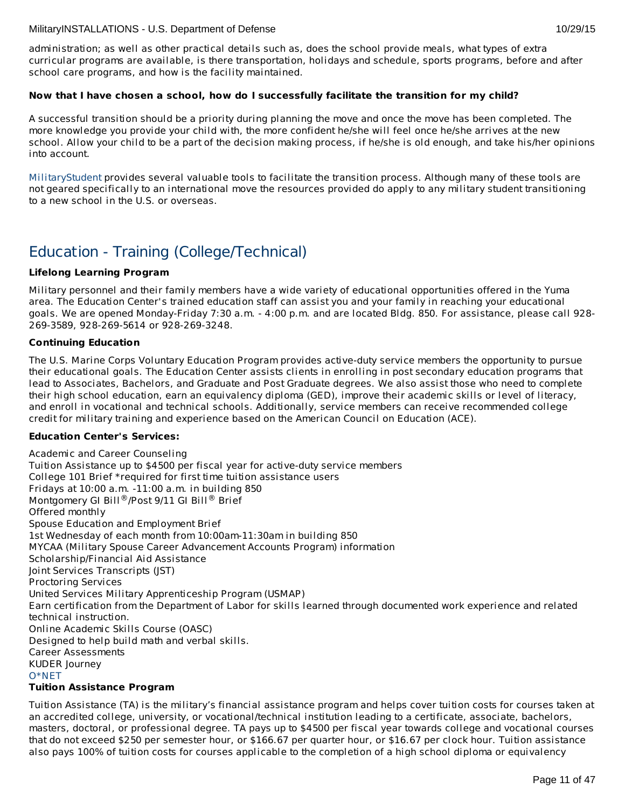administration; as well as other practical details such as, does the school provide meals, what types of extra curricular programs are available, is there transportation, holidays and schedule, sports programs, before and after school care programs, and how is the facility maintained.

# **Now that I have chosen a school, how do I successfully facilitate the transition for my child?**

A successful transition should be a priority during planning the move and once the move has been completed. The more knowledge you provide your child with, the more confident he/she will feel once he/she arrives at the new school. Allow your child to be a part of the decision making process, if he/she is old enough, and take his/her opinions into account.

[MilitaryStudent](http://militaryk12partners.dodea.edu/) provides several valuable tools to facilitate the transition process. Although many of these tools are not geared specifically to an international move the resources provided do apply to any military student transitioning to a new school in the U.S. or overseas.

# Education - Training (College/Technical)

# **Lifelong Learning Program**

Military personnel and their family members have a wide variety of educational opportunities offered in the Yuma area. The Education Center's trained education staff can assist you and your family in reaching your educational goals. We are opened Monday-Friday 7:30 a.m. - 4:00 p.m. and are located Bldg. 850. For assistance, please call 928- 269-3589, 928-269-5614 or 928-269-3248.

# **Continuing Education**

The U.S. Marine Corps Voluntary Education Program provides active-duty service members the opportunity to pursue their educational goals. The Education Center assists clients in enrolling in post secondary education programs that lead to Associates, Bachelors, and Graduate and Post Graduate degrees. We also assist those who need to complete their high school education, earn an equivalency diploma (GED), improve their academic skills or level of literacy, and enroll in vocational and technical schools. Additionally, service members can receive recommended college credit for military training and experience based on the American Council on Education (ACE).

# **Education Center's Services:**

Academic and Career Counseling Tuition Assistance up to \$4500 per fiscal year for active-duty service members College 101 Brief \*required for first time tuition assistance users Fridays at 10:00 a.m. -11:00 a.m. in building 850 Montgomery GI Bill®/Post 9/11 GI Bill® Brief Offered monthly Spouse Education and Employment Brief 1st Wednesday of each month from 10:00am-11:30am in building 850 MYCAA (Military Spouse Career Advancement Accounts Program) information Scholarship/Financial Aid Assistance Joint Services Transcripts (JST) Proctoring Services United Services Military Apprenticeship Program (USMAP) Earn certification from the Department of Labor for skills learned through documented work experience and related technical instruction. Online Academic Skills Course (OASC) Designed to help build math and verbal skills. Career Assessments KUDER Journey [O\\*NET](http://www.onetonline.org) **Tuition Assistance Program**

Tuition Assistance (TA) is the military's financial assistance program and helps cover tuition costs for courses taken at an accredited college, university, or vocational/technical institution leading to a certificate, associate, bachelors, masters, doctoral, or professional degree. TA pays up to \$4500 per fiscal year towards college and vocational courses that do not exceed \$250 per semester hour, or \$166.67 per quarter hour, or \$16.67 per clock hour. Tuition assistance also pays 100% of tuition costs for courses applicable to the completion of a high school diploma or equivalency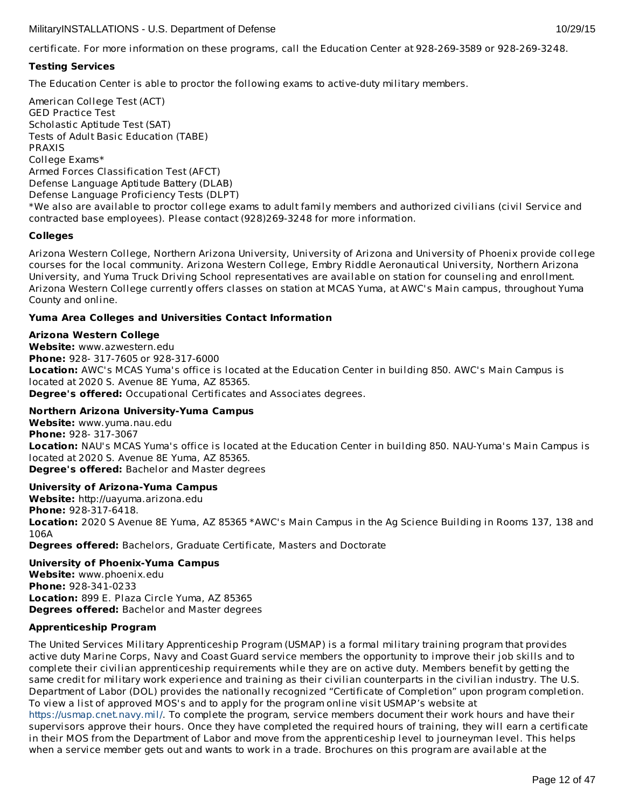certificate. For more information on these programs, call the Education Center at 928-269-3589 or 928-269-3248.

# **Testing Services**

The Education Center is able to proctor the following exams to active-duty military members.

American College Test (ACT) GED Practice Test Scholastic Aptitude Test (SAT) Tests of Adult Basic Education (TABE) PRAXIS College Exams\* Armed Forces Classification Test (AFCT) Defense Language Aptitude Battery (DLAB) Defense Language Proficiency Tests (DLPT) \*We also are available to proctor college exams to adult family members and authorized civilians (civil Service and contracted base employees). Please contact (928)269-3248 for more information.

# **Colleges**

Arizona Western College, Northern Arizona University, University of Arizona and University of Phoenix provide college courses for the local community. Arizona Western College, Embry Riddle Aeronautical University, Northern Arizona University, and Yuma Truck Driving School representatives are available on station for counseling and enrollment. Arizona Western College currently offers classes on station at MCAS Yuma, at AWC's Main campus, throughout Yuma County and online.

# **Yuma Area Colleges and Universities Contact Information**

# **Arizona Western College**

**Website:** www.azwestern.edu **Phone:** 928- 317-7605 or 928-317-6000 **Location:** AWC's MCAS Yuma's office is located at the Education Center in building 850. AWC's Main Campus is located at 2020 S. Avenue 8E Yuma, AZ 85365. **Degree's offered:** Occupational Certificates and Associates degrees.

# **Northern Arizona University-Yuma Campus**

**Website:** www.yuma.nau.edu **Phone:** 928- 317-3067 **Location:** NAU's MCAS Yuma's office is located at the Education Center in building 850. NAU-Yuma's Main Campus is located at 2020 S. Avenue 8E Yuma, AZ 85365. **Degree's offered:** Bachelor and Master degrees

# **University of Arizona-Yuma Campus**

**Website:** http://uayuma.arizona.edu **Phone:** 928-317-6418. **Location:** 2020 S Avenue 8E Yuma, AZ 85365 \*AWC's Main Campus in the Ag Science Building in Rooms 137, 138 and 106A **Degrees offered:** Bachelors, Graduate Certificate, Masters and Doctorate

# **University of Phoenix-Yuma Campus**

**Website:** www.phoenix.edu **Phone:** 928-341-0233 **Location:** 899 E. Plaza Circle Yuma, AZ 85365 **Degrees offered:** Bachelor and Master degrees

# **Apprenticeship Program**

The United Services Military Apprenticeship Program (USMAP) is a formal military training program that provides active duty Marine Corps, Navy and Coast Guard service members the opportunity to improve their job skills and to complete their civilian apprenticeship requirements while they are on active duty. Members benefit by getting the same credit for military work experience and training as their civilian counterparts in the civilian industry. The U.S. Department of Labor (DOL) provides the nationally recognized "Certificate of Completion" upon program completion. To view a list of approved MOS's and to apply for the program online visit USMAP's website at

<https://usmap.cnet.navy.mil/>. To complete the program, service members document their work hours and have their supervisors approve their hours. Once they have completed the required hours of training, they will earn a certificate in their MOS from the Department of Labor and move from the apprenticeship level to journeyman level. This helps when a service member gets out and wants to work in a trade. Brochures on this program are available at the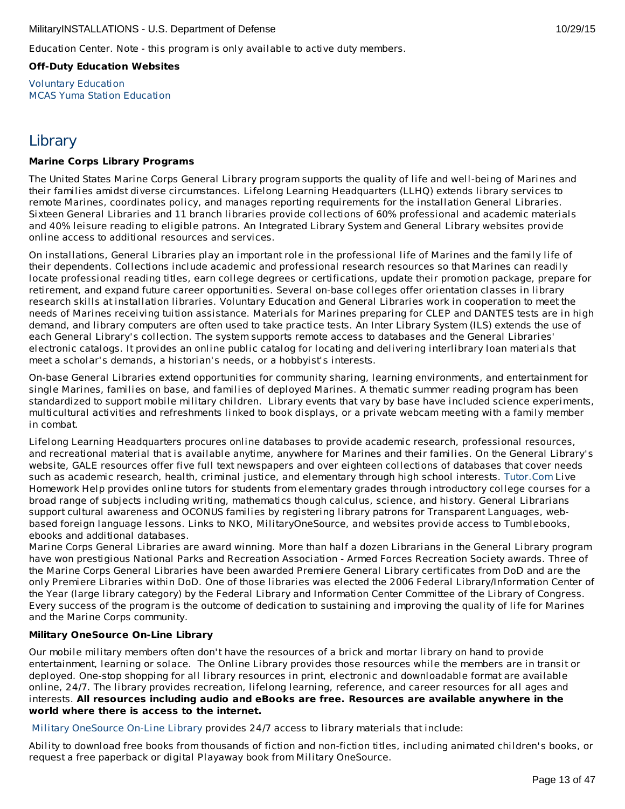Education Center. Note - this program is only available to active duty members.

**Off-Duty Education Websites**

Voluntary [Education](http://apps.militaryonesource.mil/MOS/f?p=VOLED:Home:0) MCAS Yuma Station [Education](#page-23-0)

# **Library**

# **Marine Corps Library Programs**

The United States Marine Corps General Library program supports the quality of life and well-being of Marines and their families amidst diverse circumstances. Lifelong Learning Headquarters (LLHQ) extends library services to remote Marines, coordinates policy, and manages reporting requirements for the installation General Libraries. Sixteen General Libraries and 11 branch libraries provide collections of 60% professional and academic materials and 40% leisure reading to eligible patrons. An Integrated Library System and General Library websites provide online access to additional resources and services.

On installations, General Libraries play an important role in the professional life of Marines and the family life of their dependents. Collections include academic and professional research resources so that Marines can readily locate professional reading titles, earn college degrees or certifications, update their promotion package, prepare for retirement, and expand future career opportunities. Several on-base colleges offer orientation classes in library research skills at installation libraries. Voluntary Education and General Libraries work in cooperation to meet the needs of Marines receiving tuition assistance. Materials for Marines preparing for CLEP and DANTES tests are in high demand, and library computers are often used to take practice tests. An Inter Library System (ILS) extends the use of each General Library's collection. The system supports remote access to databases and the General Libraries' electronic catalogs. It provides an online public catalog for locating and delivering interlibrary loan materials that meet a scholar's demands, a historian's needs, or a hobbyist's interests.

On-base General Libraries extend opportunities for community sharing, learning environments, and entertainment for single Marines, families on base, and families of deployed Marines. A thematic summer reading program has been standardized to support mobile military children. Library events that vary by base have included science experiments, multicultural activities and refreshments linked to book displays, or a private webcam meeting with a family member in combat.

Lifelong Learning Headquarters procures online databases to provide academic research, professional resources, and recreational material that is available anytime, anywhere for Marines and their families. On the General Library's website, GALE resources offer five full text newspapers and over eighteen collections of databases that cover needs such as academic research, health, criminal justice, and elementary through high school interests. [Tutor.Com](http://www.tutor.com/military) Live Homework Help provides online tutors for students from elementary grades through introductory college courses for a broad range of subjects including writing, mathematics though calculus, science, and history. General Librarians support cultural awareness and OCONUS families by registering library patrons for Transparent Languages, webbased foreign language lessons. Links to NKO, MilitaryOneSource, and websites provide access to Tumblebooks, ebooks and additional databases.

Marine Corps General Libraries are award winning. More than half a dozen Librarians in the General Library program have won prestigious National Parks and Recreation Association - Armed Forces Recreation Society awards. Three of the Marine Corps General Libraries have been awarded Premiere General Library certificates from DoD and are the only Premiere Libraries within DoD. One of those libraries was elected the 2006 Federal Library/Information Center of the Year (large library category) by the Federal Library and Information Center Committee of the Library of Congress. Every success of the program is the outcome of dedication to sustaining and improving the quality of life for Marines and the Marine Corps community.

# **Military OneSource On-Line Library**

Our mobile military members often don't have the resources of a brick and mortar library on hand to provide entertainment, learning or solace. The Online Library provides those resources while the members are in transit or deployed. One-stop shopping for all library resources in print, electronic and downloadable format are available online, 24/7. The library provides recreation, lifelong learning, reference, and career resources for all ages and interests. **All resources including audio and eBooks are free. Resources are available anywhere in the world where there is access to the internet.**

Military [OneSource](http://www.militaryonesource.mil) On-Line Library provides 24/7 access to library materials that include:

Ability to download free books from thousands of fiction and non-fiction titles, including animated children's books, or request a free paperback or digital Playaway book from Military OneSource.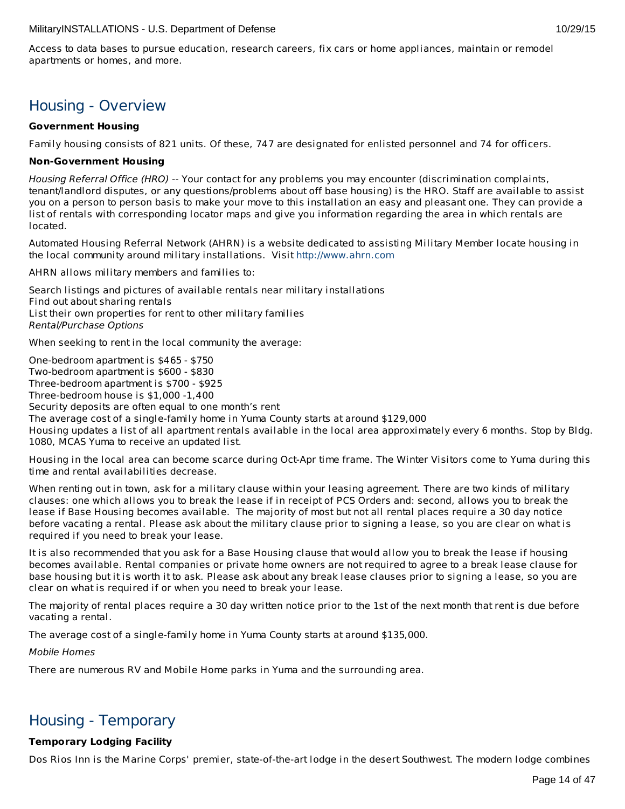Access to data bases to pursue education, research careers, fix cars or home appliances, maintain or remodel apartments or homes, and more.

# Housing - Overview

# **Government Housing**

Family housing consists of 821 units. Of these, 747 are designated for enlisted personnel and 74 for officers.

# **Non-Government Housing**

Housing Referral Office (HRO) -- Your contact for any problems you may encounter (discrimination complaints, tenant/landlord disputes, or any questions/problems about off base housing) is the HRO. Staff are available to assist you on a person to person basis to make your move to this installation an easy and pleasant one. They can provide a list of rentals with corresponding locator maps and give you information regarding the area in which rentals are located.

Automated Housing Referral Network (AHRN) is a website dedicated to assisting Military Member locate housing in the local community around military installations. Visit <http://www.ahrn.com>

AHRN allows military members and families to:

Search listings and pictures of available rentals near military installations Find out about sharing rentals List their own properties for rent to other military families Rental/Purchase Options

When seeking to rent in the local community the average:

One-bedroom apartment is \$465 - \$750 Two-bedroom apartment is \$600 - \$830 Three-bedroom apartment is \$700 - \$925 Three-bedroom house is \$1,000 -1,400 Security deposits are often equal to one month's rent The average cost of a single-family home in Yuma County starts at around \$129,000 Housing updates a list of all apartment rentals available in the local area approximately every 6 months. Stop by Bldg. 1080, MCAS Yuma to receive an updated list.

Housing in the local area can become scarce during Oct-Apr time frame. The Winter Visitors come to Yuma during this time and rental availabilities decrease.

When renting out in town, ask for a military clause within your leasing agreement. There are two kinds of military clauses: one which allows you to break the lease if in receipt of PCS Orders and: second, allows you to break the lease if Base Housing becomes available. The majority of most but not all rental places require a 30 day notice before vacating a rental. Please ask about the military clause prior to signing a lease, so you are clear on what is required if you need to break your lease.

It is also recommended that you ask for a Base Housing clause that would allow you to break the lease if housing becomes available. Rental companies or private home owners are not required to agree to a break lease clause for base housing but it is worth it to ask. Please ask about any break lease clauses prior to signing a lease, so you are clear on what is required if or when you need to break your lease.

The majority of rental places require a 30 day written notice prior to the 1st of the next month that rent is due before vacating a rental.

The average cost of a single-family home in Yuma County starts at around \$135,000.

Mobile Homes

There are numerous RV and Mobile Home parks in Yuma and the surrounding area.

# Housing - Temporary

# **Temporary Lodging Facility**

Dos Rios Inn is the Marine Corps' premier, state-of-the-art lodge in the desert Southwest. The modern lodge combines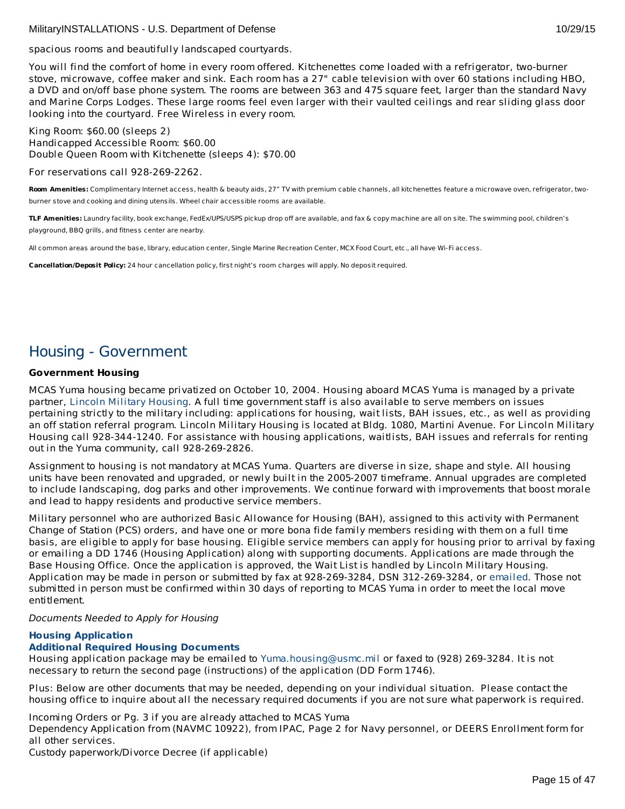spacious rooms and beautifully landscaped courtyards.

You will find the comfort of home in every room offered. Kitchenettes come loaded with a refrigerator, two-burner stove, microwave, coffee maker and sink. Each room has a 27" cable television with over 60 stations including HBO, a DVD and on/off base phone system. The rooms are between 363 and 475 square feet, larger than the standard Navy and Marine Corps Lodges. These large rooms feel even larger with their vaulted ceilings and rear sliding glass door looking into the courtyard. Free Wireless in every room.

King Room: \$60.00 (sleeps 2) Handicapped Accessible Room: \$60.00 Double Queen Room with Kitchenette (sleeps 4): \$70.00

For reservations call 928-269-2262.

**Room Amenities:** Complimentary Internet access, health & beauty aids, 27" TV with premium cable channels, all kitchenettes feature a microwave oven, refrigerator, twoburner stove and cooking and dining utensils. Wheel chair accessible rooms are available.

**TLF Amenities:** Laundry facility, book exchange, FedEx/UPS/USPS pickup drop off are available, and fax & copy machine are all on site. The swimming pool, children's playground, BBQ grills, and fitness center are nearby.

All common areas around the base, library, education center, Single Marine Recreation Center, MCX Food Court, etc., all have Wi-Fi access.

**Cancellation/Deposit Policy:** 24 hour cancellation policy, first night's room charges will apply. No deposit required.

# Housing - Government

# **Government Housing**

MCAS Yuma housing became privatized on October 10, 2004. Housing aboard MCAS Yuma is managed by a private partner, Lincoln Military [Housing](http://www.lpcmil.com/lmh/installations/yuma/). A full time government staff is also available to serve members on issues pertaining strictly to the military including: applications for housing, wait lists, BAH issues, etc., as well as providing an off station referral program. Lincoln Military Housing is located at Bldg. 1080, Martini Avenue. For Lincoln Military Housing call 928-344-1240. For assistance with housing applications, waitlists, BAH issues and referrals for renting out in the Yuma community, call 928-269-2826.

Assignment to housing is not mandatory at MCAS Yuma. Quarters are diverse in size, shape and style. All housing units have been renovated and upgraded, or newly built in the 2005-2007 timeframe. Annual upgrades are completed to include landscaping, dog parks and other improvements. We continue forward with improvements that boost morale and lead to happy residents and productive service members.

Military personnel who are authorized Basic Allowance for Housing (BAH), assigned to this activity with Permanent Change of Station (PCS) orders, and have one or more bona fide family members residing with them on a full time basis, are eligible to apply for base housing. Eligible service members can apply for housing prior to arrival by faxing or emailing a DD 1746 (Housing Application) along with supporting documents. Applications are made through the Base Housing Office. Once the application is approved, the Wait List is handled by Lincoln Military Housing. Application may be made in person or submitted by fax at 928-269-3284, DSN 312-269-3284, or [emailed](mailto:Yuma.housing@usmc.mil.). Those not submitted in person must be confirmed within 30 days of reporting to MCAS Yuma in order to meet the local move entitlement.

Documents Needed to Apply for Housing

# **Housing [Application](http://www.yuma.usmc.mil/services/housing/documents/housingapp.pdf)**

# **Additional Required Housing [Documents](http://www.yuma.usmc.mil/services/housing/documents/housingdoc.pdf)**

Housing application package may be emailed to [Yuma.housing@usmc.mil](mailto:Yuma.housing@usmc.mil) or faxed to (928) 269-3284. It is not necessary to return the second page (instructions) of the application (DD Form 1746).

Plus: Below are other documents that may be needed, depending on your individual situation. Please contact the housing office to inquire about all the necessary required documents if you are not sure what paperwork is required.

Incoming Orders or Pg. 3 if you are already attached to MCAS Yuma

Dependency Application from (NAVMC 10922), from IPAC, Page 2 for Navy personnel, or DEERS Enrollment form for all other services.

Custody paperwork/Divorce Decree (if applicable)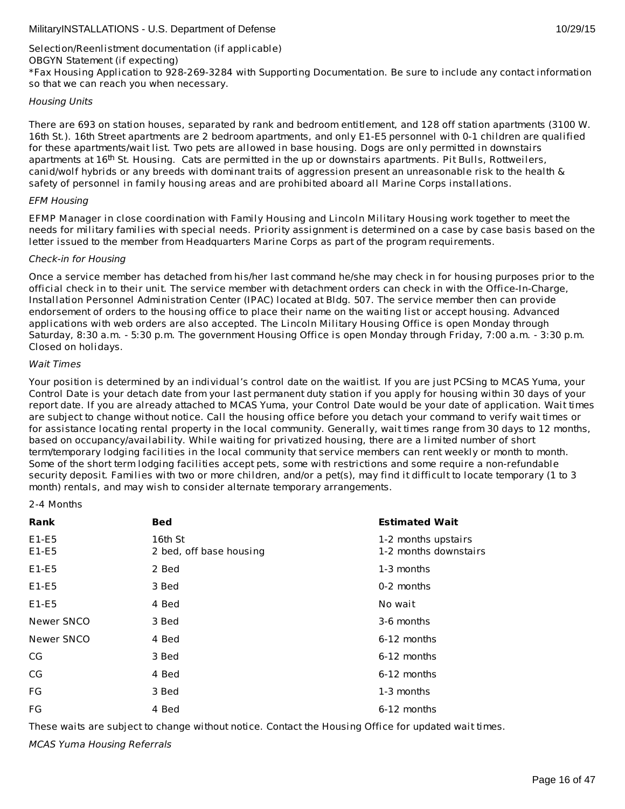# Selection/Reenlistment documentation (if applicable) OBGYN Statement (if expecting) \*Fax Housing Application to 928-269-3284 with Supporting Documentation. Be sure to include any contact information so that we can reach you when necessary.

# Housing Units

There are 693 on station houses, separated by rank and bedroom entitlement, and 128 off station apartments (3100 W. 16th St.). 16th Street apartments are 2 bedroom apartments, and only E1-E5 personnel with 0-1 children are qualified for these apartments/wait list. Two pets are allowed in base housing. Dogs are only permitted in downstairs apartments at 16<sup>th</sup> St. Housing. Cats are permitted in the up or downstairs apartments. Pit Bulls, Rottweilers, canid/wolf hybrids or any breeds with dominant traits of aggression present an unreasonable risk to the health & safety of personnel in family housing areas and are prohibited aboard all Marine Corps installations.

# EFM Housing

EFMP Manager in close coordination with Family Housing and Lincoln Military Housing work together to meet the needs for military families with special needs. Priority assignment is determined on a case by case basis based on the letter issued to the member from Headquarters Marine Corps as part of the program requirements.

# Check-in for Housing

Once a service member has detached from his/her last command he/she may check in for housing purposes prior to the official check in to their unit. The service member with detachment orders can check in with the Office-In-Charge, Installation Personnel Administration Center (IPAC) located at Bldg. 507. The service member then can provide endorsement of orders to the housing office to place their name on the waiting list or accept housing. Advanced applications with web orders are also accepted. The Lincoln Military Housing Office is open Monday through Saturday, 8:30 a.m. - 5:30 p.m. The government Housing Office is open Monday through Friday, 7:00 a.m. - 3:30 p.m. Closed on holidays.

#### Wait Times

Your position is determined by an individual's control date on the waitlist. If you are just PCSing to MCAS Yuma, your Control Date is your detach date from your last permanent duty station if you apply for housing within 30 days of your report date. If you are already attached to MCAS Yuma, your Control Date would be your date of application. Wait times are subject to change without notice. Call the housing office before you detach your command to verify wait times or for assistance locating rental property in the local community. Generally, wait times range from 30 days to 12 months, based on occupancy/availability. While waiting for privatized housing, there are a limited number of short term/temporary lodging facilities in the local community that service members can rent weekly or month to month. Some of the short term lodging facilities accept pets, some with restrictions and some require a non-refundable security deposit. Families with two or more children, and/or a pet(s), may find it difficult to locate temporary (1 to 3 month) rentals, and may wish to consider alternate temporary arrangements.

#### 2-4 Months

| Rank               | <b>Bed</b>                         | <b>Estimated Wait</b>                        |
|--------------------|------------------------------------|----------------------------------------------|
| $E1-E5$<br>$E1-E5$ | 16th St<br>2 bed, off base housing | 1-2 months upstairs<br>1-2 months downstairs |
| $E1-E5$            | 2 Bed                              | 1-3 months                                   |
| $E1-E5$            | 3 Bed                              | 0-2 months                                   |
| $E1-E5$            | 4 Bed                              | No wait                                      |
| Newer SNCO         | 3 Bed                              | 3-6 months                                   |
| Newer SNCO         | 4 Bed                              | 6-12 months                                  |
| CG                 | 3 Bed                              | 6-12 months                                  |
| CG                 | 4 Bed                              | 6-12 months                                  |
| FG                 | 3 Bed                              | 1-3 months                                   |
| FG                 | 4 Bed                              | $6-12$ months                                |

These waits are subject to change without notice. Contact the Housing Office for updated wait times.

MCAS Yuma Housing Referrals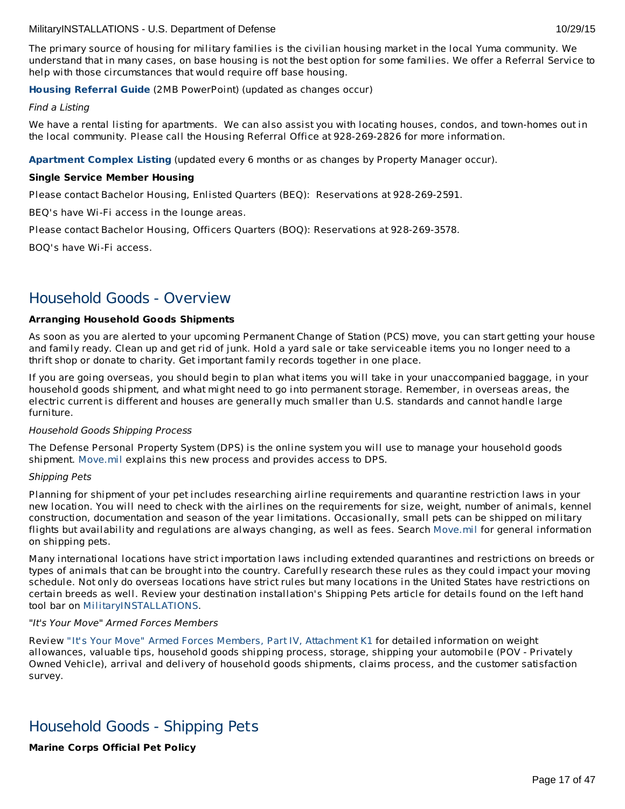The primary source of housing for military families is the civilian housing market in the local Yuma community. We understand that in many cases, on base housing is not the best option for some families. We offer a Referral Service to help with those circumstances that would require off base housing.

# **Housing [Referral](http://www.militaryonesource.mil/12038/MyDoD/MCAS Yuma Housing.pdf) Guide** (2MB PowerPoint) (updated as changes occur)

#### Find a Listing

We have a rental listing for apartments. We can also assist you with locating houses, condos, and town-homes out in the local community. Please call the Housing Referral Office at 928-269-2826 for more information.

**[Apartment](http://www.yuma.usmc.mil/services/housing/documents/apartments.html) Complex Listing** (updated every 6 months or as changes by Property Manager occur).

# **Single Service Member Housing**

Please contact Bachelor Housing, Enlisted Quarters (BEQ): Reservations at 928-269-2591.

BEQ's have Wi-Fi access in the lounge areas.

Please contact Bachelor Housing, Officers Quarters (BOQ): Reservations at 928-269-3578.

BOQ's have Wi-Fi access.

# Household Goods - Overview

# **Arranging Household Goods Shipments**

As soon as you are alerted to your upcoming Permanent Change of Station (PCS) move, you can start getting your house and family ready. Clean up and get rid of junk. Hold a yard sale or take serviceable items you no longer need to a thrift shop or donate to charity. Get important family records together in one place.

If you are going overseas, you should begin to plan what items you will take in your unaccompanied baggage, in your household goods shipment, and what might need to go into permanent storage. Remember, in overseas areas, the electric current is different and houses are generally much smaller than U.S. standards and cannot handle large furniture.

# Household Goods Shipping Process

The Defense Personal Property System (DPS) is the online system you will use to manage your household goods shipment. [Move.mil](http://www.move.mil/) explains this new process and provides access to DPS.

# Shipping Pets

Planning for shipment of your pet includes researching airline requirements and quarantine restriction laws in your new location. You will need to check with the airlines on the requirements for size, weight, number of animals, kennel construction, documentation and season of the year limitations. Occasionally, small pets can be shipped on military flights but availability and regulations are always changing, as well as fees. Search [Move.mil](http://www.move.mil/dod/travel_information/pets.cfm ) for general information on shipping pets.

Many international locations have strict importation laws including extended quarantines and restrictions on breeds or types of animals that can be brought into the country. Carefully research these rules as they could impact your moving schedule. Not only do overseas locations have strict rules but many locations in the United States have restrictions on certain breeds as well. Review your destination installation's Shipping Pets article for details found on the left hand tool bar on [MilitaryINSTALLATIONS](http://www.militaryinstallations.dod.mil/).

# "It's Your Move" Armed Forces Members

Review "It's Your Move" Armed Forces Members, Part IV, [Attachment](http://www.transcom.mil/dtr/part-iv/dtr_part_iv_app_k_1.pdf) K1 for detailed information on weight allowances, valuable tips, household goods shipping process, storage, shipping your automobile (POV - Privately Owned Vehicle), arrival and delivery of household goods shipments, claims process, and the customer satisfaction survey.

# Household Goods - Shipping Pets

**Marine Corps Official Pet Policy**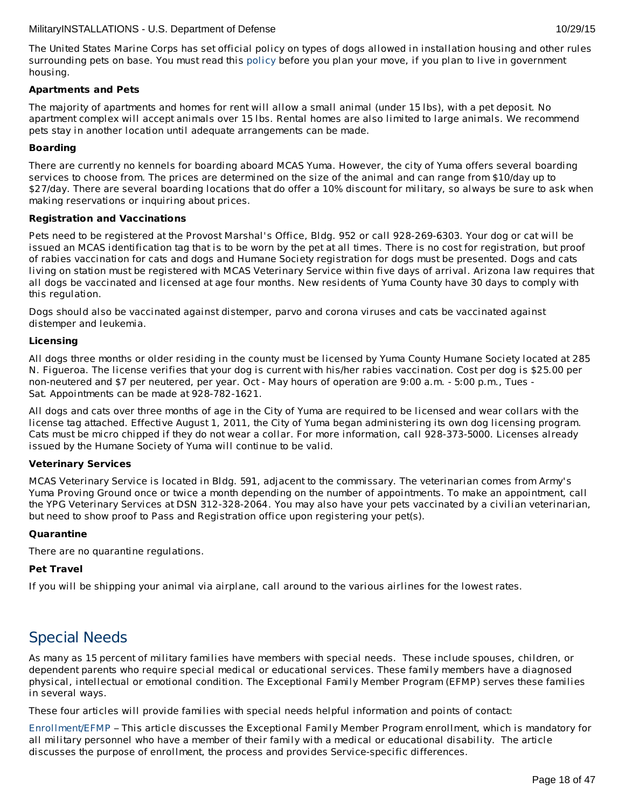The United States Marine Corps has set official policy on types of dogs allowed in installation housing and other rules surrounding pets on base. You must read this [policy](http://www.militaryonesource.mil/12038/Plan My Move/USMC pet policy 8 09.pdf) before you plan your move, if you plan to live in government housing.

#### **Apartments and Pets**

The majority of apartments and homes for rent will allow a small animal (under 15 lbs), with a pet deposit. No apartment complex will accept animals over 15 lbs. Rental homes are also limited to large animals. We recommend pets stay in another location until adequate arrangements can be made.

# **Boarding**

There are currently no kennels for boarding aboard MCAS Yuma. However, the city of Yuma offers several boarding services to choose from. The prices are determined on the size of the animal and can range from \$10/day up to \$27/day. There are several boarding locations that do offer a 10% discount for military, so always be sure to ask when making reservations or inquiring about prices.

#### **Registration and Vaccinations**

Pets need to be registered at the Provost Marshal's Office, Bldg. 952 or call 928-269-6303. Your dog or cat will be issued an MCAS identification tag that is to be worn by the pet at all times. There is no cost for registration, but proof of rabies vaccination for cats and dogs and Humane Society registration for dogs must be presented. Dogs and cats living on station must be registered with MCAS Veterinary Service within five days of arrival. Arizona law requires that all dogs be vaccinated and licensed at age four months. New residents of Yuma County have 30 days to comply with this regulation.

Dogs should also be vaccinated against distemper, parvo and corona viruses and cats be vaccinated against distemper and leukemia.

#### **Licensing**

All dogs three months or older residing in the county must be licensed by Yuma County Humane Society located at 285 N. Figueroa. The license verifies that your dog is current with his/her rabies vaccination. Cost per dog is \$25.00 per non-neutered and \$7 per neutered, per year. Oct - May hours of operation are 9:00 a.m. - 5:00 p.m., Tues - Sat. Appointments can be made at 928-782-1621.

All dogs and cats over three months of age in the City of Yuma are required to be licensed and wear collars with the license tag attached. Effective August 1, 2011, the City of Yuma began administering its own dog licensing program. Cats must be micro chipped if they do not wear a collar. For more information, call 928-373-5000. Licenses already issued by the Humane Society of Yuma will continue to be valid.

# **Veterinary Services**

MCAS Veterinary Service is located in Bldg. 591, adjacent to the commissary. The veterinarian comes from Army's Yuma Proving Ground once or twice a month depending on the number of appointments. To make an appointment, call the YPG Veterinary Services at DSN 312-328-2064. You may also have your pets vaccinated by a civilian veterinarian, but need to show proof to Pass and Registration office upon registering your pet(s).

# **Quarantine**

There are no quarantine regulations.

#### **Pet Travel**

If you will be shipping your animal via airplane, call around to the various airlines for the lowest rates.

# Special Needs

As many as 15 percent of military families have members with special needs. These include spouses, children, or dependent parents who require special medical or educational services. These family members have a diagnosed physical, intellectual or emotional condition. The Exceptional Family Member Program (EFMP) serves these families in several ways.

These four articles will provide families with special needs helpful information and points of contact:

[Enrollment/EFMP](http://apps.militaryonesource.mil/MOS/f?p=MI:CONTENT:0::::P4_INST_ID,P4_CONTENT_TITLE,P4_CONTENT_EKMT_ID,P4_CONTENT_DIRECTORY:295,Enrollment/EFMP,30.90.180.30.190.0.0.0.0,15) – This article discusses the Exceptional Family Member Program enrollment, which is mandatory for all military personnel who have a member of their family with a medical or educational disability. The article discusses the purpose of enrollment, the process and provides Service-specific differences.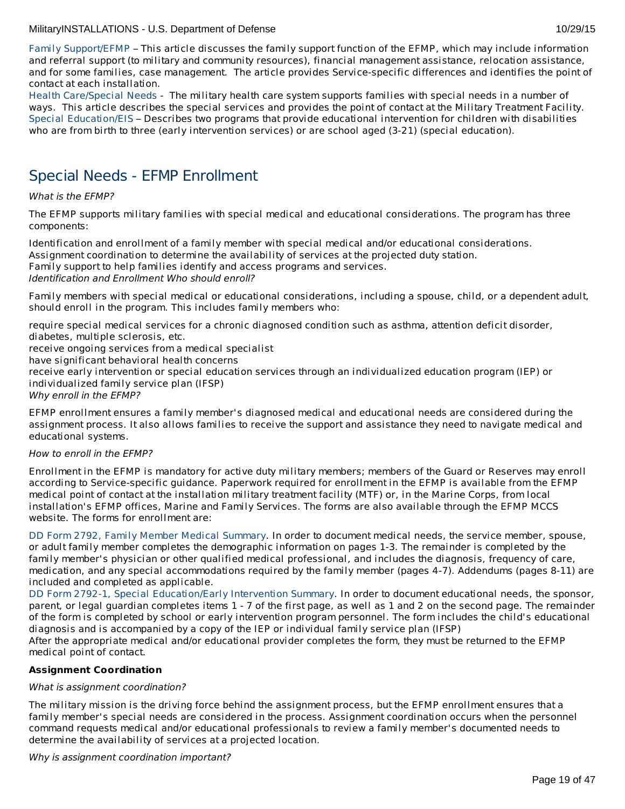Family [Support/EFMP](http://apps.militaryonesource.mil/MOS/f?p=MI:CONTENT:0::::P4_INST_ID,P4_CONTENT_TITLE,P4_CONTENT_EKMT_ID,P4_CONTENT_DIRECTORY:295,Family Support/EFMP,30.90.210.30.65.0.0.0.0,16) – This article discusses the family support function of the EFMP, which may include information and referral support (to military and community resources), financial management assistance, relocation assistance, and for some families, case management. The article provides Service-specific differences and identifies the point of contact at each installation.

Health [Care/Special](http://apps.militaryonesource.mil/MOS/f?p=MI:CONTENT:0::::P4_INST_ID,P4_CONTENT_TITLE,P4_CONTENT_EKMT_ID,P4_CONTENT_DIRECTORY:295,Health Care/Special Needs,30.90.180.30.180.0.0.0.0,61) Needs - The military health care system supports families with special needs in a number of ways. This article describes the special services and provides the point of contact at the Military Treatment Facility. Special [Education/EIS](http://apps.militaryonesource.mil/MOS/f?p=MI:CONTENT:0::::P4_INST_ID,P4_CONTENT_TITLE,P4_CONTENT_EKMT_ID,P4_CONTENT_DIRECTORY:295,Special Education/EIS,30.90.120.30.240.0.0.0.0,12) – Describes two programs that provide educational intervention for children with disabilities who are from birth to three (early intervention services) or are school aged (3-21) (special education).

# Special Needs - EFMP Enrollment

# What is the EFMP?

The EFMP supports military families with special medical and educational considerations. The program has three components:

Identification and enrollment of a family member with special medical and/or educational considerations. Assignment coordination to determine the availability of services at the projected duty station. Family support to help families identify and access programs and services. Identification and Enrollment Who should enroll?

Family members with special medical or educational considerations, including a spouse, child, or a dependent adult, should enroll in the program. This includes family members who:

require special medical services for a chronic diagnosed condition such as asthma, attention deficit disorder, diabetes, multiple sclerosis, etc.

receive ongoing services from a medical specialist

have significant behavioral health concerns

receive early intervention or special education services through an individualized education program (IEP) or individualized family service plan (IFSP)

Why enroll in the EFMP?

EFMP enrollment ensures a family member's diagnosed medical and educational needs are considered during the assignment process. It also allows families to receive the support and assistance they need to navigate medical and educational systems.

# How to enroll in the EFMP?

Enrollment in the EFMP is mandatory for active duty military members; members of the Guard or Reserves may enroll according to Service-specific guidance. Paperwork required for enrollment in the EFMP is available from the EFMP medical point of contact at the installation military treatment facility (MTF) or, in the Marine Corps, from local installation's EFMP offices, Marine and Family Services. The forms are also available through the EFMP MCCS website. The forms for enrollment are:

DD Form 2792, Family Member Medical [Summary](http://www.dtic.mil/whs/directives/forms/eforms/dd2792.pdf). In order to document medical needs, the service member, spouse, or adult family member completes the demographic information on pages 1-3. The remainder is completed by the family member's physician or other qualified medical professional, and includes the diagnosis, frequency of care, medication, and any special accommodations required by the family member (pages 4-7). Addendums (pages 8-11) are included and completed as applicable.

DD Form 2792-1, Special [Education/Early](http://www.dtic.mil/whs/directives/forms/eforms/dd2792-1.pdf) Intervention Summary. In order to document educational needs, the sponsor, parent, or legal guardian completes items 1 - 7 of the first page, as well as 1 and 2 on the second page. The remainder of the form is completed by school or early intervention program personnel. The form includes the child's educational diagnosis and is accompanied by a copy of the IEP or individual family service plan (IFSP)

After the appropriate medical and/or educational provider completes the form, they must be returned to the EFMP medical point of contact.

# **Assignment Coordination**

# What is assignment coordination?

The military mission is the driving force behind the assignment process, but the EFMP enrollment ensures that a family member's special needs are considered in the process. Assignment coordination occurs when the personnel command requests medical and/or educational professionals to review a family member's documented needs to determine the availability of services at a projected location.

Why is assignment coordination important?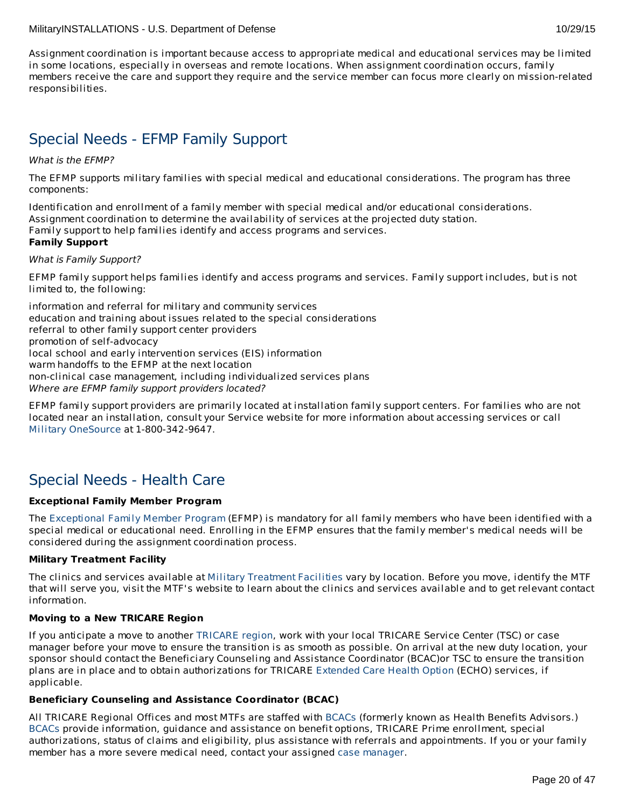Assignment coordination is important because access to appropriate medical and educational services may be limited in some locations, especially in overseas and remote locations. When assignment coordination occurs, family members receive the care and support they require and the service member can focus more clearly on mission-related responsibilities.

# Special Needs - EFMP Family Support

# What is the EFMP?

The EFMP supports military families with special medical and educational considerations. The program has three components:

Identification and enrollment of a family member with special medical and/or educational considerations. Assignment coordination to determine the availability of services at the projected duty station. Family support to help families identify and access programs and services.

# **Family Support**

# What is Family Support?

EFMP family support helps families identify and access programs and services. Family support includes, but is not limited to, the following:

information and referral for military and community services education and training about issues related to the special considerations referral to other family support center providers promotion of self-advocacy local school and early intervention services (EIS) information warm handoffs to the EFMP at the next location non-clinical case management, including individualized services plans Where are EFMP family support providers located?

EFMP family support providers are primarily located at installation family support centers. For families who are not located near an installation, consult your Service website for more information about accessing services or call Military [OneSource](http://www.militaryonesource.mil/) at 1-800-342-9647.

# Special Needs - Health Care

# **Exceptional Family Member Program**

The [Exceptional](http://www.militaryhomefront.dod.mil/MOS/f?p=MHF:HOME1:0::::SID:20.40.500.570.0.0.0.0.0) Family Member Program (EFMP) is mandatory for all family members who have been identified with a special medical or educational need. Enrolling in the EFMP ensures that the family member's medical needs will be considered during the assignment coordination process.

# **Military Treatment Facility**

The clinics and services available at Military [Treatment](http://tricare.mil/mtf/main1.aspx) Facilities vary by location. Before you move, identify the MTF that will serve you, visit the MTF's website to learn about the clinics and services available and to get relevant contact information.

# **Moving to a New TRICARE Region**

If you anticipate a move to another [TRICARE](http://www.tricare.mil/mhshome.aspx) region, work with your local TRICARE Service Center (TSC) or case manager before your move to ensure the transition is as smooth as possible. On arrival at the new duty location, your sponsor should contact the Beneficiary Counseling and Assistance Coordinator (BCAC)or TSC to ensure the transition plans are in place and to obtain authorizations for TRICARE [Extended](http://tricare.mil/mybenefit/ProfileFilter.do?puri=%2Fhome%2Foverview%2FSpecialPrograms%2FECHO) Care Health Option (ECHO) services, if applicable.

# **Beneficiary Counseling and Assistance Coordinator (BCAC)**

All TRICARE Regional Offices and most MTFs are staffed with [BCACs](http://www.tricare.mil/bcacdcao/) (formerly known as Health Benefits Advisors.) [BCACs](http://www.tricare.mil/bcacdcao/) provide information, guidance and assistance on benefit options, TRICARE Prime enrollment, special authorizations, status of claims and eligibility, plus assistance with referrals and appointments. If you or your family member has a more severe medical need, contact your assigned case [manager](http://www.militaryhomefront.dod.mil/tf/efmp).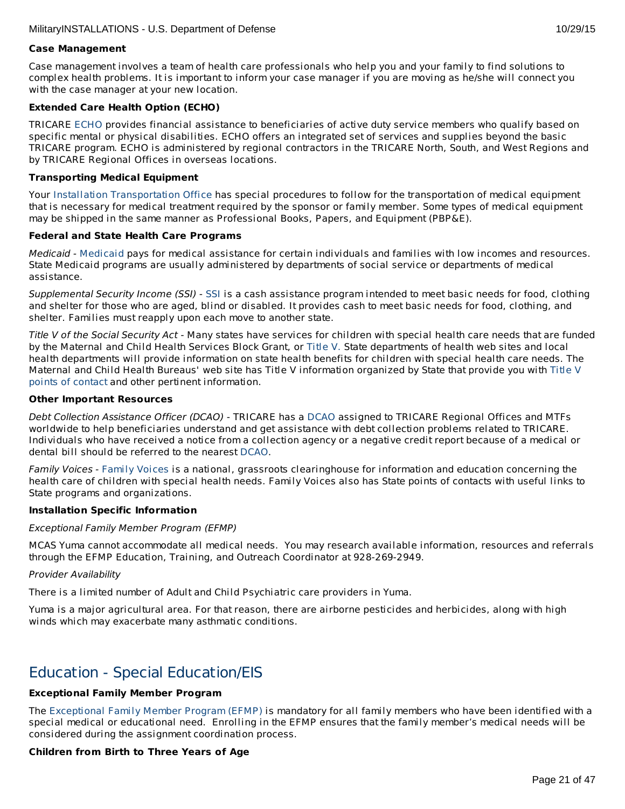#### **Case Management**

Case management involves a team of health care professionals who help you and your family to find solutions to complex health problems. It is important to inform your case manager if you are moving as he/she will connect you with the case manager at your new location.

# **Extended Care Health Option (ECHO)**

TRICARE [ECHO](http://tricare.mil/mybenefit/ProfileFilter.do?puri=%2Fhome%2Foverview%2FSpecialPrograms%2FECHO) provides financial assistance to beneficiaries of active duty service members who qualify based on specific mental or physical disabilities. ECHO offers an integrated set of services and supplies beyond the basic TRICARE program. ECHO is administered by regional contractors in the TRICARE North, South, and West Regions and by TRICARE Regional Offices in overseas locations.

# **Transporting Medical Equipment**

Your Installation [Transportation](http://www.militaryinstallations.dod.mil/) Office has special procedures to follow for the transportation of medical equipment that is necessary for medical treatment required by the sponsor or family member. Some types of medical equipment may be shipped in the same manner as Professional Books, Papers, and Equipment (PBP&E).

# **Federal and State Health Care Programs**

Medicaid - [Medicaid](http://www.militaryhomefront.dod.mil/tf/efmp/resources) pays for medical assistance for certain individuals and families with low incomes and resources. State Medicaid programs are usually administered by departments of social service or departments of medical assistance.

Supplemental Security Income (SSI) - [SSI](http://www.socialsecurity.gov/pgm/ssi.htm) is a cash assistance program intended to meet basic needs for food, clothing and shelter for those who are aged, blind or disabled. It provides cash to meet basic needs for food, clothing, and shelter. Families must reapply upon each move to another state.

Title V of the Social Security Act - Many states have services for children with special health care needs that are funded by the Maternal and Child Health Services Block Grant, or [Title](http://www.socialsecurity.gov/OP_Home/ssact/title05/0500.htm) V. State departments of health web sites and local health departments will provide information on state health benefits for children with special health care needs. The Maternal and Child Health Bureaus' web site has Title V [information](https://perfdata.hrsa.gov/mchb/TVISReports/ContactInfo/StateContactSearch.aspx) organized by State that provide you with Title V points of contact and other pertinent information.

# **Other Important Resources**

Debt Collection Assistance Officer (DCAO) - TRICARE has a [DCAO](http://www.tricare.mil/bcacdcao/) assigned to TRICARE Regional Offices and MTFs worldwide to help beneficiaries understand and get assistance with debt collection problems related to TRICARE. Individuals who have received a notice from a collection agency or a negative credit report because of a medical or dental bill should be referred to the nearest [DCAO](http://www.tricare.mil/bcacdcao/).

[Family](http://www.familyvoices.org) Voices - Family Voices is a national, grassroots clearinghouse for information and education concerning the health care of children with special health needs. Family Voices also has State points of contacts with useful links to State programs and organizations.

# **Installation Specific Information**

# Exceptional Family Member Program (EFMP)

MCAS Yuma cannot accommodate all medical needs. You may research available information, resources and referrals through the EFMP Education, Training, and Outreach Coordinator at 928-269-2949.

# Provider Availability

There is a limited number of Adult and Child Psychiatric care providers in Yuma.

Yuma is a major agricultural area. For that reason, there are airborne pesticides and herbicides, along with high winds which may exacerbate many asthmatic conditions.

# Education - Special Education/EIS

# **Exceptional Family Member Program**

The [Exceptional](http://www.militaryhomefront.dod.mil/tf/efmp) Family Member Program (EFMP) is mandatory for all family members who have been identified with a special medical or educational need. Enrolling in the EFMP ensures that the family member's medical needs will be considered during the assignment coordination process.

# **Children from Birth to Three Years of Age**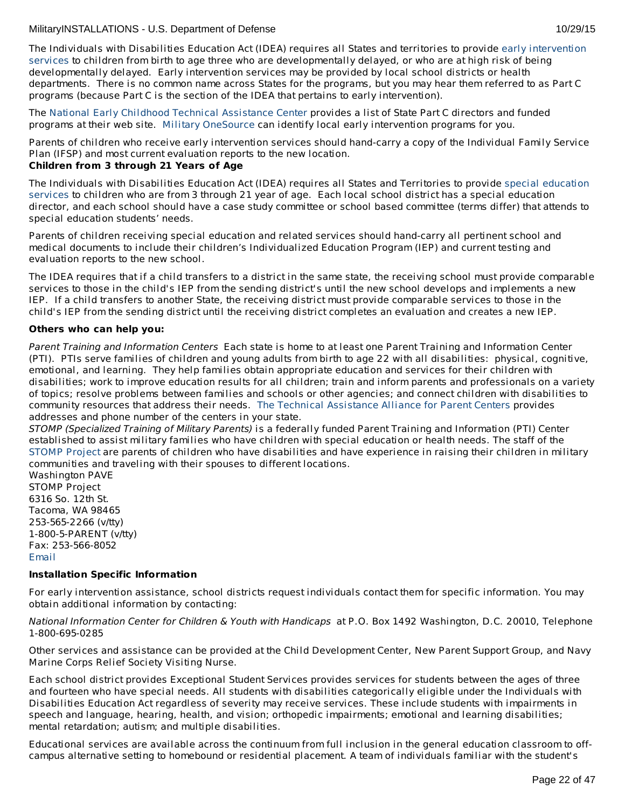The Individuals with Disabilities Education Act (IDEA) requires all States and territories to provide early intervention services to children from birth to age three who are [developmentally](http://www.militaryhomefront.dod.mil/tf/efmp) delayed, or who are at high risk of being developmentally delayed. Early intervention services may be provided by local school districts or health departments. There is no common name across States for the programs, but you may hear them referred to as Part C programs (because Part C is the section of the IDEA that pertains to early intervention).

The National Early Childhood Technical [Assistance](http://www.nectac.org/) Center provides a list of State Part C directors and funded programs at their web site. Military [OneSource](http://www.militaryonesource.mil/) can identify local early intervention programs for you.

Parents of children who receive early intervention services should hand-carry a copy of the Individual Family Service Plan (IFSP) and most current evaluation reports to the new location.

# **Children from 3 through 21 Years of Age**

The Individuals with [Disabilities](http://www.militaryhomefront.dod.mil/tf/efmp) Education Act (IDEA) requires all States and Territories to provide special education services to children who are from 3 through 21 year of age. Each local school district has a special education director, and each school should have a case study committee or school based committee (terms differ) that attends to special education students' needs.

Parents of children receiving special education and related services should hand-carry all pertinent school and medical documents to include their children's Individualized Education Program (IEP) and current testing and evaluation reports to the new school.

The IDEA requires that if a child transfers to a district in the same state, the receiving school must provide comparable services to those in the child's IEP from the sending district's until the new school develops and implements a new IEP. If a child transfers to another State, the receiving district must provide comparable services to those in the child's IEP from the sending district until the receiving district completes an evaluation and creates a new IEP.

# **Others who can help you:**

Parent Training and Information Centers Each state is home to at least one Parent Training and Information Center (PTI). PTIs serve families of children and young adults from birth to age 22 with all disabilities: physical, cognitive, emotional, and learning. They help families obtain appropriate education and services for their children with disabilities; work to improve education results for all children; train and inform parents and professionals on a variety of topics; resolve problems between families and schools or other agencies; and connect children with disabilities to community resources that address their needs. The Technical [Assistance](http://www.taalliance.org) Alliance for Parent Centers provides addresses and phone number of the centers in your state.

STOMP (Specialized Training of Military Parents) is a federally funded Parent Training and Information (PTI) Center established to assist military families who have children with special education or health needs. The staff of the [STOMP](http://www.stompproject.org/) Project are parents of children who have disabilities and have experience in raising their children in military communities and traveling with their spouses to different locations.

Washington PAVE STOMP Project 6316 So. 12th St. Tacoma, WA 98465 253-565-2266 (v/tty) 1-800-5-PARENT (v/tty) Fax: 253-566-8052 [Email](http://www.militaryinstallations.dod.mil/MOS/f?p=108:5:0::NO::P5_APP_NAME,P5_MSG_TYPE,P5_EID:STOMP Project,Consultant,1000001266)

# **Installation Specific Information**

For early intervention assistance, school districts request individuals contact them for specific information. You may obtain additional information by contacting:

National Information Center for Children & Youth with Handicaps at P.O. Box 1492 Washington, D.C. 20010, Telephone 1-800-695-0285

Other services and assistance can be provided at the Child Development Center, New Parent Support Group, and Navy Marine Corps Relief Society Visiting Nurse.

Each school district provides Exceptional Student Services provides services for students between the ages of three and fourteen who have special needs. All students with disabilities categorically eligible under the Individuals with Disabilities Education Act regardless of severity may receive services. These include students with impairments in speech and language, hearing, health, and vision; orthopedic impairments; emotional and learning disabilities; mental retardation; autism; and multiple disabilities.

Educational services are available across the continuum from full inclusion in the general education classroom to offcampus alternative setting to homebound or residential placement. A team of individuals familiar with the student's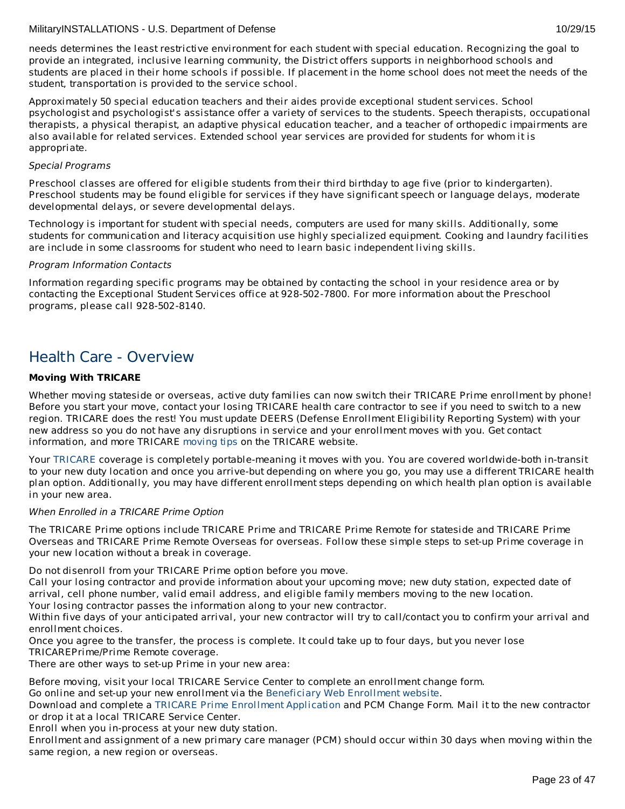Approximately 50 special education teachers and their aides provide exceptional student services. School psychologist and psychologist's assistance offer a variety of services to the students. Speech therapists, occupational therapists, a physical therapist, an adaptive physical education teacher, and a teacher of orthopedic impairments are also available for related services. Extended school year services are provided for students for whom it is appropriate.

# Special Programs

Preschool classes are offered for eligible students from their third birthday to age five (prior to kindergarten). Preschool students may be found eligible for services if they have significant speech or language delays, moderate developmental delays, or severe developmental delays.

Technology is important for student with special needs, computers are used for many skills. Additionally, some students for communication and literacy acquisition use highly specialized equipment. Cooking and laundry facilities are include in some classrooms for student who need to learn basic independent living skills.

# Program Information Contacts

Information regarding specific programs may be obtained by contacting the school in your residence area or by contacting the Exceptional Student Services office at 928-502-7800. For more information about the Preschool programs, please call 928-502-8140.

# Health Care - Overview

# **Moving With TRICARE**

Whether moving stateside or overseas, active duty families can now switch their TRICARE Prime enrollment by phone! Before you start your move, contact your losing TRICARE health care contractor to see if you need to switch to a new region. TRICARE does the rest! You must update DEERS (Defense Enrollment Eligibility Reporting System) with your new address so you do not have any disruptions in service and your enrollment moves with you. Get contact information, and more TRICARE [moving](http://www.tricare.mil/moving) tips on the TRICARE website.

Your [TRICARE](http://www.tricare.mil/) coverage is completely portable-meaning it moves with you. You are covered worldwide-both in-transit to your new duty location and once you arrive-but depending on where you go, you may use a different TRICARE health plan option. Additionally, you may have different enrollment steps depending on which health plan option is available in your new area.

# When Enrolled in a TRICARE Prime Option

The TRICARE Prime options include TRICARE Prime and TRICARE Prime Remote for stateside and TRICARE Prime Overseas and TRICARE Prime Remote Overseas for overseas. Follow these simple steps to set-up Prime coverage in your new location without a break in coverage.

Do not disenroll from your TRICARE Prime option before you move.

2. Call your losing contractor and provide information about your upcoming move; new duty station, expected date of arrival, cell phone number, valid email address, and eligible family members moving to the new location. Your losing contractor passes the information along to your new contractor.

Within five days of your anticipated arrival, your new contractor will try to call/contact you to confirm your arrival and enrollment choices.

Once you agree to the transfer, the process is complete. It could take up to four days, but you never lose TRICAREPrime/Prime Remote coverage.

There are other ways to set-up Prime in your new area:

Before moving, visit your local TRICARE Service Center to complete an enrollment change form.

Go online and set-up your new enrollment via the [Beneficiary](https://www.dmdc.osd.mil/appj/bwe/indexAction.do;jsessionid=7962ecfc6b86dfb33476ab70607f4835a6bef5c6f4af875ca0a4ac0a6b3b2fe3) Web Enrollment website.

3. Download and complete a TRICARE Prime Enrollment [Application](http://www.tricare.mil/Forms/Enrollment/Prime.aspx) and PCM Change Form. Mail it to the new contractor or drop it at a local TRICARE Service Center.

Enroll when you in-process at your new duty station.

Enrollment and assignment of a new primary care manager (PCM) should occur within 30 days when moving within the same region, a new region or overseas.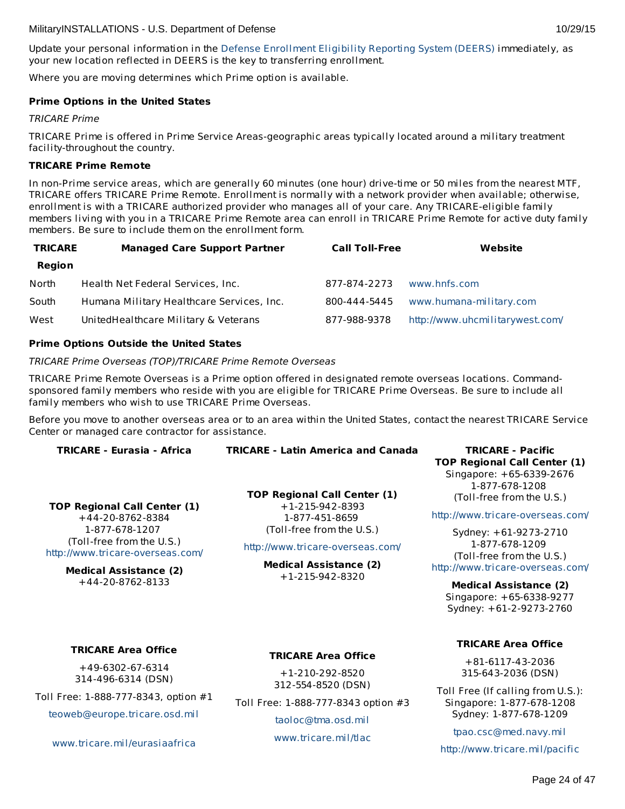<span id="page-23-0"></span>Update your personal information in the Defense [Enrollment](https://www.dmdc.osd.mil/self_service/rapids/unauthenticated;jsessionid=5DgBRmXRqGc3NBSmDVTbTrDzTH3Pcz9QSnKjGsXnGSYnw3n5gGHL!-250999068?execution=e1s1) Eligibility Reporting System (DEERS) immediately, as your new location reflected in DEERS is the key to transferring enrollment.

Where you are moving determines which Prime option is available.

# **Prime Options in the United States**

# TRICARE Prime

TRICARE Prime is offered in Prime Service Areas-geographic areas typically located around a military treatment facility-throughout the country.

# **TRICARE Prime Remote**

In non-Prime service areas, which are generally 60 minutes (one hour) drive-time or 50 miles from the nearest MTF, TRICARE offers TRICARE Prime Remote. Enrollment is normally with a network provider when available; otherwise, enrollment is with a TRICARE authorized provider who manages all of your care. Any TRICARE-eligible family members living with you in a TRICARE Prime Remote area can enroll in TRICARE Prime Remote for active duty family members. Be sure to include them on the enrollment form.

| <b>TRICARE</b> | <b>Managed Care Support Partner</b>       | <b>Call Toll-Free</b> | Website                         |
|----------------|-------------------------------------------|-----------------------|---------------------------------|
| Region         |                                           |                       |                                 |
| North          | Health Net Federal Services, Inc.         | 877-874-2273          | www.hnfs.com                    |
| South          | Humana Military Healthcare Services, Inc. | 800-444-5445          | www.humana-military.com         |
| West           | UnitedHealthcare Military & Veterans      | 877-988-9378          | http://www.uhcmilitarywest.com/ |

# **Prime Options Outside the United States**

TRICARE Prime Overseas (TOP)/TRICARE Prime Remote Overseas

TRICARE Prime Remote Overseas is a Prime option offered in designated remote overseas locations. Commandsponsored family members who reside with you are eligible for TRICARE Prime Overseas. Be sure to include all family members who wish to use TRICARE Prime Overseas.

Before you move to another overseas area or to an area within the United States, contact the nearest TRICARE Service Center or managed care contractor for assistance.

| <b>TRICARE - Eurasia - Africa</b>                             | <b>TRICARE - Latin America and Canada</b>                                  | <b>TRICARE - Pacific</b>                    |
|---------------------------------------------------------------|----------------------------------------------------------------------------|---------------------------------------------|
|                                                               |                                                                            | <b>TOP Regional Call Center (1)</b>         |
|                                                               |                                                                            | Singapore: +65-6339-2676                    |
|                                                               | <b>TOP Regional Call Center (1)</b><br>$+1-215-942-8393$<br>1-877-451-8659 | 1-877-678-1208                              |
|                                                               |                                                                            | (Toll-free from the U.S.)                   |
| <b>TOP Regional Call Center (1)</b><br>+44-20-8762-8384       |                                                                            | http://www.tricare-overseas.com/            |
| 1-877-678-1207                                                | (Toll-free from the U.S.)                                                  | Sydney: +61-9273-2710                       |
| (Toll-free from the U.S.)<br>http://www.tricare-overseas.com/ | http://www.tricare-overseas.com/                                           | 1-877-678-1209<br>(Toll-free from the U.S.) |
| <b>Medical Assistance (2)</b>                                 | <b>Medical Assistance (2)</b><br>$+1 - 215 - 942 - 8320$                   | http://www.tricare-overseas.com/            |
| +44-20-8762-8133                                              |                                                                            | <b>Medical Assistance (2)</b>               |
|                                                               |                                                                            | Singapore: +65-6338-9277                    |
|                                                               |                                                                            | Sydney: +61-2-9273-2760                     |
| <b>TRICARE Area Office</b>                                    |                                                                            | <b>TRICARE Area Office</b>                  |
|                                                               | TRICARE Auge Office                                                        |                                             |

+81-6117-43-2036 315-643-2036 (DSN)

Toll Free (If calling from U.S.): Singapore: 1-877-678-1208 Sydney: 1-877-678-1209

[tpao.csc@med.navy.mil](mailto:tpao.csc@med.navy.mil)

<http://www.tricare.mil/pacific>

# +49-6302-67-6314

314-496-6314 (DSN)

Toll Free: 1-888-777-8343, option #1

[teoweb@europe.tricare.osd.mil](mailto:teoweb@europe.tricare.osd.mil)

[www.tricare.mil/eurasiaafrica](http://www.tricare.mil/eurasiaafrica)

# **TRICARE Area Office**

+1-210-292-8520 312-554-8520 (DSN)

Toll Free: 1-888-777-8343 option #3

[taoloc@tma.osd.mil](mailto:taoloc@tma.osd.mil) [www.tricare.mil/tlac](http://www.tricare.mil/tlac)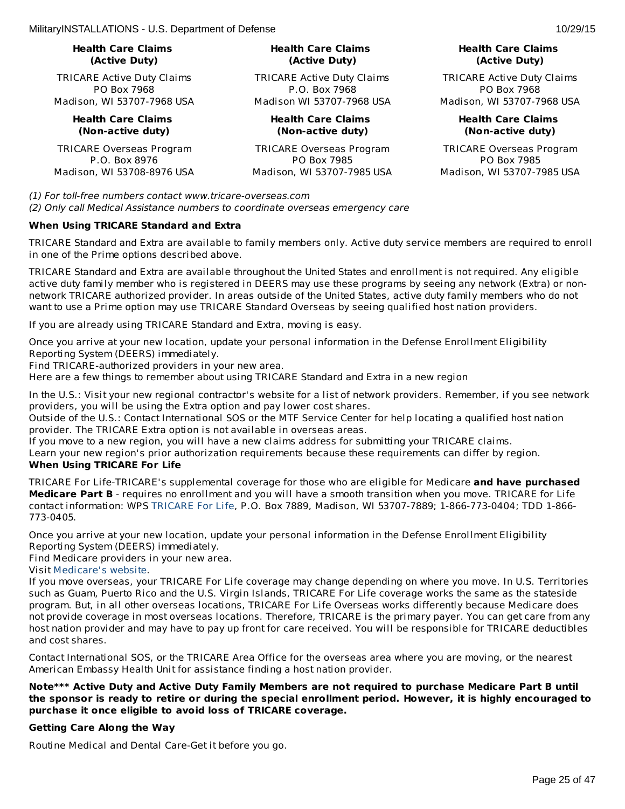# **Health Care Claims (Active Duty)**

TRICARE Active Duty Claims PO Box 7968 Madison, WI 53707-7968 USA

> **Health Care Claims (Non-active duty)**

TRICARE Overseas Program P.O. Box 8976 Madison, WI 53708-8976 USA

# **Health Care Claims (Active Duty)**

TRICARE Active Duty Claims P.O. Box 7968 Madison WI 53707-7968 USA

# **Health Care Claims (Non-active duty)**

TRICARE Overseas Program PO Box 7985 Madison, WI 53707-7985 USA

# **Health Care Claims (Active Duty)**

TRICARE Active Duty Claims PO Box 7968 Madison, WI 53707-7968 USA

# **Health Care Claims (Non-active duty)**

TRICARE Overseas Program PO Box 7985 Madison, WI 53707-7985 USA

(1) For toll-free numbers contact www.tricare-overseas.com

(2) Only call Medical Assistance numbers to coordinate overseas emergency care

# **When Using TRICARE Standard and Extra**

TRICARE Standard and Extra are available to family members only. Active duty service members are required to enroll in one of the Prime options described above.

TRICARE Standard and Extra are available throughout the United States and enrollment is not required. Any eligible active duty family member who is registered in DEERS may use these programs by seeing any network (Extra) or nonnetwork TRICARE authorized provider. In areas outside of the United States, active duty family members who do not want to use a Prime option may use TRICARE Standard Overseas by seeing qualified host nation providers.

If you are already using TRICARE Standard and Extra, moving is easy.

Once you arrive at your new location, update your personal information in the Defense Enrollment Eligibility Reporting System (DEERS) immediately.

Find TRICARE-authorized providers in your new area.

Here are a few things to remember about using TRICARE Standard and Extra in a new region

In the U.S.: Visit your new regional contractor's website for a list of network providers. Remember, if you see network providers, you will be using the Extra option and pay lower cost shares.

Outside of the U.S.: Contact International SOS or the MTF Service Center for help locating a qualified host nation provider. The TRICARE Extra option is not available in overseas areas.

If you move to a new region, you will have a new claims address for submitting your TRICARE claims.

Learn your new region's prior authorization requirements because these requirements can differ by region. **When Using TRICARE For Life**

TRICARE For Life-TRICARE's supplemental coverage for those who are eligible for Medicare **and have purchased Medicare Part B** - requires no enrollment and you will have a smooth transition when you move. TRICARE for Life contact information: WPS [TRICARE](https://www.tricare4u.com/apps-portal/tricareapps-app/static/) For Life, P.O. Box 7889, Madison, WI 53707-7889; 1-866-773-0404; TDD 1-866- 773-0405.

Once you arrive at your new location, update your personal information in the Defense Enrollment Eligibility Reporting System (DEERS) immediately.

Find Medicare providers in your new area.

# Visit [Medicare's](http://www.medicare.gov/) website.

If you move overseas, your TRICARE For Life coverage may change depending on where you move. In U.S. Territories such as Guam, Puerto Rico and the U.S. Virgin Islands, TRICARE For Life coverage works the same as the stateside program. But, in all other overseas locations, TRICARE For Life Overseas works differently because Medicare does not provide coverage in most overseas locations. Therefore, TRICARE is the primary payer. You can get care from any host nation provider and may have to pay up front for care received. You will be responsible for TRICARE deductibles and cost shares.

Contact International SOS, or the TRICARE Area Office for the overseas area where you are moving, or the nearest American Embassy Health Unit for assistance finding a host nation provider.

# **Note\*\*\* Active Duty and Active Duty Family Members are not required to purchase Medicare Part B until** the sponsor is ready to retire or during the special enrollment period. However, it is highly encouraged to **purchase it once eligible to avoid loss of TRICARE coverage.**

# **Getting Care Along the Way**

Routine Medical and Dental Care-Get it before you go.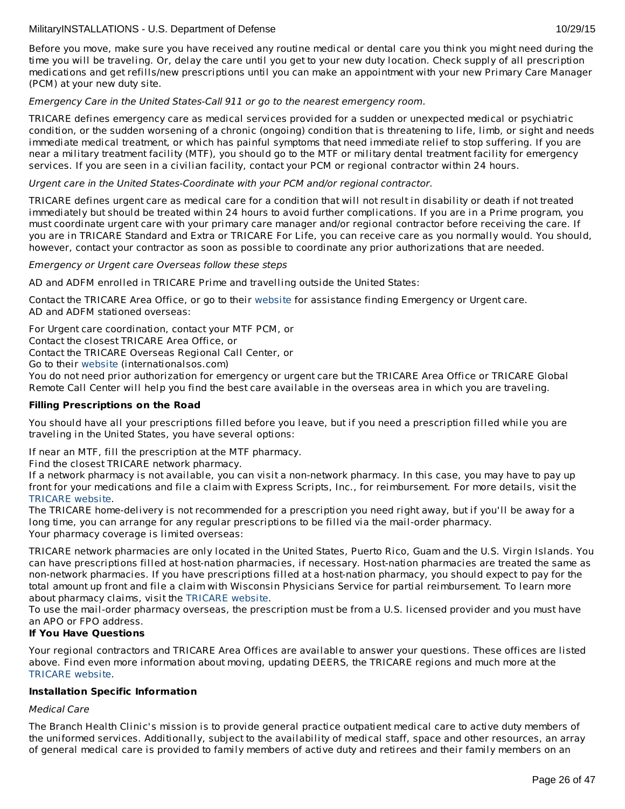Before you move, make sure you have received any routine medical or dental care you think you might need during the time you will be traveling. Or, delay the care until you get to your new duty location. Check supply of all prescription medications and get refills/new prescriptions until you can make an appointment with your new Primary Care Manager (PCM) at your new duty site.

# Emergency Care in the United States-Call 911 or go to the nearest emergency room.

TRICARE defines emergency care as medical services provided for a sudden or unexpected medical or psychiatric condition, or the sudden worsening of a chronic (ongoing) condition that is threatening to life, limb, or sight and needs immediate medical treatment, or which has painful symptoms that need immediate relief to stop suffering. If you are near a military treatment facility (MTF), you should go to the MTF or military dental treatment facility for emergency services. If you are seen in a civilian facility, contact your PCM or regional contractor within 24 hours.

# Urgent care in the United States-Coordinate with your PCM and/or regional contractor.

TRICARE defines urgent care as medical care for a condition that will not result in disability or death if not treated immediately but should be treated within 24 hours to avoid further complications. If you are in a Prime program, you must coordinate urgent care with your primary care manager and/or regional contractor before receiving the care. If you are in TRICARE Standard and Extra or TRICARE For Life, you can receive care as you normally would. You should, however, contact your contractor as soon as possible to coordinate any prior authorizations that are needed.

# Emergency or Urgent care Overseas follow these steps

AD and ADFM enrolled in TRICARE Prime and travelling outside the United States:

Contact the TRICARE Area Office, or go to their [website](http://www.internationalsos.com/en/) for assistance finding Emergency or Urgent care. AD and ADFM stationed overseas:

For Urgent care coordination, contact your MTF PCM, or

Contact the closest TRICARE Area Office, or

Contact the TRICARE Overseas Regional Call Center, or

Go to their [website](http://www.internationalsos.com/en/) (internationalsos.com)

You do not need prior authorization for emergency or urgent care but the TRICARE Area Office or TRICARE Global Remote Call Center will help you find the best care available in the overseas area in which you are traveling.

# **Filling Prescriptions on the Road**

You should have all your prescriptions filled before you leave, but if you need a prescription filled while you are traveling in the United States, you have several options:

If near an MTF, fill the prescription at the MTF pharmacy.

Find the closest TRICARE network pharmacy.

If a network pharmacy is not available, you can visit a non-network pharmacy. In this case, you may have to pay up front for your medications and file a claim with Express Scripts, Inc., for reimbursement. For more details, visit the [TRICARE](http://www.tricare.mil/) website.

The TRICARE home-delivery is not recommended for a prescription you need right away, but if you'll be away for a long time, you can arrange for any regular prescriptions to be filled via the mail-order pharmacy. Your pharmacy coverage is limited overseas:

TRICARE network pharmacies are only located in the United States, Puerto Rico, Guam and the U.S. Virgin Islands. You can have prescriptions filled at host-nation pharmacies, if necessary. Host-nation pharmacies are treated the same as non-network pharmacies. If you have prescriptions filled at a host-nation pharmacy, you should expect to pay for the total amount up front and file a claim with Wisconsin Physicians Service for partial reimbursement. To learn more about pharmacy claims, visit the [TRICARE](http://www.tricare.mil/) website.

To use the mail-order pharmacy overseas, the prescription must be from a U.S. licensed provider and you must have an APO or FPO address.

# **If You Have Questions**

Your regional contractors and TRICARE Area Offices are available to answer your questions. These offices are listed above. Find even more information about moving, updating DEERS, the TRICARE regions and much more at the [TRICARE](http://www.tricare.mil/) website.

# **Installation Specific Information**

# Medical Care

The Branch Health Clinic's mission is to provide general practice outpatient medical care to active duty members of the uniformed services. Additionally, subject to the availability of medical staff, space and other resources, an array of general medical care is provided to family members of active duty and retirees and their family members on an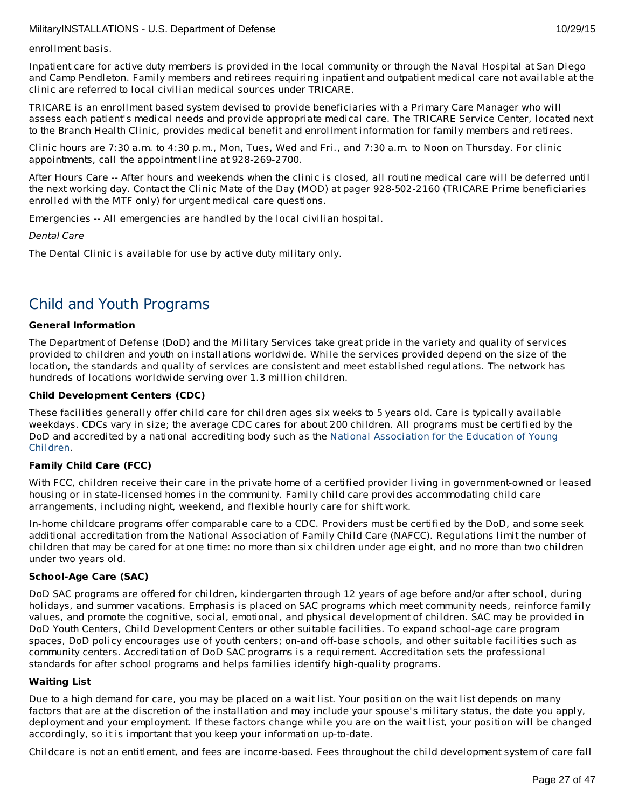enrollment basis.

Inpatient care for active duty members is provided in the local community or through the Naval Hospital at San Diego and Camp Pendleton. Family members and retirees requiring inpatient and outpatient medical care not available at the clinic are referred to local civilian medical sources under TRICARE.

TRICARE is an enrollment based system devised to provide beneficiaries with a Primary Care Manager who will assess each patient's medical needs and provide appropriate medical care. The TRICARE Service Center, located next to the Branch Health Clinic, provides medical benefit and enrollment information for family members and retirees.

Clinic hours are 7:30 a.m. to 4:30 p.m., Mon, Tues, Wed and Fri., and 7:30 a.m. to Noon on Thursday. For clinic appointments, call the appointment line at 928-269-2700.

After Hours Care -- After hours and weekends when the clinic is closed, all routine medical care will be deferred until the next working day. Contact the Clinic Mate of the Day (MOD) at pager 928-502-2160 (TRICARE Prime beneficiaries enrolled with the MTF only) for urgent medical care questions.

Emergencies -- All emergencies are handled by the local civilian hospital.

Dental Care

The Dental Clinic is available for use by active duty military only.

# Child and Youth Programs

# **General Information**

The Department of Defense (DoD) and the Military Services take great pride in the variety and quality of services provided to children and youth on installations worldwide. While the services provided depend on the size of the location, the standards and quality of services are consistent and meet established regulations. The network has hundreds of locations worldwide serving over 1.3 million children.

# **Child Development Centers (CDC)**

These facilities generally offer child care for children ages six weeks to 5 years old. Care is typically available weekdays. CDCs vary in size; the average CDC cares for about 200 children. All programs must be certified by the DoD and accredited by a national accrediting body such as the National [Association](http://www.naeyc.org/) for the Education of Young Children.

# **Family Child Care (FCC)**

With FCC, children receive their care in the private home of a certified provider living in government-owned or leased housing or in state-licensed homes in the community. Family child care provides accommodating child care arrangements, including night, weekend, and flexible hourly care for shift work.

In-home childcare programs offer comparable care to a CDC. Providers must be certified by the DoD, and some seek additional accreditation from the National Association of Family Child Care (NAFCC). Regulations limit the number of children that may be cared for at one time: no more than six children under age eight, and no more than two children under two years old.

# **School-Age Care (SAC)**

DoD SAC programs are offered for children, kindergarten through 12 years of age before and/or after school, during holidays, and summer vacations. Emphasis is placed on SAC programs which meet community needs, reinforce family values, and promote the cognitive, social, emotional, and physical development of children. SAC may be provided in DoD Youth Centers, Child Development Centers or other suitable facilities. To expand school-age care program spaces, DoD policy encourages use of youth centers; on-and off-base schools, and other suitable facilities such as community centers. Accreditation of DoD SAC programs is a requirement. Accreditation sets the professional standards for after school programs and helps families identify high-quality programs.

# **Waiting List**

Due to a high demand for care, you may be placed on a wait list. Your position on the wait list depends on many factors that are at the discretion of the installation and may include your spouse's military status, the date you apply, deployment and your employment. If these factors change while you are on the wait list, your position will be changed accordingly, so it is important that you keep your information up-to-date.

Childcare is not an entitlement, and fees are income-based. Fees throughout the child development system of care fall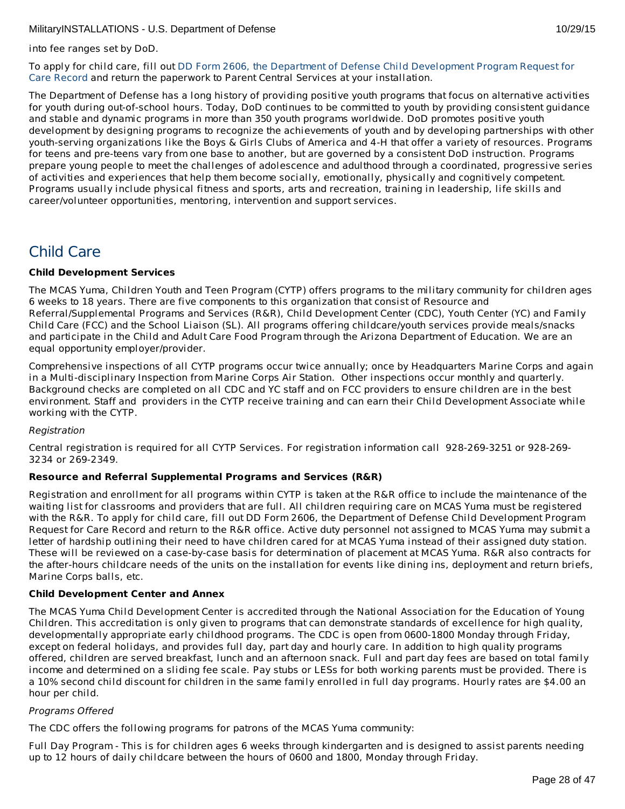into fee ranges set by DoD.

To apply for child care, fill out DD Form 2606, the Department of Defense Child [Development](http://www.dtic.mil/whs/directives/forms/eforms/dd2606.pdf) Program Request for Care Record and return the paperwork to Parent Central Services at your installation.

The Department of Defense has a long history of providing positive youth programs that focus on alternative activities for youth during out-of-school hours. Today, DoD continues to be committed to youth by providing consistent guidance and stable and dynamic programs in more than 350 youth programs worldwide. DoD promotes positive youth development by designing programs to recognize the achievements of youth and by developing partnerships with other youth-serving organizations like the Boys & Girls Clubs of America and 4-H that offer a variety of resources. Programs for teens and pre-teens vary from one base to another, but are governed by a consistent DoD instruction. Programs prepare young people to meet the challenges of adolescence and adulthood through a coordinated, progressive series of activities and experiences that help them become socially, emotionally, physically and cognitively competent. Programs usually include physical fitness and sports, arts and recreation, training in leadership, life skills and career/volunteer opportunities, mentoring, intervention and support services.

# Child Care

# **Child Development Services**

The MCAS Yuma, Children Youth and Teen Program (CYTP) offers programs to the military community for children ages 6 weeks to 18 years. There are five components to this organization that consist of Resource and Referral/Supplemental Programs and Services (R&R), Child Development Center (CDC), Youth Center (YC) and Family Child Care (FCC) and the School Liaison (SL). All programs offering childcare/youth services provide meals/snacks and participate in the Child and Adult Care Food Program through the Arizona Department of Education. We are an equal opportunity employer/provider.

Comprehensive inspections of all CYTP programs occur twice annually; once by Headquarters Marine Corps and again in a Multi-disciplinary Inspection from Marine Corps Air Station. Other inspections occur monthly and quarterly. Background checks are completed on all CDC and YC staff and on FCC providers to ensure children are in the best environment. Staff and providers in the CYTP receive training and can earn their Child Development Associate while working with the CYTP.

# Registration

Central registration is required for all CYTP Services. For registration information call 928-269-3251 or 928-269- 3234 or 269-2349.

# **Resource and Referral Supplemental Programs and Services (R&R)**

Registration and enrollment for all programs within CYTP is taken at the R&R office to include the maintenance of the waiting list for classrooms and providers that are full. All children requiring care on MCAS Yuma must be registered with the R&R. To apply for child care, fill out DD Form 2606, the Department of Defense Child Development Program Request for Care Record and return to the R&R office. Active duty personnel not assigned to MCAS Yuma may submit a letter of hardship outlining their need to have children cared for at MCAS Yuma instead of their assigned duty station. These will be reviewed on a case-by-case basis for determination of placement at MCAS Yuma. R&R also contracts for the after-hours childcare needs of the units on the installation for events like dining ins, deployment and return briefs, Marine Corps balls, etc.

# **Child Development Center and Annex**

The MCAS Yuma Child Development Center is accredited through the National Association for the Education of Young Children. This accreditation is only given to programs that can demonstrate standards of excellence for high quality, developmentally appropriate early childhood programs. The CDC is open from 0600-1800 Monday through Friday, except on federal holidays, and provides full day, part day and hourly care. In addition to high quality programs offered, children are served breakfast, lunch and an afternoon snack. Full and part day fees are based on total family income and determined on a sliding fee scale. Pay stubs or LESs for both working parents must be provided. There is a 10% second child discount for children in the same family enrolled in full day programs. Hourly rates are \$4.00 an hour per child.

# Programs Offered

The CDC offers the following programs for patrons of the MCAS Yuma community:

Full Day Program - This is for children ages 6 weeks through kindergarten and is designed to assist parents needing up to 12 hours of daily childcare between the hours of 0600 and 1800, Monday through Friday.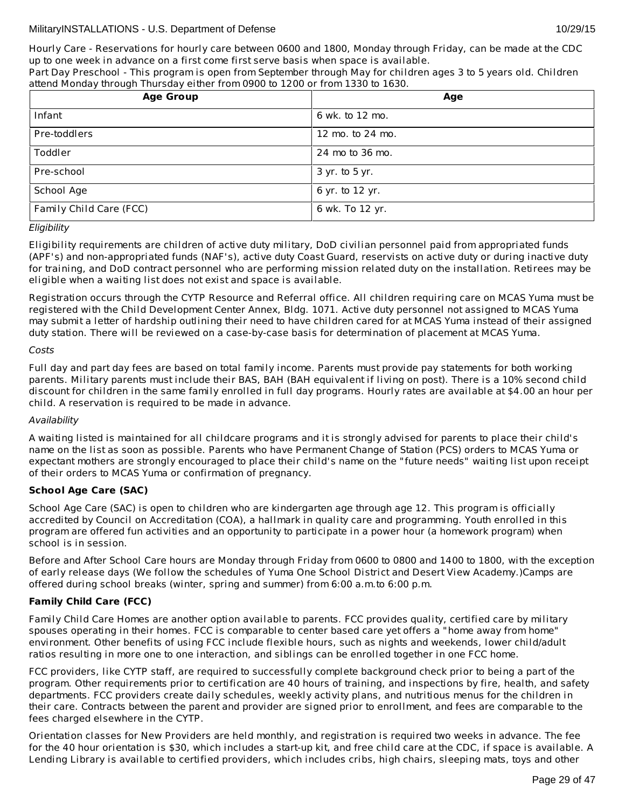Part Day Preschool - This program is open from September through May for children ages 3 to 5 years old. Children attend Monday through Thursday either from 0900 to 1200 or from 1330 to 1630.

| <b>Age Group</b>        | Age              |
|-------------------------|------------------|
| Infant                  | 6 wk. to 12 mo.  |
| Pre-toddlers            | 12 mo. to 24 mo. |
| Toddler                 | 24 mo to 36 mo.  |
| Pre-school              | 3 yr. to 5 yr.   |
| School Age              | 6 yr. to 12 yr.  |
| Family Child Care (FCC) | 6 wk. To 12 yr.  |

# Eligibility

Eligibility requirements are children of active duty military, DoD civilian personnel paid from appropriated funds (APF's) and non-appropriated funds (NAF's), active duty Coast Guard, reservists on active duty or during inactive duty for training, and DoD contract personnel who are performing mission related duty on the installation. Retirees may be eligible when a waiting list does not exist and space is available.

Registration occurs through the CYTP Resource and Referral office. All children requiring care on MCAS Yuma must be registered with the Child Development Center Annex, Bldg. 1071. Active duty personnel not assigned to MCAS Yuma may submit a letter of hardship outlining their need to have children cared for at MCAS Yuma instead of their assigned duty station. There will be reviewed on a case-by-case basis for determination of placement at MCAS Yuma.

# Costs

Full day and part day fees are based on total family income. Parents must provide pay statements for both working parents. Military parents must include their BAS, BAH (BAH equivalent if living on post). There is a 10% second child discount for children in the same family enrolled in full day programs. Hourly rates are available at \$4.00 an hour per child. A reservation is required to be made in advance.

# Availability

A waiting listed is maintained for all childcare programs and it is strongly advised for parents to place their child's name on the list as soon as possible. Parents who have Permanent Change of Station (PCS) orders to MCAS Yuma or expectant mothers are strongly encouraged to place their child's name on the "future needs" waiting list upon receipt of their orders to MCAS Yuma or confirmation of pregnancy.

# **School Age Care (SAC)**

School Age Care (SAC) is open to children who are kindergarten age through age 12. This program is officially accredited by Council on Accreditation (COA), a hallmark in quality care and programming. Youth enrolled in this program are offered fun activities and an opportunity to participate in a power hour (a homework program) when school is in session.

Before and After School Care hours are Monday through Friday from 0600 to 0800 and 1400 to 1800, with the exception of early release days (We follow the schedules of Yuma One School District and Desert View Academy.)Camps are offered during school breaks (winter, spring and summer) from 6:00 a.m.to 6:00 p.m.

# **Family Child Care (FCC)**

Family Child Care Homes are another option available to parents. FCC provides quality, certified care by military spouses operating in their homes. FCC is comparable to center based care yet offers a "home away from home" environment. Other benefits of using FCC include flexible hours, such as nights and weekends, lower child/adult ratios resulting in more one to one interaction, and siblings can be enrolled together in one FCC home.

FCC providers, like CYTP staff, are required to successfully complete background check prior to being a part of the program. Other requirements prior to certification are 40 hours of training, and inspections by fire, health, and safety departments. FCC providers create daily schedules, weekly activity plans, and nutritious menus for the children in their care. Contracts between the parent and provider are signed prior to enrollment, and fees are comparable to the fees charged elsewhere in the CYTP.

Orientation classes for New Providers are held monthly, and registration is required two weeks in advance. The fee for the 40 hour orientation is \$30, which includes a start-up kit, and free child care at the CDC, if space is available. A Lending Library is available to certified providers, which includes cribs, high chairs, sleeping mats, toys and other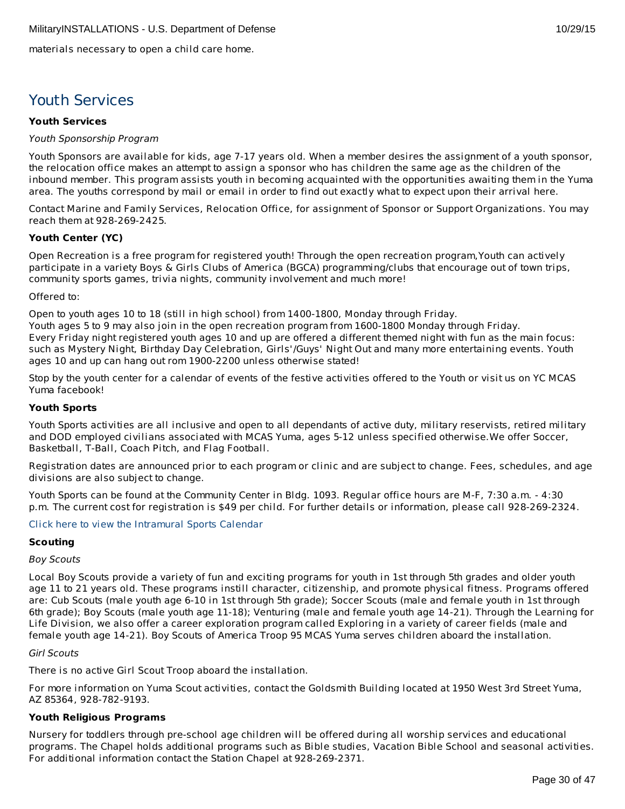materials necessary to open a child care home.

# Youth Services

# **Youth Services**

# Youth Sponsorship Program

Youth Sponsors are available for kids, age 7-17 years old. When a member desires the assignment of a youth sponsor, the relocation office makes an attempt to assign a sponsor who has children the same age as the children of the inbound member. This program assists youth in becoming acquainted with the opportunities awaiting them in the Yuma area. The youths correspond by mail or email in order to find out exactly what to expect upon their arrival here.

Contact Marine and Family Services, Relocation Office, for assignment of Sponsor or Support Organizations. You may reach them at 928-269-2425.

# **Youth Center (YC)**

Open Recreation is a free program for registered youth! Through the open recreation program,Youth can actively participate in a variety Boys & Girls Clubs of America (BGCA) programming/clubs that encourage out of town trips, community sports games, trivia nights, community involvement and much more!

# Offered to:

Open to youth ages 10 to 18 (still in high school) from 1400-1800, Monday through Friday. Youth ages 5 to 9 may also join in the open recreation program from 1600-1800 Monday through Friday. Every Friday night registered youth ages 10 and up are offered a different themed night with fun as the main focus: such as Mystery Night, Birthday Day Celebration, Girls'/Guys' Night Out and many more entertaining events. Youth ages 10 and up can hang out rom 1900-2200 unless otherwise stated!

Stop by the youth center for a calendar of events of the festive activities offered to the Youth or visit us on YC MCAS Yuma facebook!

# **Youth Sports**

Youth Sports activities are all inclusive and open to all dependants of active duty, military reservists, retired military and DOD employed civilians associated with MCAS Yuma, ages 5-12 unless specified otherwise.We offer Soccer, Basketball, T-Ball, Coach Pitch, and Flag Football.

Registration dates are announced prior to each program or clinic and are subject to change. Fees, schedules, and age divisions are also subject to change.

Youth Sports can be found at the Community Center in Bldg. 1093. Regular office hours are M-F, 7:30 a.m. - 4:30 p.m. The current cost for registration is \$49 per child. For further details or information, please call 928-269-2324.

# Click here to view the [Intramural](http://www.mccsyuma.org/MCCS YUMA(themed)/assets/File/2012 Youth Sports ch1 Calendar-william.pdf) Sports Calendar

# **Scouting**

# Boy Scouts

Local Boy Scouts provide a variety of fun and exciting programs for youth in 1st through 5th grades and older youth age 11 to 21 years old. These programs instill character, citizenship, and promote physical fitness. Programs offered are: Cub Scouts (male youth age 6-10 in 1st through 5th grade); Soccer Scouts (male and female youth in 1st through 6th grade); Boy Scouts (male youth age 11-18); Venturing (male and female youth age 14-21). Through the Learning for Life Division, we also offer a career exploration program called Exploring in a variety of career fields (male and female youth age 14-21). Boy Scouts of America Troop 95 MCAS Yuma serves children aboard the installation.

# Girl Scouts

There is no active Girl Scout Troop aboard the installation.

For more information on Yuma Scout activities, contact the Goldsmith Building located at 1950 West 3rd Street Yuma, AZ 85364, 928-782-9193.

# **Youth Religious Programs**

Nursery for toddlers through pre-school age children will be offered during all worship services and educational programs. The Chapel holds additional programs such as Bible studies, Vacation Bible School and seasonal activities. For additional information contact the Station Chapel at 928-269-2371.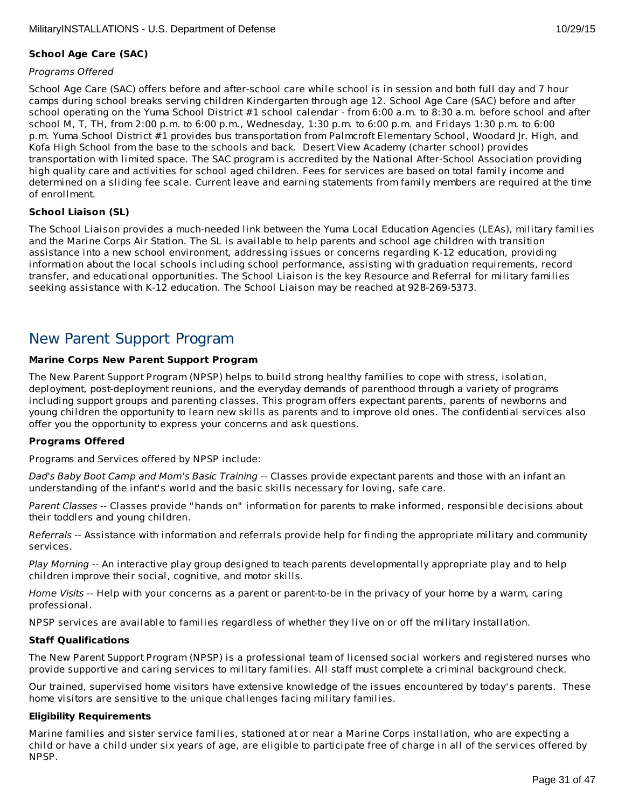# **School Age Care (SAC)**

# Programs Offered

School Age Care (SAC) offers before and after-school care while school is in session and both full day and 7 hour camps during school breaks serving children Kindergarten through age 12. School Age Care (SAC) before and after school operating on the Yuma School District #1 school calendar - from 6:00 a.m. to 8:30 a.m. before school and after school M, T, TH, from 2:00 p.m. to 6:00 p.m., Wednesday, 1:30 p.m. to 6:00 p.m. and Fridays 1:30 p.m. to 6:00 p.m. Yuma School District #1 provides bus transportation from Palmcroft Elementary School, Woodard Jr. High, and Kofa High School from the base to the schools and back. Desert View Academy (charter school) provides transportation with limited space. The SAC program is accredited by the National After-School Association providing high quality care and activities for school aged children. Fees for services are based on total family income and determined on a sliding fee scale. Current leave and earning statements from family members are required at the time of enrollment.

# **School Liaison (SL)**

The School Liaison provides a much-needed link between the Yuma Local Education Agencies (LEAs), military families and the Marine Corps Air Station. The SL is available to help parents and school age children with transition assistance into a new school environment, addressing issues or concerns regarding K-12 education, providing information about the local schools including school performance, assisting with graduation requirements, record transfer, and educational opportunities. The School Liaison is the key Resource and Referral for military families seeking assistance with K-12 education. The School Liaison may be reached at 928-269-5373.

# New Parent Support Program

# **Marine Corps New Parent Support Program**

The New Parent Support Program (NPSP) helps to build strong healthy families to cope with stress, isolation, deployment, post-deployment reunions, and the everyday demands of parenthood through a variety of programs including support groups and parenting classes. This program offers expectant parents, parents of newborns and young children the opportunity to learn new skills as parents and to improve old ones. The confidential services also offer you the opportunity to express your concerns and ask questions.

# **Programs Offered**

Programs and Services offered by NPSP include:

Dad's Baby Boot Camp and Mom's Basic Training -- Classes provide expectant parents and those with an infant an understanding of the infant's world and the basic skills necessary for loving, safe care.

Parent Classes -- Classes provide "hands on" information for parents to make informed, responsible decisions about their toddlers and young children.

Referrals -- Assistance with information and referrals provide help for finding the appropriate military and community services.

Play Morning -- An interactive play group designed to teach parents developmentally appropriate play and to help children improve their social, cognitive, and motor skills.

Home Visits -- Help with your concerns as a parent or parent-to-be in the privacy of your home by a warm, caring professional.

NPSP services are available to families regardless of whether they live on or off the military installation.

# **Staff Qualifications**

The New Parent Support Program (NPSP) is a professional team of licensed social workers and registered nurses who provide supportive and caring services to military families. All staff must complete a criminal background check.

Our trained, supervised home visitors have extensive knowledge of the issues encountered by today's parents. These home visitors are sensitive to the unique challenges facing military families.

# **Eligibility Requirements**

Marine families and sister service families, stationed at or near a Marine Corps installation, who are expecting a child or have a child under six years of age, are eligible to participate free of charge in all of the services offered by NPSP.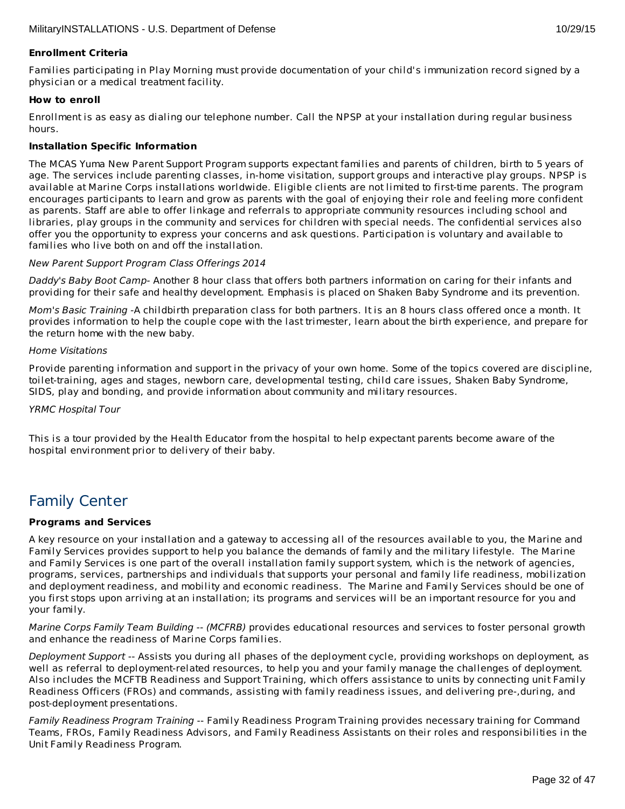# **Enrollment Criteria**

Families participating in Play Morning must provide documentation of your child's immunization record signed by a physician or a medical treatment facility.

# **How to enroll**

Enrollment is as easy as dialing our telephone number. Call the NPSP at your installation during regular business hours.

# **Installation Specific Information**

The MCAS Yuma New Parent Support Program supports expectant families and parents of children, birth to 5 years of age. The services include parenting classes, in-home visitation, support groups and interactive play groups. NPSP is available at Marine Corps installations worldwide. Eligible clients are not limited to first-time parents. The program encourages participants to learn and grow as parents with the goal of enjoying their role and feeling more confident as parents. Staff are able to offer linkage and referrals to appropriate community resources including school and libraries, play groups in the community and services for children with special needs. The confidential services also offer you the opportunity to express your concerns and ask questions. Participation is voluntary and available to families who live both on and off the installation.

# New Parent Support Program Class Offerings 2014

Daddy's Baby Boot Camp- Another 8 hour class that offers both partners information on caring for their infants and providing for their safe and healthy development. Emphasis is placed on Shaken Baby Syndrome and its prevention.

Mom's Basic Training -A childbirth preparation class for both partners. It is an 8 hours class offered once a month. It provides information to help the couple cope with the last trimester, learn about the birth experience, and prepare for the return home with the new baby.

#### Home Visitations

Provide parenting information and support in the privacy of your own home. Some of the topics covered are discipline, toilet-training, ages and stages, newborn care, developmental testing, child care issues, Shaken Baby Syndrome, SIDS, play and bonding, and provide information about community and military resources.

#### YRMC Hospital Tour

This is a tour provided by the Health Educator from the hospital to help expectant parents become aware of the hospital environment prior to delivery of their baby.

# Family Center

# **Programs and Services**

A key resource on your installation and a gateway to accessing all of the resources available to you, the Marine and Family Services provides support to help you balance the demands of family and the military lifestyle. The Marine and Family Services is one part of the overall installation family support system, which is the network of agencies, programs, services, partnerships and individuals that supports your personal and family life readiness, mobilization and deployment readiness, and mobility and economic readiness. The Marine and Family Services should be one of you first stops upon arriving at an installation; its programs and services will be an important resource for you and your family.

Marine Corps Family Team Building -- (MCFRB) provides educational resources and services to foster personal growth and enhance the readiness of Marine Corps families.

Deployment Support -- Assists you during all phases of the deployment cycle, providing workshops on deployment, as well as referral to deployment-related resources, to help you and your family manage the challenges of deployment. Also includes the MCFTB Readiness and Support Training, which offers assistance to units by connecting unit Family Readiness Officers (FROs) and commands, assisting with family readiness issues, and delivering pre-,during, and post-deployment presentations.

Family Readiness Program Training -- Family Readiness Program Training provides necessary training for Command Teams, FROs, Family Readiness Advisors, and Family Readiness Assistants on their roles and responsibilities in the Unit Family Readiness Program.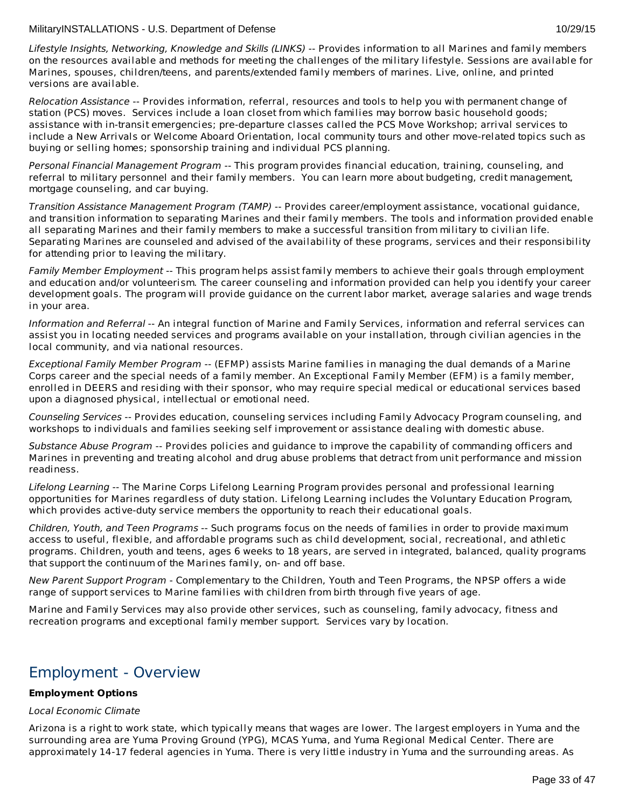Lifestyle Insights, Networking, Knowledge and Skills (LINKS) -- Provides information to all Marines and family members on the resources available and methods for meeting the challenges of the military lifestyle. Sessions are available for Marines, spouses, children/teens, and parents/extended family members of marines. Live, online, and printed versions are available.

Relocation Assistance -- Provides information, referral, resources and tools to help you with permanent change of station (PCS) moves. Services include a loan closet from which families may borrow basic household goods; assistance with in-transit emergencies; pre-departure classes called the PCS Move Workshop; arrival services to include a New Arrivals or Welcome Aboard Orientation, local community tours and other move-related topics such as buying or selling homes; sponsorship training and individual PCS planning.

Personal Financial Management Program -- This program provides financial education, training, counseling, and referral to military personnel and their family members. You can learn more about budgeting, credit management, mortgage counseling, and car buying.

Transition Assistance Management Program (TAMP) -- Provides career/employment assistance, vocational guidance, and transition information to separating Marines and their family members. The tools and information provided enable all separating Marines and their family members to make a successful transition from military to civilian life. Separating Marines are counseled and advised of the availability of these programs, services and their responsibility for attending prior to leaving the military.

Family Member Employment -- This program helps assist family members to achieve their goals through employment and education and/or volunteerism. The career counseling and information provided can help you identify your career development goals. The program will provide guidance on the current labor market, average salaries and wage trends in your area.

Information and Referral -- An integral function of Marine and Family Services, information and referral services can assist you in locating needed services and programs available on your installation, through civilian agencies in the local community, and via national resources.

Exceptional Family Member Program -- (EFMP) assists Marine families in managing the dual demands of a Marine Corps career and the special needs of a family member. An Exceptional Family Member (EFM) is a family member, enrolled in DEERS and residing with their sponsor, who may require special medical or educational services based upon a diagnosed physical, intellectual or emotional need.

Counseling Services -- Provides education, counseling services including Family Advocacy Program counseling, and workshops to individuals and families seeking self improvement or assistance dealing with domestic abuse.

Substance Abuse Program -- Provides policies and guidance to improve the capability of commanding officers and Marines in preventing and treating alcohol and drug abuse problems that detract from unit performance and mission readiness.

Lifelong Learning -- The Marine Corps Lifelong Learning Program provides personal and professional learning opportunities for Marines regardless of duty station. Lifelong Learning includes the Voluntary Education Program, which provides active-duty service members the opportunity to reach their educational goals.

Children, Youth, and Teen Programs -- Such programs focus on the needs of families in order to provide maximum access to useful, flexible, and affordable programs such as child development, social, recreational, and athletic programs. Children, youth and teens, ages 6 weeks to 18 years, are served in integrated, balanced, quality programs that support the continuum of the Marines family, on- and off base.

New Parent Support Program - Complementary to the Children, Youth and Teen Programs, the NPSP offers a wide range of support services to Marine families with children from birth through five years of age.

Marine and Family Services may also provide other services, such as counseling, family advocacy, fitness and recreation programs and exceptional family member support. Services vary by location.

# Employment - Overview

# **Employment Options**

# Local Economic Climate

Arizona is a right to work state, which typically means that wages are lower. The largest employers in Yuma and the surrounding area are Yuma Proving Ground (YPG), MCAS Yuma, and Yuma Regional Medical Center. There are approximately 14-17 federal agencies in Yuma. There is very little industry in Yuma and the surrounding areas. As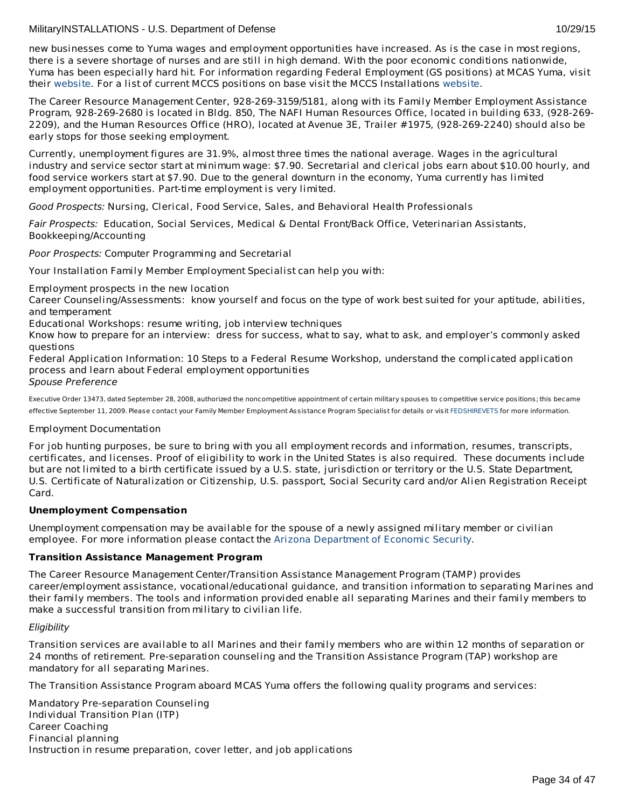new businesses come to Yuma wages and employment opportunities have increased. As is the case in most regions, there is a severe shortage of nurses and are still in high demand. With the poor economic conditions nationwide, Yuma has been especially hard hit. For information regarding Federal Employment (GS positions) at MCAS Yuma, visit their [website](http://www.yuma.usmc.mil/information/jobs.html ). For a list of current MCCS positions on base visit the MCCS Installations [website](http://www.usmc-mccs.org/installation/).

The Career Resource Management Center, 928-269-3159/5181, along with its Family Member Employment Assistance Program, 928-269-2680 is located in Bldg. 850, The NAFI Human Resources Office, located in building 633, (928-269- 2209), and the Human Resources Office (HRO), located at Avenue 3E, Trailer #1975, (928-269-2240) should also be early stops for those seeking employment.

Currently, unemployment figures are 31.9%, almost three times the national average. Wages in the agricultural industry and service sector start at minimum wage: \$7.90. Secretarial and clerical jobs earn about \$10.00 hourly, and food service workers start at \$7.90. Due to the general downturn in the economy, Yuma currently has limited employment opportunities. Part-time employment is very limited.

Good Prospects: Nursing, Clerical, Food Service, Sales, and Behavioral Health Professionals

Fair Prospects: Education, Social Services, Medical & Dental Front/Back Office, Veterinarian Assistants, Bookkeeping/Accounting

Poor Prospects: Computer Programming and Secretarial

Your Installation Family Member Employment Specialist can help you with:

Employment prospects in the new location

Career Counseling/Assessments: know yourself and focus on the type of work best suited for your aptitude, abilities, and temperament

Educational Workshops: resume writing, job interview techniques

Know how to prepare for an interview: dress for success, what to say, what to ask, and employer's commonly asked questions

Federal Application Information: 10 Steps to a Federal Resume Workshop, understand the complicated application process and learn about Federal employment opportunities

Spouse Preference

Executive Order 13473, dated September 28, 2008, authorized the noncompetitive appointment of certain military spouses to competitive service positions; this became effective September 11, 2009. Please contact your Family Member Employment Assistance Program Specialist for details or visit [FEDSHIREVETS](http://www.fedshirevets.gov/hire/hrp/qaspouse/index.aspx) for more information.

# Employment Documentation

For job hunting purposes, be sure to bring with you all employment records and information, resumes, transcripts, certificates, and licenses. Proof of eligibility to work in the United States is also required. These documents include but are not limited to a birth certificate issued by a U.S. state, jurisdiction or territory or the U.S. State Department, U.S. Certificate of Naturalization or Citizenship, U.S. passport, Social Security card and/or Alien Registration Receipt Card.

# **Unemployment Compensation**

Unemployment compensation may be available for the spouse of a newly assigned military member or civilian employee. For more information please contact the Arizona [Department](http://www.azdes.gov/esa/uibenefits/uibhome.asp) of Economic Security.

# **Transition Assistance Management Program**

The Career Resource Management Center/Transition Assistance Management Program (TAMP) provides career/employment assistance, vocational/educational guidance, and transition information to separating Marines and their family members. The tools and information provided enable all separating Marines and their family members to make a successful transition from military to civilian life.

# **Eligibility**

Transition services are available to all Marines and their family members who are within 12 months of separation or 24 months of retirement. Pre-separation counseling and the Transition Assistance Program (TAP) workshop are mandatory for all separating Marines.

The Transition Assistance Program aboard MCAS Yuma offers the following quality programs and services:

Mandatory Pre-separation Counseling Individual Transition Plan (ITP) Career Coaching Financial planning Instruction in resume preparation, cover letter, and job applications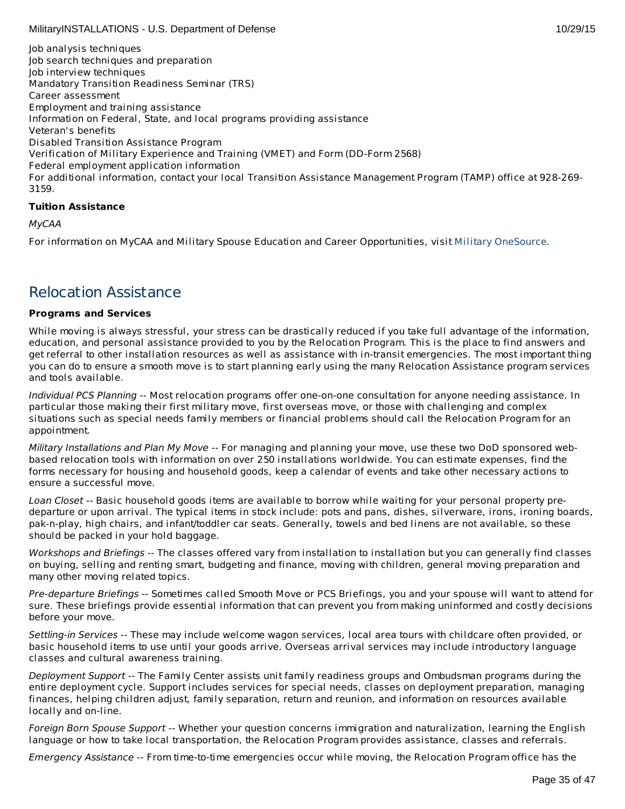Job analysis techniques Job search techniques and preparation Job interview techniques Mandatory Transition Readiness Seminar (TRS) Career assessment Employment and training assistance Information on Federal, State, and local programs providing assistance Veteran's benefits Disabled Transition Assistance Program Verification of Military Experience and Training (VMET) and Form (DD-Form 2568) Federal employment application information For additional information, contact your local Transition Assistance Management Program (TAMP) office at 928-269- 3159.

# **Tuition Assistance**

MyCAA

For information on MyCAA and Military Spouse Education and Career Opportunities, visit Military [OneSource](http://www.militaryonesource.mil/MOS/f?p=MOS:TOPIC:0::::SV,UT,LG,CID,TID:ArmyActive,Member,EN,23.50.40.0.0.0.0.0.0,23.50.40.10.0.0.0.0.0).

# Relocation Assistance

# **Programs and Services**

While moving is always stressful, your stress can be drastically reduced if you take full advantage of the information, education, and personal assistance provided to you by the Relocation Program. This is the place to find answers and get referral to other installation resources as well as assistance with in-transit emergencies. The most important thing you can do to ensure a smooth move is to start planning early using the many Relocation Assistance program services and tools available.

Individual PCS Planning -- Most relocation programs offer one-on-one consultation for anyone needing assistance. In particular those making their first military move, first overseas move, or those with challenging and complex situations such as special needs family members or financial problems should call the Relocation Program for an appointment.

Military Installations and Plan My Move -- For managing and planning your move, use these two DoD sponsored webbased relocation tools with information on over 250 installations worldwide. You can estimate expenses, find the forms necessary for housing and household goods, keep a calendar of events and take other necessary actions to ensure a successful move.

Loan Closet -- Basic household goods items are available to borrow while waiting for your personal property predeparture or upon arrival. The typical items in stock include: pots and pans, dishes, silverware, irons, ironing boards, pak-n-play, high chairs, and infant/toddler car seats. Generally, towels and bed linens are not available, so these should be packed in your hold baggage.

Workshops and Briefings -- The classes offered vary from installation to installation but you can generally find classes on buying, selling and renting smart, budgeting and finance, moving with children, general moving preparation and many other moving related topics.

Pre-departure Briefings -- Sometimes called Smooth Move or PCS Briefings, you and your spouse will want to attend for sure. These briefings provide essential information that can prevent you from making uninformed and costly decisions before your move.

Settling-in Services -- These may include welcome wagon services, local area tours with childcare often provided, or basic household items to use until your goods arrive. Overseas arrival services may include introductory language classes and cultural awareness training.

Deployment Support -- The Family Center assists unit family readiness groups and Ombudsman programs during the entire deployment cycle. Support includes services for special needs, classes on deployment preparation, managing finances, helping children adjust, family separation, return and reunion, and information on resources available locally and on-line.

Foreign Born Spouse Support -- Whether your question concerns immigration and naturalization, learning the English language or how to take local transportation, the Relocation Program provides assistance, classes and referrals.

Emergency Assistance -- From time-to-time emergencies occur while moving, the Relocation Program office has the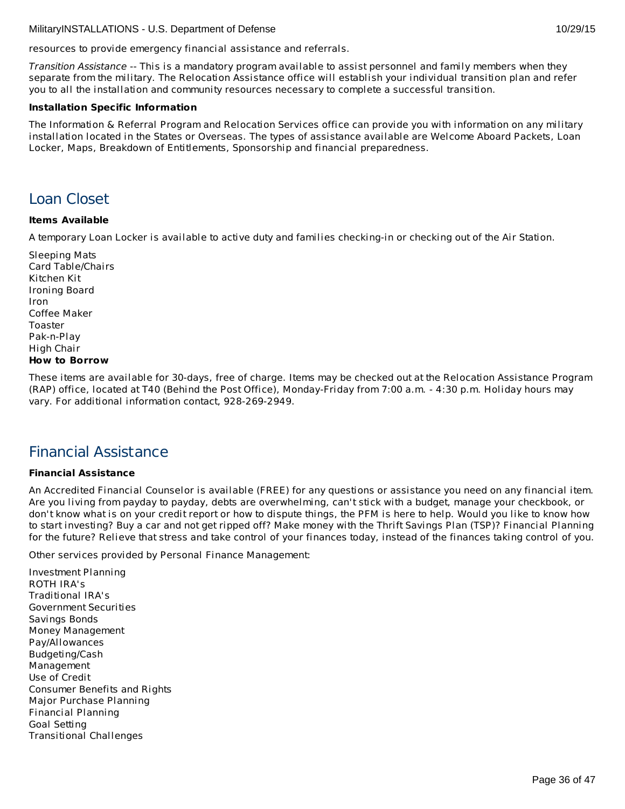resources to provide emergency financial assistance and referrals.

Transition Assistance -- This is a mandatory program available to assist personnel and family members when they separate from the military. The Relocation Assistance office will establish your individual transition plan and refer you to all the installation and community resources necessary to complete a successful transition.

#### **Installation Specific Information**

The Information & Referral Program and Relocation Services office can provide you with information on any military installation located in the States or Overseas. The types of assistance available are Welcome Aboard Packets, Loan Locker, Maps, Breakdown of Entitlements, Sponsorship and financial preparedness.

# Loan Closet

# **Items Available**

A temporary Loan Locker is available to active duty and families checking-in or checking out of the Air Station.

Sleeping Mats Card Table/Chairs Kitchen Kit Ironing Board Iron Coffee Maker Toaster Pak-n-Play High Chair **How to Borrow**

These items are available for 30-days, free of charge. Items may be checked out at the Relocation Assistance Program (RAP) office, located at T40 (Behind the Post Office), Monday-Friday from 7:00 a.m. - 4:30 p.m. Holiday hours may vary. For additional information contact, 928-269-2949.

# Financial Assistance

# **Financial Assistance**

An Accredited Financial Counselor is available (FREE) for any questions or assistance you need on any financial item. Are you living from payday to payday, debts are overwhelming, can't stick with a budget, manage your checkbook, or don't know what is on your credit report or how to dispute things, the PFM is here to help. Would you like to know how to start investing? Buy a car and not get ripped off? Make money with the Thrift Savings Plan (TSP)? Financial Planning for the future? Relieve that stress and take control of your finances today, instead of the finances taking control of you.

Other services provided by Personal Finance Management:

Investment Planning ROTH IRA's Traditional IRA's Government Securities Savings Bonds Money Management Pay/Allowances Budgeting/Cash Management Use of Credit Consumer Benefits and Rights Major Purchase Planning Financial Planning Goal Setting Transitional Challenges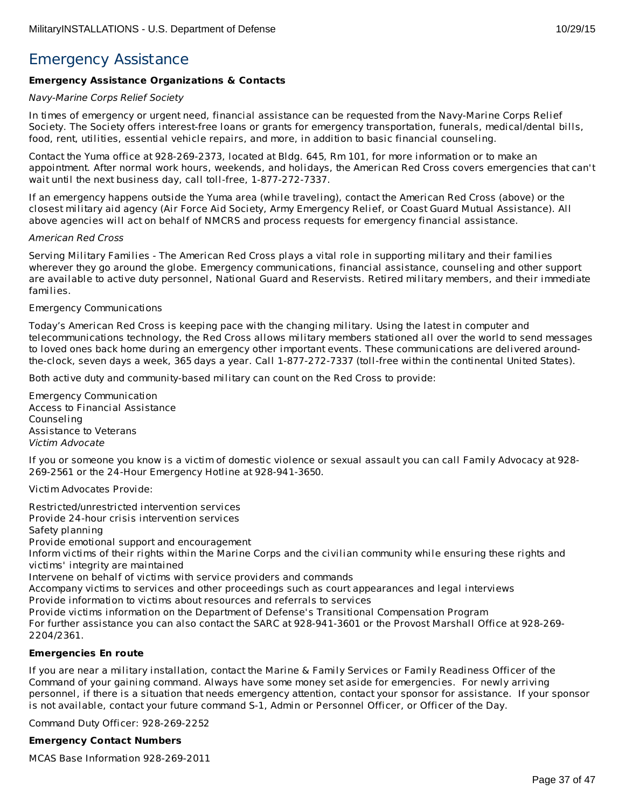# Emergency Assistance

# **Emergency Assistance Organizations & Contacts**

#### Navy-Marine Corps Relief Society

In times of emergency or urgent need, financial assistance can be requested from the Navy-Marine Corps Relief Society. The Society offers interest-free loans or grants for emergency transportation, funerals, medical/dental bills, food, rent, utilities, essential vehicle repairs, and more, in addition to basic financial counseling.

Contact the Yuma office at 928-269-2373, located at Bldg. 645, Rm 101, for more information or to make an appointment. After normal work hours, weekends, and holidays, the American Red Cross covers emergencies that can't wait until the next business day, call toll-free, 1-877-272-7337.

If an emergency happens outside the Yuma area (while traveling), contact the American Red Cross (above) or the closest military aid agency (Air Force Aid Society, Army Emergency Relief, or Coast Guard Mutual Assistance). All above agencies will act on behalf of NMCRS and process requests for emergency financial assistance.

#### American Red Cross

Serving Military Families - The American Red Cross plays a vital role in supporting military and their families wherever they go around the globe. Emergency communications, financial assistance, counseling and other support are available to active duty personnel, National Guard and Reservists. Retired military members, and their immediate families.

# Emergency Communications

Today's American Red Cross is keeping pace with the changing military. Using the latest in computer and telecommunications technology, the Red Cross allows military members stationed all over the world to send messages to loved ones back home during an emergency other important events. These communications are delivered aroundthe-clock, seven days a week, 365 days a year. Call 1-877-272-7337 (toll-free within the continental United States).

Both active duty and community-based military can count on the Red Cross to provide:

Emergency Communication Access to Financial Assistance Counseling Assistance to Veterans Victim Advocate

If you or someone you know is a victim of domestic violence or sexual assault you can call Family Advocacy at 928- 269-2561 or the 24-Hour Emergency Hotline at 928-941-3650.

Victim Advocates Provide:

Restricted/unrestricted intervention services Provide 24-hour crisis intervention services Safety planning Provide emotional support and encouragement Inform victims of their rights within the Marine Corps and the civilian community while ensuring these rights and victims' integrity are maintained Intervene on behalf of victims with service providers and commands Accompany victims to services and other proceedings such as court appearances and legal interviews

Provide information to victims about resources and referrals to services

Provide victims information on the Department of Defense's Transitional Compensation Program

For further assistance you can also contact the SARC at 928-941-3601 or the Provost Marshall Office at 928-269- 2204/2361.

# **Emergencies En route**

If you are near a military installation, contact the Marine & Family Services or Family Readiness Officer of the Command of your gaining command. Always have some money set aside for emergencies. For newly arriving personnel, if there is a situation that needs emergency attention, contact your sponsor for assistance. If your sponsor is not available, contact your future command S-1, Admin or Personnel Officer, or Officer of the Day.

Command Duty Officer: 928-269-2252

# **Emergency Contact Numbers**

MCAS Base Information 928-269-2011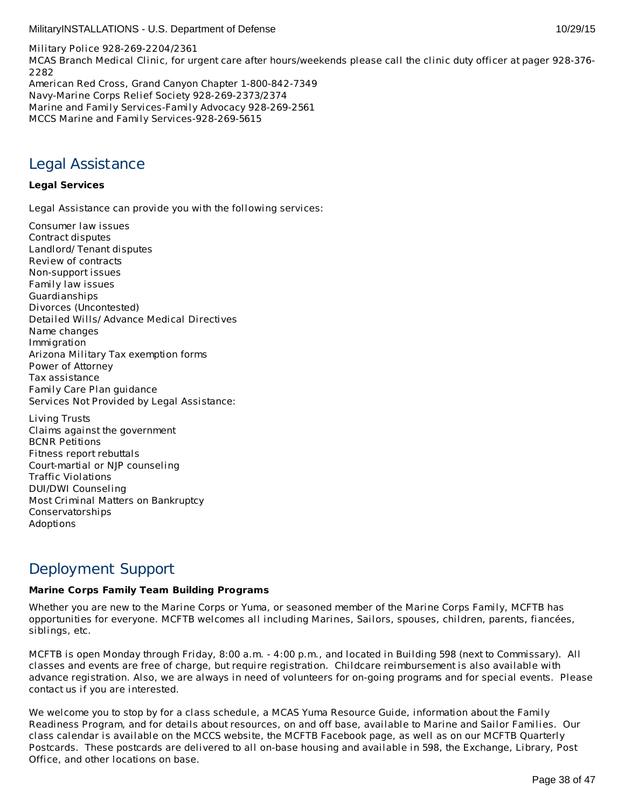Military Police 928-269-2204/2361 MCAS Branch Medical Clinic, for urgent care after hours/weekends please call the clinic duty officer at pager 928-376- 2282 American Red Cross, Grand Canyon Chapter 1-800-842-7349 Navy-Marine Corps Relief Society 928-269-2373/2374 Marine and Family Services-Family Advocacy 928-269-2561 MCCS Marine and Family Services-928-269-5615

# Legal Assistance

# **Legal Services**

Legal Assistance can provide you with the following services:

Consumer law issues Contract disputes Landlord/ Tenant disputes Review of contracts Non-support issues Family law issues Guardianships Divorces (Uncontested) Detailed Wills/ Advance Medical Directives Name changes Immigration Arizona Military Tax exemption forms Power of Attorney Tax assistance Family Care Plan guidance Services Not Provided by Legal Assistance:

Living Trusts Claims against the government BCNR Petitions Fitness report rebuttals Court-martial or NJP counseling Traffic Violations DUI/DWI Counseling Most Criminal Matters on Bankruptcy Conservatorships Adoptions

# Deployment Support

# **Marine Corps Family Team Building Programs**

Whether you are new to the Marine Corps or Yuma, or seasoned member of the Marine Corps Family, MCFTB has opportunities for everyone. MCFTB welcomes all including Marines, Sailors, spouses, children, parents, fiancées, siblings, etc.

MCFTB is open Monday through Friday, 8:00 a.m. - 4:00 p.m., and located in Building 598 (next to Commissary). All classes and events are free of charge, but require registration. Childcare reimbursement is also available with advance registration. Also, we are always in need of volunteers for on-going programs and for special events. Please contact us if you are interested.

We welcome you to stop by for a class schedule, a MCAS Yuma Resource Guide, information about the Family Readiness Program, and for details about resources, on and off base, available to Marine and Sailor Families. Our class calendar is available on the MCCS website, the MCFTB Facebook page, as well as on our MCFTB Quarterly Postcards. These postcards are delivered to all on-base housing and available in 598, the Exchange, Library, Post Office, and other locations on base.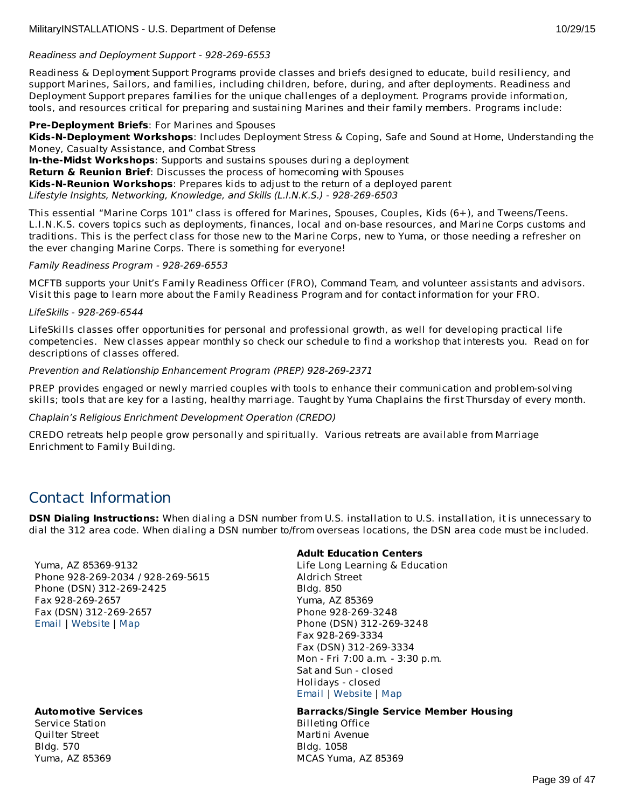# Readiness and Deployment Support - 928-269-6553

Readiness & Deployment Support Programs provide classes and briefs designed to educate, build resiliency, and support Marines, Sailors, and families, including children, before, during, and after deployments. Readiness and Deployment Support prepares families for the unique challenges of a deployment. Programs provide information, tools, and resources critical for preparing and sustaining Marines and their family members. Programs include:

# **Pre-Deployment Briefs**: For Marines and Spouses

**Kids-N-Deployment Workshops**: Includes Deployment Stress & Coping, Safe and Sound at Home, Understanding the Money, Casualty Assistance, and Combat Stress

**In-the-Midst Workshops**: Supports and sustains spouses during a deployment **Return & Reunion Brief**: Discusses the process of homecoming with Spouses **Kids-N-Reunion Workshops**: Prepares kids to adjust to the return of a deployed parent Lifestyle Insights, Networking, Knowledge, and Skills (L.I.N.K.S.) - 928-269-6503

This essential "Marine Corps 101" class is offered for Marines, Spouses, Couples, Kids (6+), and Tweens/Teens. L.I.N.K.S. covers topics such as deployments, finances, local and on-base resources, and Marine Corps customs and traditions. This is the perfect class for those new to the Marine Corps, new to Yuma, or those needing a refresher on the ever changing Marine Corps. There is something for everyone!

# Family Readiness Program - 928-269-6553

MCFTB supports your Unit's Family Readiness Officer (FRO), Command Team, and volunteer assistants and advisors. Visit this page to learn more about the Family Readiness Program and for contact information for your FRO.

# LifeSkills - 928-269-6544

LifeSkills classes offer opportunities for personal and professional growth, as well for developing practical life competencies. New classes appear monthly so check our schedule to find a workshop that interests you. Read on for descriptions of classes offered.

# Prevention and Relationship Enhancement Program (PREP) 928-269-2371

PREP provides engaged or newly married couples with tools to enhance their communication and problem-solving skills; tools that are key for a lasting, healthy marriage. Taught by Yuma Chaplains the first Thursday of every month.

# Chaplain's Religious Enrichment Development Operation (CREDO)

CREDO retreats help people grow personally and spiritually. Various retreats are available from Marriage Enrichment to Family Building.

# Contact Information

**DSN Dialing Instructions:** When dialing a DSN number from U.S. installation to U.S. installation, it is unnecessary to dial the 312 area code. When dialing a DSN number to/from overseas locations, the DSN area code must be included.

Yuma, AZ 85369-9132 Phone 928-269-2034 / 928-269-5615 Phone (DSN) 312-269-2425 Fax 928-269-2657 Fax (DSN) 312-269-2657 [Email](http://apps.militaryonesource.mil/MOS/f?p=AMS:5:0::::P5_APP_NAME,P5_MSG_TYPE,P5_EID:MilitaryINSTALLATIONS,Installation Address,87454) | [Website](http://www.yuma.usmc-mccs.org/) | [Map](http://maps.google.com/maps?q= %2BYuma%2BAZ%2B85369-9132)

# **Automotive Services**

Service Station Quilter Street Bldg. 570 Yuma, AZ 85369

# **Adult Education Centers**

Life Long Learning & Education Aldrich Street Bldg. 850 Yuma, AZ 85369 Phone 928-269-3248 Phone (DSN) 312-269-3248 Fax 928-269-3334 Fax (DSN) 312-269-3334 Mon - Fri 7:00 a.m. - 3:30 p.m. Sat and Sun - closed Holidays - closed [Email](http://apps.militaryonesource.mil/MOS/f?p=AMS:5:0::::P5_APP_NAME,P5_MSG_TYPE,P5_EID:MilitaryINSTALLATIONS,Life Long Learning   Education,113346) | [Website](http://www.mccsyuma.org/) | [Map](http://maps.google.com/maps?q=Aldrich Street%2BYuma%2BAZ%2B85369)

#### **Barracks/Single Service Member Housing**

Billeting Office Martini Avenue Bldg. 1058 MCAS Yuma, AZ 85369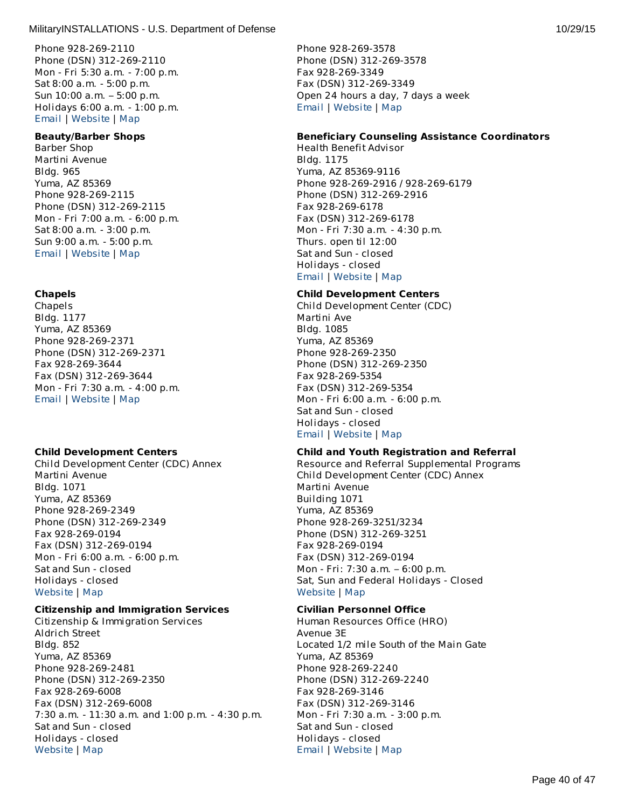Phone 928-269-2110 Phone (DSN) 312-269-2110 Mon - Fri 5:30 a.m. - 7:00 p.m. Sat 8:00 a.m. - 5:00 p.m. Sun 10:00 a.m. – 5:00 p.m. Holidays 6:00 a.m. - 1:00 p.m. [Email](http://apps.militaryonesource.mil/MOS/f?p=AMS:5:0::::P5_APP_NAME,P5_MSG_TYPE,P5_EID:MilitaryINSTALLATIONS,Service Station,113376) | [Website](http://www.mccsyuma.org/) | [Map](http://maps.google.com/maps?q=Quilter Street%2BYuma%2BAZ%2B85369)

#### **Beauty/Barber Shops**

Barber Shop Martini Avenue Bldg. 965 Yuma, AZ 85369 Phone 928-269-2115 Phone (DSN) 312-269-2115 Mon - Fri 7:00 a.m. - 6:00 p.m. Sat 8:00 a.m. - 3:00 p.m. Sun 9:00 a.m. - 5:00 p.m. [Email](http://apps.militaryonesource.mil/MOS/f?p=AMS:5:0::::P5_APP_NAME,P5_MSG_TYPE,P5_EID:MilitaryINSTALLATIONS,Barber Shop,113321) | [Website](http://www.mccsyuma.org/2009web.mccs/2010MCCShtml/services_food-court.html) | [Map](http://maps.google.com/maps?q=Martini Avenue%2BYuma%2BAZ%2B85369)

# **Chapels**

Chapels Bldg. 1177 Yuma, AZ 85369 Phone 928-269-2371 Phone (DSN) 312-269-2371 Fax 928-269-3644 Fax (DSN) 312-269-3644 Mon - Fri 7:30 a.m. - 4:00 p.m. [Email](http://apps.militaryonesource.mil/MOS/f?p=AMS:5:0::::P5_APP_NAME,P5_MSG_TYPE,P5_EID:MilitaryINSTALLATIONS,Chapels,113446) | [Website](http://www.yuma.usmc.mil/services/chapel/index.html) | [Map](http://maps.google.com/maps?q=Yuma%2BAZ%2B85369)

# **Child Development Centers**

Child Development Center (CDC) Annex Martini Avenue Bldg. 1071 Yuma, AZ 85369 Phone 928-269-2349 Phone (DSN) 312-269-2349 Fax 928-269-0194 Fax (DSN) 312-269-0194 Mon - Fri 6:00 a.m. - 6:00 p.m. Sat and Sun - closed Holidays - closed [Website](http://www.mccsyuma.org/2009web.mccs/2010MCCShtml/cytp_cdc.html) | [Map](http://maps.google.com/maps?q=Martini Avenue%2BYuma%2BAZ%2B85369)

# **Citizenship and Immigration Services**

Citizenship & Immigration Services Aldrich Street Bldg. 852 Yuma, AZ 85369 Phone 928-269-2481 Phone (DSN) 312-269-2350 Fax 928-269-6008 Fax (DSN) 312-269-6008 7:30 a.m. - 11:30 a.m. and 1:00 p.m. - 4:30 p.m. Sat and Sun - closed Holidays - closed [Website](http://www.yuma.usmc.mil/services/legal/index.html) | [Map](http://maps.google.com/maps?q=Aldrich Street%2BYuma%2BAZ%2B85369)

Phone 928-269-3578 Phone (DSN) 312-269-3578 Fax 928-269-3349 Fax (DSN) 312-269-3349 Open 24 hours a day, 7 days a week [Email](http://apps.militaryonesource.mil/MOS/f?p=AMS:5:0::::P5_APP_NAME,P5_MSG_TYPE,P5_EID:MilitaryINSTALLATIONS,Billeting Office,113626) | [Website](http://www.yuma.usmc.mil/services/installationslogistics/billeting.html) | [Map](http://maps.google.com/maps?q=Martini Avenue%2BMCAS Yuma%2BAZ%2B85369)

#### **Beneficiary Counseling Assistance Coordinators**

Health Benefit Advisor Bldg. 1175 Yuma, AZ 85369-9116 Phone 928-269-2916 / 928-269-6179 Phone (DSN) 312-269-2916 Fax 928-269-6178 Fax (DSN) 312-269-6178 Mon - Fri 7:30 a.m. - 4:30 p.m. Thurs. open til 12:00 Sat and Sun - closed Holidays - closed [Email](http://apps.militaryonesource.mil/MOS/f?p=AMS:5:0::::P5_APP_NAME,P5_MSG_TYPE,P5_EID:MilitaryINSTALLATIONS,Health Benefit Advisor,113558) | [Website](https://cpen.med.navy.mil/nhcp.cfm?xid=wap&f=bmc&p=x7214954E546CA0EFDF67D73E491D8E52) | [Map](http://maps.google.com/maps?q=Yuma%2BAZ%2B85369-9116)

#### **Child Development Centers**

Child Development Center (CDC) Martini Ave Bldg. 1085 Yuma, AZ 85369 Phone 928-269-2350 Phone (DSN) 312-269-2350 Fax 928-269-5354 Fax (DSN) 312-269-5354 Mon - Fri 6:00 a.m. - 6:00 p.m. Sat and Sun - closed Holidays - closed [Email](http://apps.militaryonesource.mil/MOS/f?p=AMS:5:0::::P5_APP_NAME,P5_MSG_TYPE,P5_EID:MilitaryINSTALLATIONS,Child Development Center (CDC),113327) | [Website](http://www.mccsyuma.org/2009web.mccs/2010MCCShtml/cytp_cdc.html) | [Map](http://maps.google.com/maps?q=Martini Ave%2BYuma%2BAZ%2B85369)

# **Child and Youth Registration and Referral**

Resource and Referral Supplemental Programs Child Development Center (CDC) Annex Martini Avenue Building 1071 Yuma, AZ 85369 Phone 928-269-3251/3234 Phone (DSN) 312-269-3251 Fax 928-269-0194 Fax (DSN) 312-269-0194 Mon - Fri: 7:30 a.m. – 6:00 p.m. Sat, Sun and Federal Holidays - Closed [Website](http://www.mccsyuma.org/2009web.mccs/2010MCCShtml/cytp_resource.html) | [Map](http://maps.google.com/maps?q=Child Development Center (CDC) Annex%2BYuma%2BAZ%2B 85369)

# **Civilian Personnel Office**

Human Resources Office (HRO) Avenue 3E Located 1/2 mile South of the Main Gate Yuma, AZ 85369 Phone 928-269-2240 Phone (DSN) 312-269-2240 Fax 928-269-3146 Fax (DSN) 312-269-3146 Mon - Fri 7:30 a.m. - 3:00 p.m. Sat and Sun - closed Holidays - closed [Email](http://apps.militaryonesource.mil/MOS/f?p=AMS:5:0::::P5_APP_NAME,P5_MSG_TYPE,P5_EID:MilitaryINSTALLATIONS,Human Resources Office (HRO),113511) | [Website](https://chart.donhr.navy.mil/) | [Map](http://maps.google.com/maps?q=Avenue 3E%2BYuma%2BAZ%2B85369)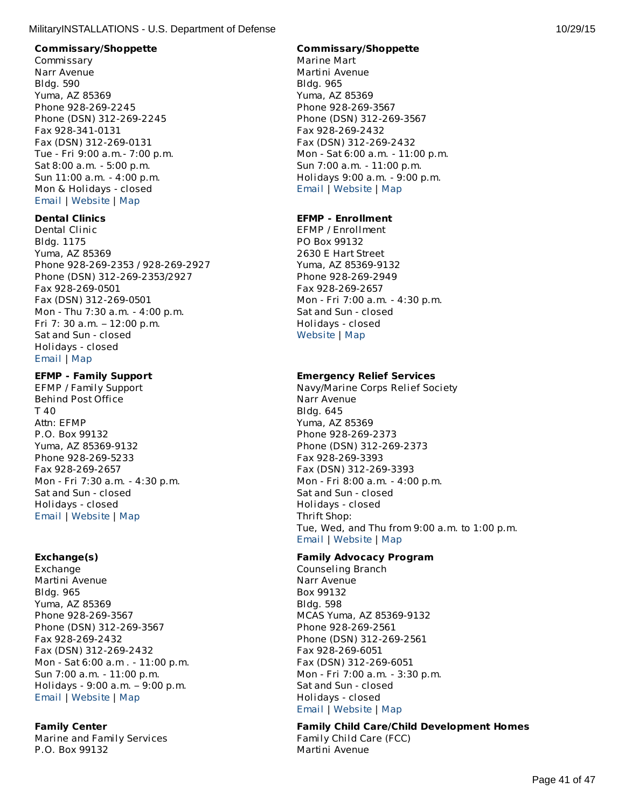#### **Commissary/Shoppette**

Commissary Narr Avenue Bldg. 590 Yuma, AZ 85369 Phone 928-269-2245 Phone (DSN) 312-269-2245 Fax 928-341-0131 Fax (DSN) 312-269-0131 Tue - Fri 9:00 a.m.- 7:00 p.m. Sat 8:00 a.m. - 5:00 p.m. Sun 11:00 a.m. - 4:00 p.m. Mon & Holidays - closed [Email](http://apps.militaryonesource.mil/MOS/f?p=AMS:5:0::::P5_APP_NAME,P5_MSG_TYPE,P5_EID:MilitaryINSTALLATIONS,Commissary,113371) | [Website](http://www.commissaries.com/stores/html/store.cfm?dodaac=HQCKM5) | [Map](http://maps.google.com/maps?q=Narr Avenue%2BYuma%2BAZ%2B85369)

# **Dental Clinics**

Dental Clinic Bldg. 1175 Yuma, AZ 85369 Phone 928-269-2353 / 928-269-2927 Phone (DSN) 312-269-2353/2927 Fax 928-269-0501 Fax (DSN) 312-269-0501 Mon - Thu 7:30 a.m. - 4:00 p.m. Fri 7: 30 a.m. – 12:00 p.m. Sat and Sun - closed Holidays - closed [Email](http://apps.militaryonesource.mil/MOS/f?p=AMS:5:0::::P5_APP_NAME,P5_MSG_TYPE,P5_EID:MilitaryINSTALLATIONS,Dental Clinic,113565) | [Map](http://maps.google.com/maps?q=Yuma%2BAZ%2B85369)

#### **EFMP - Family Support**

EFMP / Family Support Behind Post Office T 40 Attn: EFMP P.O. Box 99132 Yuma, AZ 85369-9132 Phone 928-269-5233 Fax 928-269-2657 Mon - Fri 7:30 a.m. - 4:30 p.m. Sat and Sun - closed Holidays - closed [Email](http://apps.militaryonesource.mil/MOS/f?p=AMS:5:0::::P5_APP_NAME,P5_MSG_TYPE,P5_EID:MilitaryINSTALLATIONS,EFMP / Family Support,1000007495) | [Website](http://www.mccsyuma.org/index.cfm/military-family/efmp/) | [Map](http://maps.google.com/maps?q=Behind Post Office%2BYuma%2BAZ%2B85369-9132)

# **Exchange(s)**

Exchange Martini Avenue Bldg. 965 Yuma, AZ 85369 Phone 928-269-3567 Phone (DSN) 312-269-3567 Fax 928-269-2432 Fax (DSN) 312-269-2432 Mon - Sat 6:00 a.m . - 11:00 p.m. Sun 7:00 a.m. - 11:00 p.m. Holidays - 9:00 a.m. – 9:00 p.m. [Email](http://apps.militaryonesource.mil/MOS/f?p=AMS:5:0::::P5_APP_NAME,P5_MSG_TYPE,P5_EID:MilitaryINSTALLATIONS,Exchange,113336) | [Website](http://www.yuma.usmc-mccs.org/index.cfm/shopping-services/) | [Map](http://maps.google.com/maps?q=Martini Avenue%2BYuma%2BAZ%2B85369)

# **Family Center**

Marine and Family Services P.O. Box 99132

# **Commissary/Shoppette**

Marine Mart Martini Avenue Bldg. 965 Yuma, AZ 85369 Phone 928-269-3567 Phone (DSN) 312-269-3567 Fax 928-269-2432 Fax (DSN) 312-269-2432 Mon - Sat 6:00 a.m. - 11:00 p.m. Sun 7:00 a.m. - 11:00 p.m. Holidays 9:00 a.m. - 9:00 p.m. [Email](http://apps.militaryonesource.mil/MOS/f?p=AMS:5:0::::P5_APP_NAME,P5_MSG_TYPE,P5_EID:MilitaryINSTALLATIONS,Marine Mart,113316) | [Website](http://www.yuma.usmc-mccs.org/index.cfm/shopping-services/) | [Map](http://maps.google.com/maps?q=Martini Avenue%2BYuma%2BAZ%2B85369)

# **EFMP - Enrollment**

EFMP / Enrollment PO Box 99132 2630 E Hart Street Yuma, AZ 85369-9132 Phone 928-269-2949 Fax 928-269-2657 Mon - Fri 7:00 a.m. - 4:30 p.m. Sat and Sun - closed Holidays - closed [Website](http://www.mccsyuma.org/index.cfm/military-family/efmp/) | [Map](http://maps.google.com/maps?q=PO Box 99132%2BYuma%2BAZ%2B85369-9132)

# **Emergency Relief Services**

Navy/Marine Corps Relief Society Narr Avenue Bldg. 645 Yuma, AZ 85369 Phone 928-269-2373 Phone (DSN) 312-269-2373 Fax 928-269-3393 Fax (DSN) 312-269-3393 Mon - Fri 8:00 a.m. - 4:00 p.m. Sat and Sun - closed Holidays - closed Thrift Shop: Tue, Wed, and Thu from 9:00 a.m. to 1:00 p.m. [Email](http://apps.militaryonesource.mil/MOS/f?p=AMS:5:0::::P5_APP_NAME,P5_MSG_TYPE,P5_EID:MilitaryINSTALLATIONS,Navy/Marine Corps Relief Society,113348) | [Website](http://www.nmcrs.org/loc-us.html) | [Map](http://maps.google.com/maps?q=Narr Avenue%2BYuma%2BAZ%2B85369)

# **Family Advocacy Program**

Counseling Branch Narr Avenue Box 99132 Bldg. 598 MCAS Yuma, AZ 85369-9132 Phone 928-269-2561 Phone (DSN) 312-269-2561 Fax 928-269-6051 Fax (DSN) 312-269-6051 Mon - Fri 7:00 a.m. - 3:30 p.m. Sat and Sun - closed Holidays - closed [Email](http://apps.militaryonesource.mil/MOS/f?p=AMS:5:0::::P5_APP_NAME,P5_MSG_TYPE,P5_EID:MilitaryINSTALLATIONS,Counseling Branch,113651) | [Website](http://www.mccsyuma.org/index.cfm/military-family/counseling-services/) | [Map](http://maps.google.com/maps?q=Narr Avenue%2BMCAS Yuma%2BAZ%2B85369-9132)

# **Family Child Care/Child Development Homes**

Family Child Care (FCC) Martini Avenue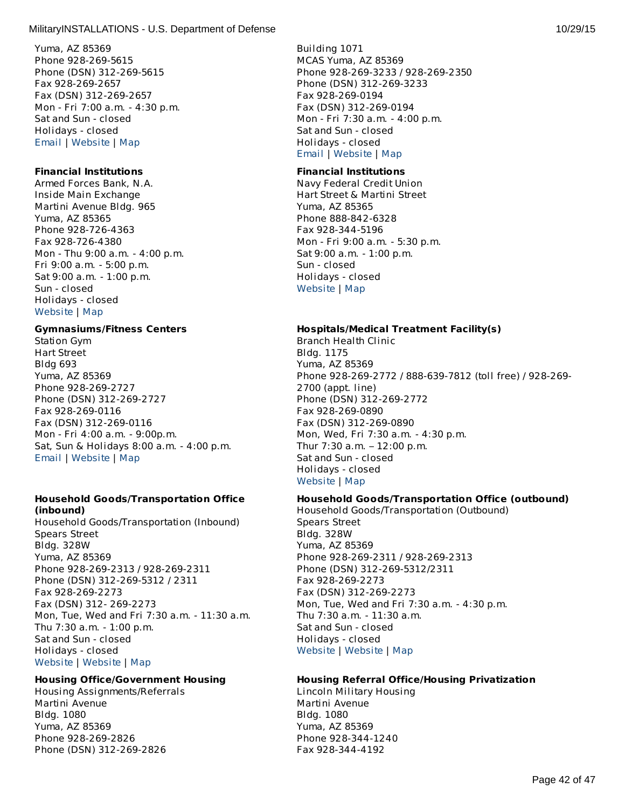Yuma, AZ 85369 Phone 928-269-5615 Phone (DSN) 312-269-5615 Fax 928-269-2657 Fax (DSN) 312-269-2657 Mon - Fri 7:00 a.m. - 4:30 p.m. Sat and Sun - closed Holidays - closed [Email](http://apps.militaryonesource.mil/MOS/f?p=AMS:5:0::::P5_APP_NAME,P5_MSG_TYPE,P5_EID:MilitaryINSTALLATIONS,Marine and Family Services,113351) | [Website](http://www.yuma.usmc-mccs.org) | [Map](http://maps.google.com/maps?q=P.O. Box 99132%2BYuma%2BAZ%2B85369)

#### **Financial Institutions**

Armed Forces Bank, N.A. Inside Main Exchange Martini Avenue Bldg. 965 Yuma, AZ 85365 Phone 928-726-4363 Fax 928-726-4380 Mon - Thu 9:00 a.m. - 4:00 p.m. Fri 9:00 a.m. - 5:00 p.m. Sat 9:00 a.m. - 1:00 p.m. Sun - closed Holidays - closed [Website](http://www.afbank.com/locations/search_results.cfm?StateCode=AZ) | [Map](http://maps.google.com/maps?q=Inside Main Exchange%2BYuma%2BAZ%2B85365)

#### **Gymnasiums/Fitness Centers**

Station Gym Hart Street Bldg 693 Yuma, AZ 85369 Phone 928-269-2727 Phone (DSN) 312-269-2727 Fax 928-269-0116 Fax (DSN) 312-269-0116 Mon - Fri 4:00 a.m. - 9:00p.m. Sat, Sun & Holidays 8:00 a.m. - 4:00 p.m. [Email](http://apps.militaryonesource.mil/MOS/f?p=AMS:5:0::::P5_APP_NAME,P5_MSG_TYPE,P5_EID:MilitaryINSTALLATIONS,Station Gym,113661) | [Website](http://www.mccsyuma.org/index.cfm/semper-fit/fitness/main-station-gym/) | [Map](http://maps.google.com/maps?q=Hart Street  %2BYuma%2BAZ%2B85369)

#### **Household Goods/Transportation Office (inbound)**

Household Goods/Transportation (Inbound) Spears Street Bldg. 328W Yuma, AZ 85369 Phone 928-269-2313 / 928-269-2311 Phone (DSN) 312-269-5312 / 2311 Fax 928-269-2273 Fax (DSN) 312- 269-2273 Mon, Tue, Wed and Fri 7:30 a.m. - 11:30 a.m. Thu 7:30 a.m. - 1:00 p.m. Sat and Sun - closed Holidays - closed [Website](http://192.156.9.102/information/tmo.html) | [Website](http://www.yuma.usmc.mil/services/installationslogistics/tmo.html) | [Map](http://maps.google.com/maps?q=Spears Street%2BYuma%2BAZ%2B85369)

# **Housing Office/Government Housing**

Housing Assignments/Referrals Martini Avenue Bldg. 1080 Yuma, AZ 85369 Phone 928-269-2826 Phone (DSN) 312-269-2826

Building 1071 MCAS Yuma, AZ 85369 Phone 928-269-3233 / 928-269-2350 Phone (DSN) 312-269-3233 Fax 928-269-0194 Fax (DSN) 312-269-0194 Mon - Fri 7:30 a.m. - 4:00 p.m. Sat and Sun - closed Holidays - closed [Email](http://apps.militaryonesource.mil/MOS/f?p=AMS:5:0::::P5_APP_NAME,P5_MSG_TYPE,P5_EID:MilitaryINSTALLATIONS,Family Child Care (FCC),113534) | [Website](http://www.mccsyuma.org/index.cfm/military-family/child-youth-teen-programs/family-child-care/) | [Map](http://maps.google.com/maps?q=Martini Avenue%2BMCAS Yuma%2BAZ%2B85369)

#### **Financial Institutions**

Navy Federal Credit Union Hart Street & Martini Street Yuma, AZ 85365 Phone 888-842-6328 Fax 928-344-5196 Mon - Fri 9:00 a.m. - 5:30 p.m. Sat 9:00 a.m. - 1:00 p.m. Sun - closed Holidays - closed [Website](http://www.navyfcu.org) | [Map](http://maps.google.com/maps?q=Hart Street %26 Martini Street%2BYuma%2BAZ%2B85365)

#### **Hospitals/Medical Treatment Facility(s)**

Branch Health Clinic Bldg. 1175 Yuma, AZ 85369 Phone 928-269-2772 / 888-639-7812 (toll free) / 928-269- 2700 (appt. line) Phone (DSN) 312-269-2772 Fax 928-269-0890 Fax (DSN) 312-269-0890 Mon, Wed, Fri 7:30 a.m. - 4:30 p.m. Thur 7:30 a.m. – 12:00 p.m. Sat and Sun - closed Holidays - closed [Website](https://cpen.med.navy.mil/nhcp.cfm?xid=wap&f=bmc&p=x7214954E546CA0EFDF67D73E491D8E52) | [Map](http://maps.google.com/maps?q=Yuma%2BAZ%2B85369)

#### **Household Goods/Transportation Office (outbound)**

Household Goods/Transportation (Outbound) Spears Street Bldg. 328W Yuma, AZ 85369 Phone 928-269-2311 / 928-269-2313 Phone (DSN) 312-269-5312/2311 Fax 928-269-2273 Fax (DSN) 312-269-2273 Mon, Tue, Wed and Fri 7:30 a.m. - 4:30 p.m. Thu 7:30 a.m. - 11:30 a.m. Sat and Sun - closed Holidays - closed [Website](http://192.156.9.102/information/tmo.html) | [Website](http://www.yuma.usmc.mil/services/installationslogistics/tmo.html) | [Map](http://maps.google.com/maps?q=Spears Street%2BYuma%2BAZ%2B85369)

# **Housing Referral Office/Housing Privatization**

Lincoln Military Housing Martini Avenue Bldg. 1080 Yuma, AZ 85369 Phone 928-344-1240 Fax 928-344-4192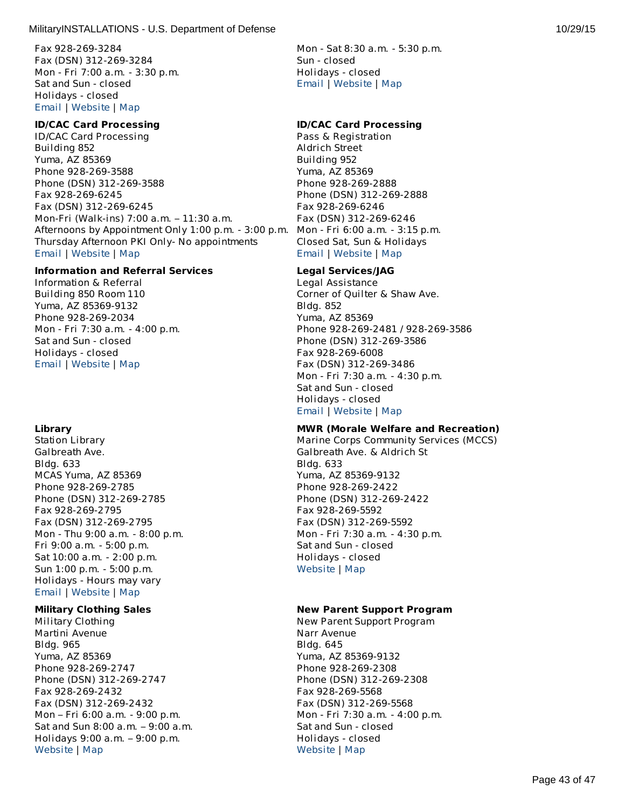Fax 928-269-3284 Fax (DSN) 312-269-3284 Mon - Fri 7:00 a.m. - 3:30 p.m. Sat and Sun - closed Holidays - closed [Email](http://apps.militaryonesource.mil/MOS/f?p=AMS:5:0::::P5_APP_NAME,P5_MSG_TYPE,P5_EID:MilitaryINSTALLATIONS,Housing Assignments/Referrals,113587) | [Website](http://www.housing.navy.mil/onestop/housingoffices.aspx?bid=716&tab=mil) | [Map](http://maps.google.com/maps?q=Martini Avenue%2BYuma%2BAZ%2B85369)

#### **ID/CAC Card Processing**

ID/CAC Card Processing Building 852 Yuma, AZ 85369 Phone 928-269-3588 Phone (DSN) 312-269-3588 Fax 928-269-6245 Fax (DSN) 312-269-6245 Mon-Fri (Walk-ins) 7:00 a.m. – 11:30 a.m. Afternoons by Appointment Only 1:00 p.m. - 3:00 p.m. Thursday Afternoon PKI Only- No appointments [Email](http://apps.militaryonesource.mil/MOS/f?p=AMS:5:0::::P5_APP_NAME,P5_MSG_TYPE,P5_EID:MilitaryINSTALLATIONS,ID/CAC Card Processing,1000005969) | [Website](http://www.yuma.usmc.mil/services/pmo/index.html) | [Map](http://maps.google.com/maps?q=Building 852%2BYuma%2BAZ%2B85369)

# **Information and Referral Services**

Information & Referral Building 850 Room 110 Yuma, AZ 85369-9132 Phone 928-269-2034 Mon - Fri 7:30 a.m. - 4:00 p.m. Sat and Sun - closed Holidays - closed [Email](http://apps.militaryonesource.mil/MOS/f?p=AMS:5:0::::P5_APP_NAME,P5_MSG_TYPE,P5_EID:MilitaryINSTALLATIONS,Information   Referral,1000008764) | [Website](http://www.yuma.usmc-mccs.org) | [Map](http://maps.google.com/maps?q=Building 850 Room 110%2BYuma%2BAZ%2B85369-9132)

# **Library**

Station Library Galbreath Ave. Bldg. 633 MCAS Yuma, AZ 85369 Phone 928-269-2785 Phone (DSN) 312-269-2785 Fax 928-269-2795 Fax (DSN) 312-269-2795 Mon - Thu 9:00 a.m. - 8:00 p.m. Fri 9:00 a.m. - 5:00 p.m. Sat 10:00 a.m. - 2:00 p.m. Sun 1:00 p.m. - 5:00 p.m. Holidays - Hours may vary [Email](http://apps.militaryonesource.mil/MOS/f?p=AMS:5:0::::P5_APP_NAME,P5_MSG_TYPE,P5_EID:MilitaryINSTALLATIONS,Station Library,113659) | [Website](http://www.yuma.usmc-mccs.org/index.cfm/military-family/library/) | [Map](http://maps.google.com/maps?q=Galbreath Ave.%2BMCAS Yuma%2BAZ%2B85369)

# **Military Clothing Sales**

Military Clothing Martini Avenue Bldg. 965 Yuma, AZ 85369 Phone 928-269-2747 Phone (DSN) 312-269-2747 Fax 928-269-2432 Fax (DSN) 312-269-2432 Mon – Fri 6:00 a.m. - 9:00 p.m. Sat and Sun 8:00 a.m. – 9:00 a.m. Holidays 9:00 a.m. – 9:00 p.m. [Website](http://www.mccsyuma.org/2009web.mccs/2010MCCShtml/store-mainXchange_new.html) | [Map](http://maps.google.com/maps?q=Martini Avenue%2BYuma%2BAZ%2B85369)

Mon - Sat 8:30 a.m. - 5:30 p.m. Sun - closed Holidays - closed [Email](http://apps.militaryonesource.mil/MOS/f?p=AMS:5:0::::P5_APP_NAME,P5_MSG_TYPE,P5_EID:MilitaryINSTALLATIONS,Lincoln Military Housing ,113585) | [Website](http://www.lincolnmilitary.com/lmh/installations/yuma/) | [Map](http://maps.google.com/maps?q=Martini Avenue%2BYuma%2BAZ%2B85369)

#### **ID/CAC Card Processing**

Pass & Registration Aldrich Street Building 952 Yuma, AZ 85369 Phone 928-269-2888 Phone (DSN) 312-269-2888 Fax 928-269-6246 Fax (DSN) 312-269-6246 Mon - Fri 6:00 a.m. - 3:15 p.m. Closed Sat, Sun & Holidays [Email](http://apps.militaryonesource.mil/MOS/f?p=AMS:5:0::::P5_APP_NAME,P5_MSG_TYPE,P5_EID:MilitaryINSTALLATIONS,Pass   Registration,113350) | [Website](http://www.yuma.usmc.mil/services/pmo/index.html) | [Map](http://maps.google.com/maps?q=Aldrich Street%2BYuma%2BAZ%2B85369)

# **Legal Services/JAG**

Legal Assistance Corner of Quilter & Shaw Ave. Bldg. 852 Yuma, AZ 85369 Phone 928-269-2481 / 928-269-3586 Phone (DSN) 312-269-3586 Fax 928-269-6008 Fax (DSN) 312-269-3486 Mon - Fri 7:30 a.m. - 4:30 p.m. Sat and Sun - closed Holidays - closed [Email](http://apps.militaryonesource.mil/MOS/f?p=AMS:5:0::::P5_APP_NAME,P5_MSG_TYPE,P5_EID:MilitaryINSTALLATIONS,Legal Assistance,113673) | [Website](http://www.yuma.usmc.mil/services/legal/index.html) | [Map](http://maps.google.com/maps?q=Corner of Quilter %26 Shaw Ave.%2BYuma%2BAZ%2B85369)

# **MWR (Morale Welfare and Recreation)**

Marine Corps Community Services (MCCS) Galbreath Ave. & Aldrich St Bldg. 633 Yuma, AZ 85369-9132 Phone 928-269-2422 Phone (DSN) 312-269-2422 Fax 928-269-5592 Fax (DSN) 312-269-5592 Mon - Fri 7:30 a.m. - 4:30 p.m. Sat and Sun - closed Holidays - closed [Website](http://www.yuma.usmc-mccs.org/) | [Map](http://maps.google.com/maps?q=Galbreath Ave. %26 Aldrich St%2BYuma%2BAZ%2B85369-9132)

# **New Parent Support Program**

New Parent Support Program Narr Avenue Bldg. 645 Yuma, AZ 85369-9132 Phone 928-269-2308 Phone (DSN) 312-269-2308 Fax 928-269-5568 Fax (DSN) 312-269-5568 Mon - Fri 7:30 a.m. - 4:00 p.m. Sat and Sun - closed Holidays - closed [Website](http://www.yuma.usmc-mccs.org/index.cfm/military-family/counseling-services/) | [Map](http://maps.google.com/maps?q=Narr Avenue%2BYuma%2BAZ%2B85369-9132)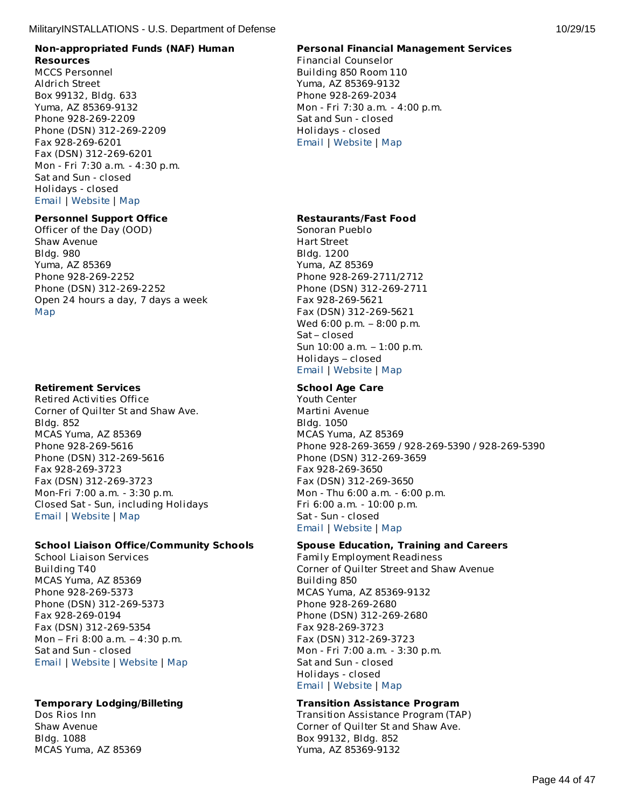# **Non-appropriated Funds (NAF) Human Resources**

MCCS Personnel Aldrich Street Box 99132, Bldg. 633 Yuma, AZ 85369-9132 Phone 928-269-2209 Phone (DSN) 312-269-2209 Fax 928-269-6201 Fax (DSN) 312-269-6201 Mon - Fri 7:30 a.m. - 4:30 p.m. Sat and Sun - closed Holidays - closed [Email](http://apps.militaryonesource.mil/MOS/f?p=AMS:5:0::::P5_APP_NAME,P5_MSG_TYPE,P5_EID:MilitaryINSTALLATIONS,MCCS Personnel,113512) | [Website](http://www.mccsyuma.org/2009web.mccs/2010MCCShtml/hr.html) | [Map](http://maps.google.com/maps?q=Aldrich Street%2BYuma%2BAZ%2B85369-9132)

# **Personnel Support Office**

Officer of the Day (OOD) Shaw Avenue Bldg. 980 Yuma, AZ 85369 Phone 928-269-2252 Phone (DSN) 312-269-2252 Open 24 hours a day, 7 days a week [Map](http://maps.google.com/maps?q=Shaw Avenue%2BYuma%2BAZ%2B85369)

# **Retirement Services**

Retired Activities Office Corner of Quilter St and Shaw Ave. Bldg. 852 MCAS Yuma, AZ 85369 Phone 928-269-5616 Phone (DSN) 312-269-5616 Fax 928-269-3723 Fax (DSN) 312-269-3723 Mon-Fri 7:00 a.m. - 3:30 p.m. Closed Sat - Sun, including Holidays [Email](http://apps.militaryonesource.mil/MOS/f?p=AMS:5:0::::P5_APP_NAME,P5_MSG_TYPE,P5_EID:MilitaryINSTALLATIONS,Retired Activities Office,113415) | [Website](http://www.mccsyuma.org/index.cfm/military-family/transition-assistance/) | [Map](http://maps.google.com/maps?q=Corner of Quilter St and Shaw Ave. %2BMCAS Yuma%2BAZ%2B85369)

# **School Liaison Office/Community Schools**

School Liaison Services Building T40 MCAS Yuma, AZ 85369 Phone 928-269-5373 Phone (DSN) 312-269-5373 Fax 928-269-0194 Fax (DSN) 312-269-5354 Mon – Fri 8:00 a.m. – 4:30 p.m. Sat and Sun - closed [Email](http://apps.militaryonesource.mil/MOS/f?p=AMS:5:0::::P5_APP_NAME,P5_MSG_TYPE,P5_EID:MilitaryINSTALLATIONS,School Liaison Services,1000003075) | [Website](http://www.mccsyuma.org/2009web.mccs/2010MCCShtml/school-liaison_new.html) | [Website](http://www.dodea.edu/Partnership/schoolLiaisonOfficers.cfm) | [Map](http://maps.google.com/maps?q=Building T40%2BMCAS Yuma%2BAZ%2B85369)

# **Temporary Lodging/Billeting**

Dos Rios Inn Shaw Avenue Bldg. 1088 MCAS Yuma, AZ 85369

# **Personal Financial Management Services**

Financial Counselor Building 850 Room 110 Yuma, AZ 85369-9132 Phone 928-269-2034 Mon - Fri 7:30 a.m. - 4:00 p.m. Sat and Sun - closed Holidays - closed [Email](http://apps.militaryonesource.mil/MOS/f?p=AMS:5:0::::P5_APP_NAME,P5_MSG_TYPE,P5_EID:MilitaryINSTALLATIONS,Financial Counselor,176018) | [Website](http://www.mccsyuma.org/2009web.mccs/2010MCCShtml/mfs_personal-finance.html) | [Map](http://maps.google.com/maps?q=Building 850 Room 110%2BYuma%2BAZ%2B85369-9132)

# **Restaurants/Fast Food**

Sonoran Pueblo Hart Street Bldg. 1200 Yuma, AZ 85369 Phone 928-269-2711/2712 Phone (DSN) 312-269-2711 Fax 928-269-5621 Fax (DSN) 312-269-5621 Wed 6:00 p.m. – 8:00 p.m. Sat – closed Sun 10:00 a.m. – 1:00 p.m. Holidays – closed [Email](http://apps.militaryonesource.mil/MOS/f?p=AMS:5:0::::P5_APP_NAME,P5_MSG_TYPE,P5_EID:MilitaryINSTALLATIONS,Sonoran Pueblo,113660) | [Website](http://www.mccsyuma.org/index.cfm/food/sonoran-pueblo/) | [Map](http://maps.google.com/maps?q=Hart Street%2BYuma%2BAZ%2B85369)

# **School Age Care**

Youth Center Martini Avenue Bldg. 1050 MCAS Yuma, AZ 85369 Phone 928-269-3659 / 928-269-5390 / 928-269-5390 Phone (DSN) 312-269-3659 Fax 928-269-3650 Fax (DSN) 312-269-3650 Mon - Thu 6:00 a.m. - 6:00 p.m. Fri 6:00 a.m. - 10:00 p.m. Sat - Sun - closed [Email](http://apps.militaryonesource.mil/MOS/f?p=AMS:5:0::::P5_APP_NAME,P5_MSG_TYPE,P5_EID:MilitaryINSTALLATIONS,Youth Center,113694) | [Website](http://www.mccsyuma.org/2009web.mccs/2010MCCShtml/cytp_yc.html) | [Map](http://maps.google.com/maps?q=Martini Avenue%2BMCAS Yuma%2BAZ%2B85369)

# **Spouse Education, Training and Careers**

Family Employment Readiness Corner of Quilter Street and Shaw Avenue Building 850 MCAS Yuma, AZ 85369-9132 Phone 928-269-2680 Phone (DSN) 312-269-2680 Fax 928-269-3723 Fax (DSN) 312-269-3723 Mon - Fri 7:00 a.m. - 3:30 p.m. Sat and Sun - closed Holidays - closed [Email](http://apps.militaryonesource.mil/MOS/f?p=AMS:5:0::::P5_APP_NAME,P5_MSG_TYPE,P5_EID:MilitaryINSTALLATIONS,Family Employment Readiness,113515) | [Website](http://www.mccsyuma.org/2009web.mccs/2010MCCShtml/mfs_fmeap.html) | [Map](http://maps.google.com/maps?q=Corner of Quilter Street and Shaw Avenue%2BMCAS Yuma%2BAZ%2B85369-9132)

# **Transition Assistance Program**

Transition Assistance Program (TAP) Corner of Quilter St and Shaw Ave. Box 99132, Bldg. 852 Yuma, AZ 85369-9132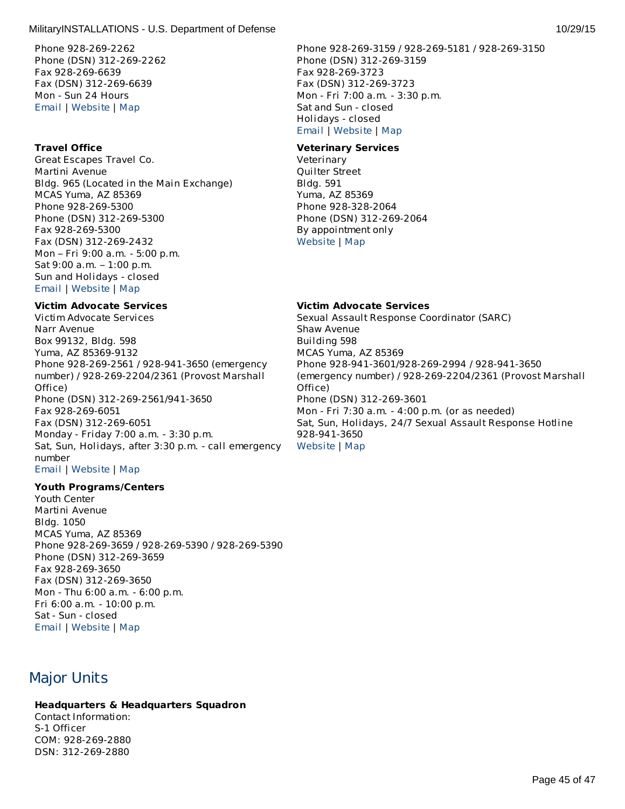Phone 928-269-2262 Phone (DSN) 312-269-2262 Fax 928-269-6639 Fax (DSN) 312-269-6639 Mon - Sun 24 Hours [Email](http://apps.militaryonesource.mil/MOS/f?p=AMS:5:0::::P5_APP_NAME,P5_MSG_TYPE,P5_EID:MilitaryINSTALLATIONS,Dos Rios Inn,113627) | [Website](http://www.mccsyuma.org/2009web.mccs/2010MCCShtml/hospitality_dos-rios-inn.html) | [Map](http://maps.google.com/maps?q=Shaw Avenue%2BMCAS Yuma%2BAZ%2B85369)

#### **Travel Office**

Great Escapes Travel Co. Martini Avenue Bldg. 965 (Located in the Main Exchange) MCAS Yuma, AZ 85369 Phone 928-269-5300 Phone (DSN) 312-269-5300 Fax 928-269-5300 Fax (DSN) 312-269-2432 Mon – Fri 9:00 a.m. - 5:00 p.m. Sat 9:00 a.m. – 1:00 p.m. Sun and Holidays - closed [Email](http://apps.militaryonesource.mil/MOS/f?p=AMS:5:0::::P5_APP_NAME,P5_MSG_TYPE,P5_EID:MilitaryINSTALLATIONS,Great Escapes Travel Co.,1000008765) | [Website](http://greatescapestravelco.com/) | [Map](http://maps.google.com/maps?q=Martini Avenue%2BMCAS Yuma%2BAZ%2B85369)

#### **Victim Advocate Services**

Victim Advocate Services Narr Avenue Box 99132, Bldg. 598 Yuma, AZ 85369-9132 Phone 928-269-2561 / 928-941-3650 (emergency number) / 928-269-2204/2361 (Provost Marshall Office) Phone (DSN) 312-269-2561/941-3650 Fax 928-269-6051 Fax (DSN) 312-269-6051 Monday - Friday 7:00 a.m. - 3:30 p.m. Sat, Sun, Holidays, after 3:30 p.m. - call emergency number [Email](http://apps.militaryonesource.mil/MOS/f?p=AMS:5:0::::P5_APP_NAME,P5_MSG_TYPE,P5_EID:MilitaryINSTALLATIONS,Victim Advocate Services,200161) | [Website](http://www.mccsyuma.org/2009web.mccs/2010MCCShtml/mfs_csb.html) | [Map](http://maps.google.com/maps?q=Narr Avenue%2BYuma%2BAZ%2B85369-9132)

#### **Youth Programs/Centers**

Youth Center Martini Avenue Bldg. 1050 MCAS Yuma, AZ 85369 Phone 928-269-3659 / 928-269-5390 / 928-269-5390 Phone (DSN) 312-269-3659 Fax 928-269-3650 Fax (DSN) 312-269-3650 Mon - Thu 6:00 a.m. - 6:00 p.m. Fri 6:00 a.m. - 10:00 p.m. Sat - Sun - closed [Email](http://apps.militaryonesource.mil/MOS/f?p=AMS:5:0::::P5_APP_NAME,P5_MSG_TYPE,P5_EID:MilitaryINSTALLATIONS,Youth Center,113694) | [Website](http://www.mccsyuma.org/2009web.mccs/2010MCCShtml/cytp_yc.html) | [Map](http://maps.google.com/maps?q=Martini Avenue%2BMCAS Yuma%2BAZ%2B85369)

# Major Units

# **Headquarters & Headquarters Squadron**

Contact Information: S-1 Officer COM: 928-269-2880 DSN: 312-269-2880

Phone 928-269-3159 / 928-269-5181 / 928-269-3150 Phone (DSN) 312-269-3159 Fax 928-269-3723 Fax (DSN) 312-269-3723 Mon - Fri 7:00 a.m. - 3:30 p.m. Sat and Sun - closed Holidays - closed [Email](http://apps.militaryonesource.mil/MOS/f?p=AMS:5:0::::P5_APP_NAME,P5_MSG_TYPE,P5_EID:MilitaryINSTALLATIONS,Transition Assistance Program (TAP),184052) | [Website](http://www.mccsyuma.org/2009web.mccs/2010MCCShtml/mfs_tamp.html) | [Map](http://maps.google.com/maps?q=Corner of Quilter St and  Shaw Ave. %2BYuma%2BAZ%2B85369-9132)

#### **Veterinary Services**

Veterinary Quilter Street Bldg. 591 Yuma, AZ 85369 Phone 928-328-2064 Phone (DSN) 312-269-2064 By appointment only [Website](http://www.yumamwr.com/menu-veterinary.htm) | [Map](http://maps.google.com/maps?q=Quilter Street%2BYuma%2BAZ%2B85369)

# **Victim Advocate Services**

Sexual Assault Response Coordinator (SARC) Shaw Avenue Building 598 MCAS Yuma, AZ 85369 Phone 928-941-3601/928-269-2994 / 928-941-3650 (emergency number) / 928-269-2204/2361 (Provost Marshall Office) Phone (DSN) 312-269-3601 Mon - Fri 7:30 a.m. - 4:00 p.m. (or as needed) Sat, Sun, Holidays, 24/7 Sexual Assault Response Hotline 928-941-3650 [Website](http://www.mccsyuma.org/2009web.mccs/2010MCCShtml/mfs_csb.html) | [Map](http://maps.google.com/maps?q=Shaw Avenue%2BMCAS Yuma%2BAZ%2B85369)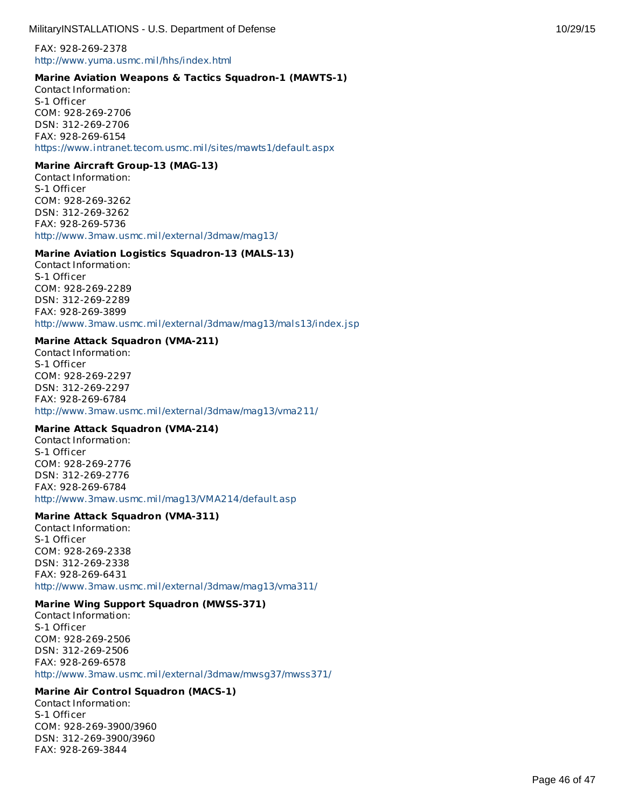FAX: 928-269-2378 <http://www.yuma.usmc.mil/hhs/index.html>

#### **Marine Aviation Weapons & Tactics Squadron-1 (MAWTS-1)**

Contact Information: S-1 Officer COM: 928-269-2706 DSN: 312-269-2706 FAX: 928-269-6154 <https://www.intranet.tecom.usmc.mil/sites/mawts1/default.aspx>

#### **Marine Aircraft Group-13 (MAG-13)**

Contact Information: S-1 Officer COM: 928-269-3262 DSN: 312-269-3262 FAX: 928-269-5736 <http://www.3maw.usmc.mil/external/3dmaw/mag13/>

#### **Marine Aviation Logistics Squadron-13 (MALS-13)**

Contact Information: S-1 Officer COM: 928-269-2289 DSN: 312-269-2289 FAX: 928-269-3899 <http://www.3maw.usmc.mil/external/3dmaw/mag13/mals13/index.jsp>

#### **Marine Attack Squadron (VMA-211)**

Contact Information: S-1 Officer COM: 928-269-2297 DSN: 312-269-2297 FAX: 928-269-6784 <http://www.3maw.usmc.mil/external/3dmaw/mag13/vma211/>

#### **Marine Attack Squadron (VMA-214)**

Contact Information: S-1 Officer COM: 928-269-2776 DSN: 312-269-2776 FAX: 928-269-6784 <http://www.3maw.usmc.mil/mag13/VMA214/default.asp>

#### **Marine Attack Squadron (VMA-311)**

Contact Information: S-1 Officer COM: 928-269-2338 DSN: 312-269-2338 FAX: 928-269-6431 <http://www.3maw.usmc.mil/external/3dmaw/mag13/vma311/>

#### **Marine Wing Support Squadron (MWSS-371)**

Contact Information: S-1 Officer COM: 928-269-2506 DSN: 312-269-2506 FAX: 928-269-6578 <http://www.3maw.usmc.mil/external/3dmaw/mwsg37/mwss371/>

# **Marine Air Control Squadron (MACS-1)**

Contact Information: S-1 Officer COM: 928-269-3900/3960 DSN: 312-269-3900/3960 FAX: 928-269-3844